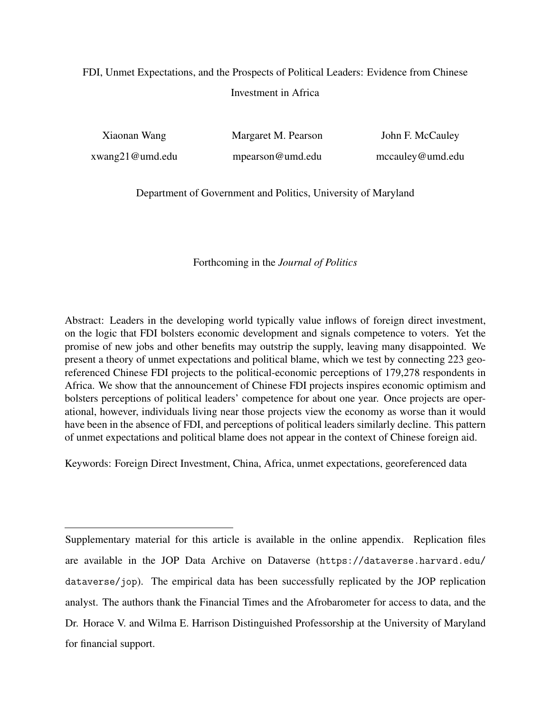# FDI, Unmet Expectations, and the Prospects of Political Leaders: Evidence from Chinese Investment in Africa

Xiaonan Wang xwang21@umd.edu Margaret M. Pearson mpearson@umd.edu

John F. McCauley mccauley@umd.edu

Department of Government and Politics, University of Maryland

## Forthcoming in the *Journal of Politics*

Abstract: Leaders in the developing world typically value inflows of foreign direct investment, on the logic that FDI bolsters economic development and signals competence to voters. Yet the promise of new jobs and other benefits may outstrip the supply, leaving many disappointed. We present a theory of unmet expectations and political blame, which we test by connecting 223 georeferenced Chinese FDI projects to the political-economic perceptions of 179,278 respondents in Africa. We show that the announcement of Chinese FDI projects inspires economic optimism and bolsters perceptions of political leaders' competence for about one year. Once projects are operational, however, individuals living near those projects view the economy as worse than it would have been in the absence of FDI, and perceptions of political leaders similarly decline. This pattern of unmet expectations and political blame does not appear in the context of Chinese foreign aid.

Keywords: Foreign Direct Investment, China, Africa, unmet expectations, georeferenced data

Supplementary material for this article is available in the online appendix. Replication files are available in the JOP Data Archive on Dataverse (https://dataverse.harvard.edu/ dataverse/jop). The empirical data has been successfully replicated by the JOP replication analyst. The authors thank the Financial Times and the Afrobarometer for access to data, and the Dr. Horace V. and Wilma E. Harrison Distinguished Professorship at the University of Maryland for financial support.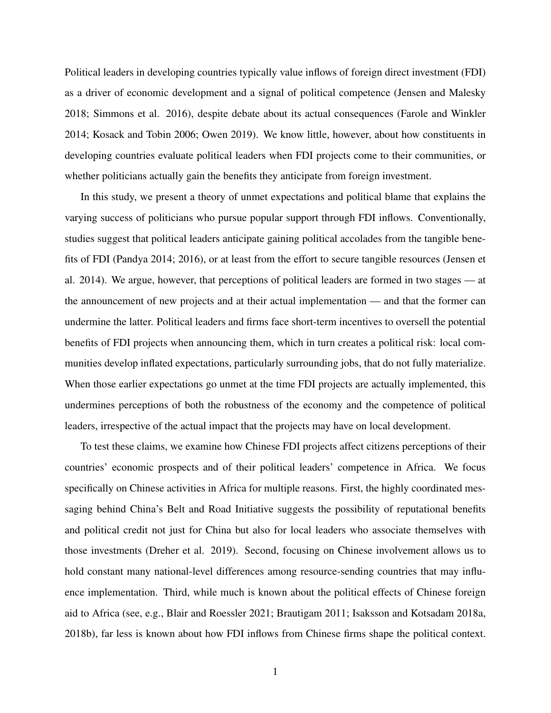Political leaders in developing countries typically value inflows of foreign direct investment (FDI) as a driver of economic development and a signal of political competence (Jensen and Malesky 2018; Simmons et al. 2016), despite debate about its actual consequences (Farole and Winkler 2014; Kosack and Tobin 2006; Owen 2019). We know little, however, about how constituents in developing countries evaluate political leaders when FDI projects come to their communities, or whether politicians actually gain the benefits they anticipate from foreign investment.

In this study, we present a theory of unmet expectations and political blame that explains the varying success of politicians who pursue popular support through FDI inflows. Conventionally, studies suggest that political leaders anticipate gaining political accolades from the tangible benefits of FDI (Pandya 2014; 2016), or at least from the effort to secure tangible resources (Jensen et al. 2014). We argue, however, that perceptions of political leaders are formed in two stages — at the announcement of new projects and at their actual implementation — and that the former can undermine the latter. Political leaders and firms face short-term incentives to oversell the potential benefits of FDI projects when announcing them, which in turn creates a political risk: local communities develop inflated expectations, particularly surrounding jobs, that do not fully materialize. When those earlier expectations go unmet at the time FDI projects are actually implemented, this undermines perceptions of both the robustness of the economy and the competence of political leaders, irrespective of the actual impact that the projects may have on local development.

To test these claims, we examine how Chinese FDI projects affect citizens perceptions of their countries' economic prospects and of their political leaders' competence in Africa. We focus specifically on Chinese activities in Africa for multiple reasons. First, the highly coordinated messaging behind China's Belt and Road Initiative suggests the possibility of reputational benefits and political credit not just for China but also for local leaders who associate themselves with those investments (Dreher et al. 2019). Second, focusing on Chinese involvement allows us to hold constant many national-level differences among resource-sending countries that may influence implementation. Third, while much is known about the political effects of Chinese foreign aid to Africa (see, e.g., Blair and Roessler 2021; Brautigam 2011; Isaksson and Kotsadam 2018a, 2018b), far less is known about how FDI inflows from Chinese firms shape the political context.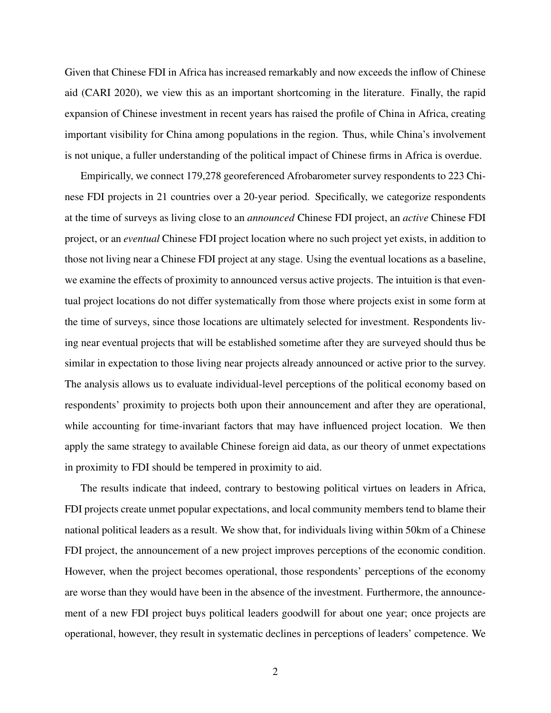Given that Chinese FDI in Africa has increased remarkably and now exceeds the inflow of Chinese aid (CARI 2020), we view this as an important shortcoming in the literature. Finally, the rapid expansion of Chinese investment in recent years has raised the profile of China in Africa, creating important visibility for China among populations in the region. Thus, while China's involvement is not unique, a fuller understanding of the political impact of Chinese firms in Africa is overdue.

Empirically, we connect 179,278 georeferenced Afrobarometer survey respondents to 223 Chinese FDI projects in 21 countries over a 20-year period. Specifically, we categorize respondents at the time of surveys as living close to an *announced* Chinese FDI project, an *active* Chinese FDI project, or an *eventual* Chinese FDI project location where no such project yet exists, in addition to those not living near a Chinese FDI project at any stage. Using the eventual locations as a baseline, we examine the effects of proximity to announced versus active projects. The intuition is that eventual project locations do not differ systematically from those where projects exist in some form at the time of surveys, since those locations are ultimately selected for investment. Respondents living near eventual projects that will be established sometime after they are surveyed should thus be similar in expectation to those living near projects already announced or active prior to the survey. The analysis allows us to evaluate individual-level perceptions of the political economy based on respondents' proximity to projects both upon their announcement and after they are operational, while accounting for time-invariant factors that may have influenced project location. We then apply the same strategy to available Chinese foreign aid data, as our theory of unmet expectations in proximity to FDI should be tempered in proximity to aid.

The results indicate that indeed, contrary to bestowing political virtues on leaders in Africa, FDI projects create unmet popular expectations, and local community members tend to blame their national political leaders as a result. We show that, for individuals living within 50km of a Chinese FDI project, the announcement of a new project improves perceptions of the economic condition. However, when the project becomes operational, those respondents' perceptions of the economy are worse than they would have been in the absence of the investment. Furthermore, the announcement of a new FDI project buys political leaders goodwill for about one year; once projects are operational, however, they result in systematic declines in perceptions of leaders' competence. We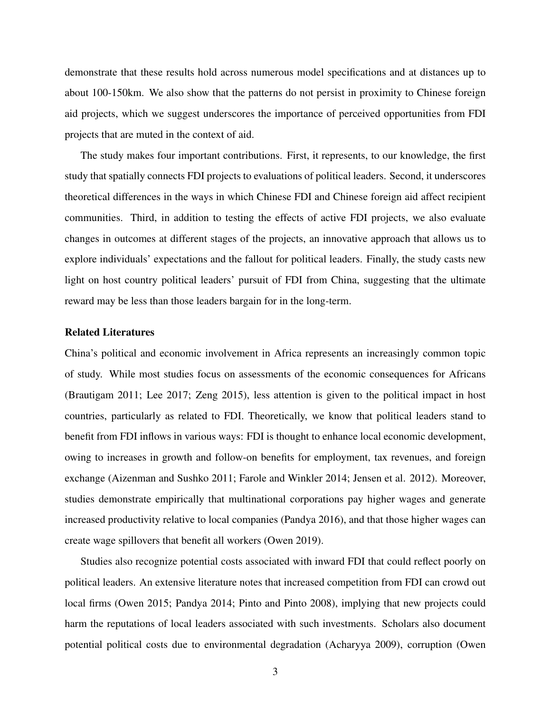demonstrate that these results hold across numerous model specifications and at distances up to about 100-150km. We also show that the patterns do not persist in proximity to Chinese foreign aid projects, which we suggest underscores the importance of perceived opportunities from FDI projects that are muted in the context of aid.

The study makes four important contributions. First, it represents, to our knowledge, the first study that spatially connects FDI projects to evaluations of political leaders. Second, it underscores theoretical differences in the ways in which Chinese FDI and Chinese foreign aid affect recipient communities. Third, in addition to testing the effects of active FDI projects, we also evaluate changes in outcomes at different stages of the projects, an innovative approach that allows us to explore individuals' expectations and the fallout for political leaders. Finally, the study casts new light on host country political leaders' pursuit of FDI from China, suggesting that the ultimate reward may be less than those leaders bargain for in the long-term.

## Related Literatures

China's political and economic involvement in Africa represents an increasingly common topic of study. While most studies focus on assessments of the economic consequences for Africans (Brautigam 2011; Lee 2017; Zeng 2015), less attention is given to the political impact in host countries, particularly as related to FDI. Theoretically, we know that political leaders stand to benefit from FDI inflows in various ways: FDI is thought to enhance local economic development, owing to increases in growth and follow-on benefits for employment, tax revenues, and foreign exchange (Aizenman and Sushko 2011; Farole and Winkler 2014; Jensen et al. 2012). Moreover, studies demonstrate empirically that multinational corporations pay higher wages and generate increased productivity relative to local companies (Pandya 2016), and that those higher wages can create wage spillovers that benefit all workers (Owen 2019).

Studies also recognize potential costs associated with inward FDI that could reflect poorly on political leaders. An extensive literature notes that increased competition from FDI can crowd out local firms (Owen 2015; Pandya 2014; Pinto and Pinto 2008), implying that new projects could harm the reputations of local leaders associated with such investments. Scholars also document potential political costs due to environmental degradation (Acharyya 2009), corruption (Owen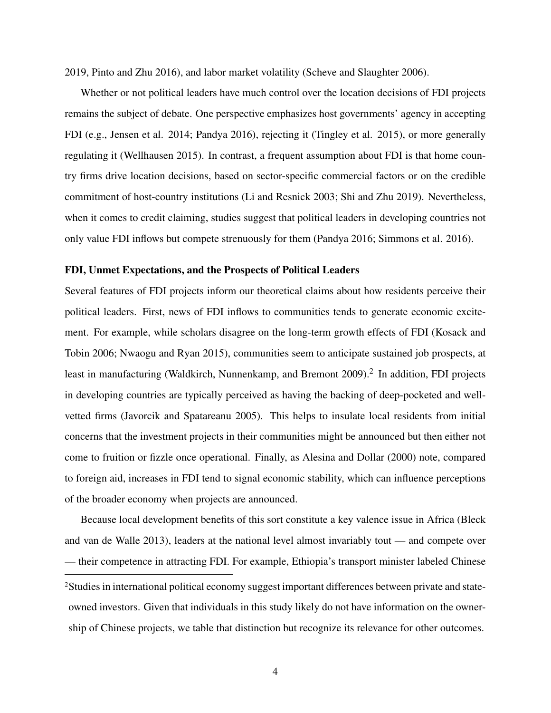2019, Pinto and Zhu 2016), and labor market volatility (Scheve and Slaughter 2006).

Whether or not political leaders have much control over the location decisions of FDI projects remains the subject of debate. One perspective emphasizes host governments' agency in accepting FDI (e.g., Jensen et al. 2014; Pandya 2016), rejecting it (Tingley et al. 2015), or more generally regulating it (Wellhausen 2015). In contrast, a frequent assumption about FDI is that home country firms drive location decisions, based on sector-specific commercial factors or on the credible commitment of host-country institutions (Li and Resnick 2003; Shi and Zhu 2019). Nevertheless, when it comes to credit claiming, studies suggest that political leaders in developing countries not only value FDI inflows but compete strenuously for them (Pandya 2016; Simmons et al. 2016).

#### FDI, Unmet Expectations, and the Prospects of Political Leaders

Several features of FDI projects inform our theoretical claims about how residents perceive their political leaders. First, news of FDI inflows to communities tends to generate economic excitement. For example, while scholars disagree on the long-term growth effects of FDI (Kosack and Tobin 2006; Nwaogu and Ryan 2015), communities seem to anticipate sustained job prospects, at least in manufacturing (Waldkirch, Nunnenkamp, and Bremont 2009).<sup>2</sup> In addition, FDI projects in developing countries are typically perceived as having the backing of deep-pocketed and wellvetted firms (Javorcik and Spatareanu 2005). This helps to insulate local residents from initial concerns that the investment projects in their communities might be announced but then either not come to fruition or fizzle once operational. Finally, as Alesina and Dollar (2000) note, compared to foreign aid, increases in FDI tend to signal economic stability, which can influence perceptions of the broader economy when projects are announced.

Because local development benefits of this sort constitute a key valence issue in Africa (Bleck and van de Walle 2013), leaders at the national level almost invariably tout — and compete over — their competence in attracting FDI. For example, Ethiopia's transport minister labeled Chinese 2Studies in international political economy suggest important differences between private and stateowned investors. Given that individuals in this study likely do not have information on the ownership of Chinese projects, we table that distinction but recognize its relevance for other outcomes.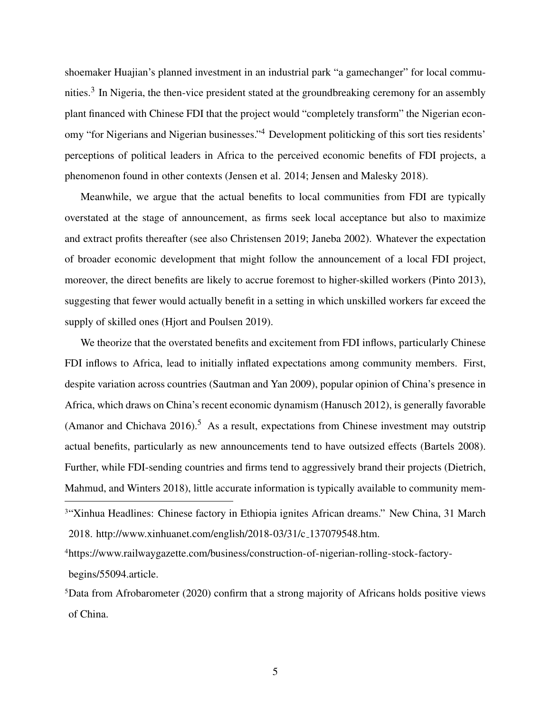shoemaker Huajian's planned investment in an industrial park "a gamechanger" for local communities.<sup>3</sup> In Nigeria, the then-vice president stated at the groundbreaking ceremony for an assembly plant financed with Chinese FDI that the project would "completely transform" the Nigerian economy "for Nigerians and Nigerian businesses."<sup>4</sup> Development politicking of this sort ties residents' perceptions of political leaders in Africa to the perceived economic benefits of FDI projects, a phenomenon found in other contexts (Jensen et al. 2014; Jensen and Malesky 2018).

Meanwhile, we argue that the actual benefits to local communities from FDI are typically overstated at the stage of announcement, as firms seek local acceptance but also to maximize and extract profits thereafter (see also Christensen 2019; Janeba 2002). Whatever the expectation of broader economic development that might follow the announcement of a local FDI project, moreover, the direct benefits are likely to accrue foremost to higher-skilled workers (Pinto 2013), suggesting that fewer would actually benefit in a setting in which unskilled workers far exceed the supply of skilled ones (Hjort and Poulsen 2019).

We theorize that the overstated benefits and excitement from FDI inflows, particularly Chinese FDI inflows to Africa, lead to initially inflated expectations among community members. First, despite variation across countries (Sautman and Yan 2009), popular opinion of China's presence in Africa, which draws on China's recent economic dynamism (Hanusch 2012), is generally favorable (Amanor and Chichava  $2016$ ).<sup>5</sup> As a result, expectations from Chinese investment may outstrip actual benefits, particularly as new announcements tend to have outsized effects (Bartels 2008). Further, while FDI-sending countries and firms tend to aggressively brand their projects (Dietrich, Mahmud, and Winters 2018), little accurate information is typically available to community mem-

4https://www.railwaygazette.com/business/construction-of-nigerian-rolling-stock-factorybegins/55094.article.

<sup>&</sup>lt;sup>3"</sup>Xinhua Headlines: Chinese factory in Ethiopia ignites African dreams." New China, 31 March 2018. http://www.xinhuanet.com/english/2018-03/31/c 137079548.htm.

<sup>5</sup>Data from Afrobarometer (2020) confirm that a strong majority of Africans holds positive views of China.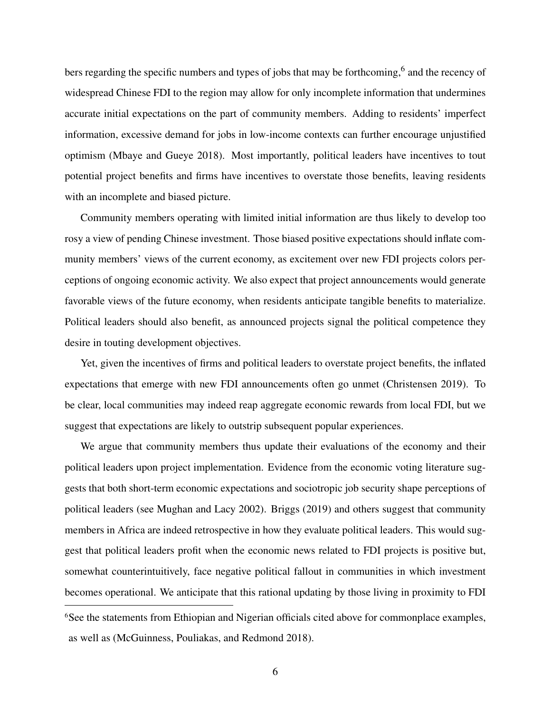bers regarding the specific numbers and types of jobs that may be forthcoming, <sup>6</sup> and the recency of widespread Chinese FDI to the region may allow for only incomplete information that undermines accurate initial expectations on the part of community members. Adding to residents' imperfect information, excessive demand for jobs in low-income contexts can further encourage unjustified optimism (Mbaye and Gueye 2018). Most importantly, political leaders have incentives to tout potential project benefits and firms have incentives to overstate those benefits, leaving residents with an incomplete and biased picture.

Community members operating with limited initial information are thus likely to develop too rosy a view of pending Chinese investment. Those biased positive expectations should inflate community members' views of the current economy, as excitement over new FDI projects colors perceptions of ongoing economic activity. We also expect that project announcements would generate favorable views of the future economy, when residents anticipate tangible benefits to materialize. Political leaders should also benefit, as announced projects signal the political competence they desire in touting development objectives.

Yet, given the incentives of firms and political leaders to overstate project benefits, the inflated expectations that emerge with new FDI announcements often go unmet (Christensen 2019). To be clear, local communities may indeed reap aggregate economic rewards from local FDI, but we suggest that expectations are likely to outstrip subsequent popular experiences.

We argue that community members thus update their evaluations of the economy and their political leaders upon project implementation. Evidence from the economic voting literature suggests that both short-term economic expectations and sociotropic job security shape perceptions of political leaders (see Mughan and Lacy 2002). Briggs (2019) and others suggest that community members in Africa are indeed retrospective in how they evaluate political leaders. This would suggest that political leaders profit when the economic news related to FDI projects is positive but, somewhat counterintuitively, face negative political fallout in communities in which investment becomes operational. We anticipate that this rational updating by those living in proximity to FDI <sup>6</sup>See the statements from Ethiopian and Nigerian officials cited above for commonplace examples,

as well as (McGuinness, Pouliakas, and Redmond 2018).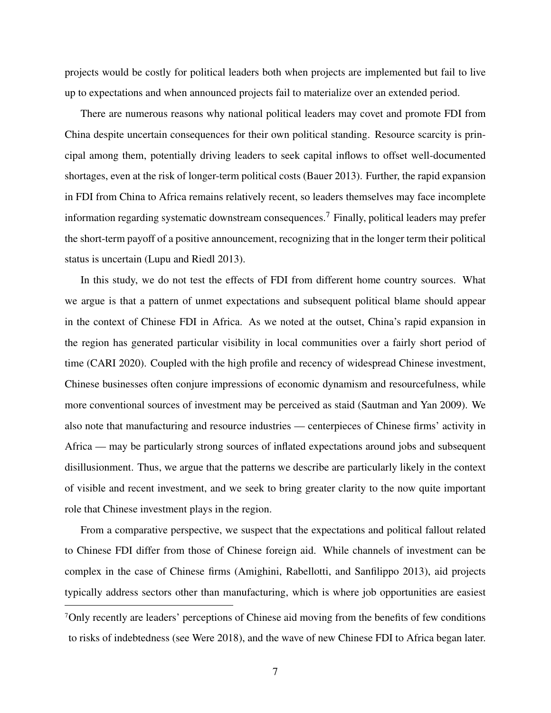projects would be costly for political leaders both when projects are implemented but fail to live up to expectations and when announced projects fail to materialize over an extended period.

There are numerous reasons why national political leaders may covet and promote FDI from China despite uncertain consequences for their own political standing. Resource scarcity is principal among them, potentially driving leaders to seek capital inflows to offset well-documented shortages, even at the risk of longer-term political costs (Bauer 2013). Further, the rapid expansion in FDI from China to Africa remains relatively recent, so leaders themselves may face incomplete information regarding systematic downstream consequences.<sup>7</sup> Finally, political leaders may prefer the short-term payoff of a positive announcement, recognizing that in the longer term their political status is uncertain (Lupu and Riedl 2013).

In this study, we do not test the effects of FDI from different home country sources. What we argue is that a pattern of unmet expectations and subsequent political blame should appear in the context of Chinese FDI in Africa. As we noted at the outset, China's rapid expansion in the region has generated particular visibility in local communities over a fairly short period of time (CARI 2020). Coupled with the high profile and recency of widespread Chinese investment, Chinese businesses often conjure impressions of economic dynamism and resourcefulness, while more conventional sources of investment may be perceived as staid (Sautman and Yan 2009). We also note that manufacturing and resource industries — centerpieces of Chinese firms' activity in Africa — may be particularly strong sources of inflated expectations around jobs and subsequent disillusionment. Thus, we argue that the patterns we describe are particularly likely in the context of visible and recent investment, and we seek to bring greater clarity to the now quite important role that Chinese investment plays in the region.

From a comparative perspective, we suspect that the expectations and political fallout related to Chinese FDI differ from those of Chinese foreign aid. While channels of investment can be complex in the case of Chinese firms (Amighini, Rabellotti, and Sanfilippo 2013), aid projects typically address sectors other than manufacturing, which is where job opportunities are easiest

<sup>7</sup>Only recently are leaders' perceptions of Chinese aid moving from the benefits of few conditions to risks of indebtedness (see Were 2018), and the wave of new Chinese FDI to Africa began later.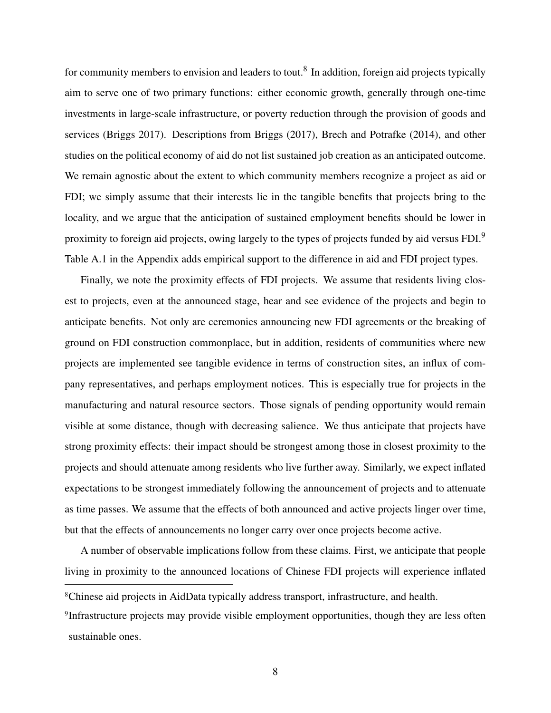for community members to envision and leaders to tout.<sup>8</sup> In addition, foreign aid projects typically aim to serve one of two primary functions: either economic growth, generally through one-time investments in large-scale infrastructure, or poverty reduction through the provision of goods and services (Briggs 2017). Descriptions from Briggs (2017), Brech and Potrafke (2014), and other studies on the political economy of aid do not list sustained job creation as an anticipated outcome. We remain agnostic about the extent to which community members recognize a project as aid or FDI; we simply assume that their interests lie in the tangible benefits that projects bring to the locality, and we argue that the anticipation of sustained employment benefits should be lower in proximity to foreign aid projects, owing largely to the types of projects funded by aid versus FDI.<sup>9</sup> Table A.1 in the Appendix adds empirical support to the difference in aid and FDI project types.

Finally, we note the proximity effects of FDI projects. We assume that residents living closest to projects, even at the announced stage, hear and see evidence of the projects and begin to anticipate benefits. Not only are ceremonies announcing new FDI agreements or the breaking of ground on FDI construction commonplace, but in addition, residents of communities where new projects are implemented see tangible evidence in terms of construction sites, an influx of company representatives, and perhaps employment notices. This is especially true for projects in the manufacturing and natural resource sectors. Those signals of pending opportunity would remain visible at some distance, though with decreasing salience. We thus anticipate that projects have strong proximity effects: their impact should be strongest among those in closest proximity to the projects and should attenuate among residents who live further away. Similarly, we expect inflated expectations to be strongest immediately following the announcement of projects and to attenuate as time passes. We assume that the effects of both announced and active projects linger over time, but that the effects of announcements no longer carry over once projects become active.

A number of observable implications follow from these claims. First, we anticipate that people living in proximity to the announced locations of Chinese FDI projects will experience inflated

<sup>8</sup>Chinese aid projects in AidData typically address transport, infrastructure, and health.

<sup>9</sup> Infrastructure projects may provide visible employment opportunities, though they are less often sustainable ones.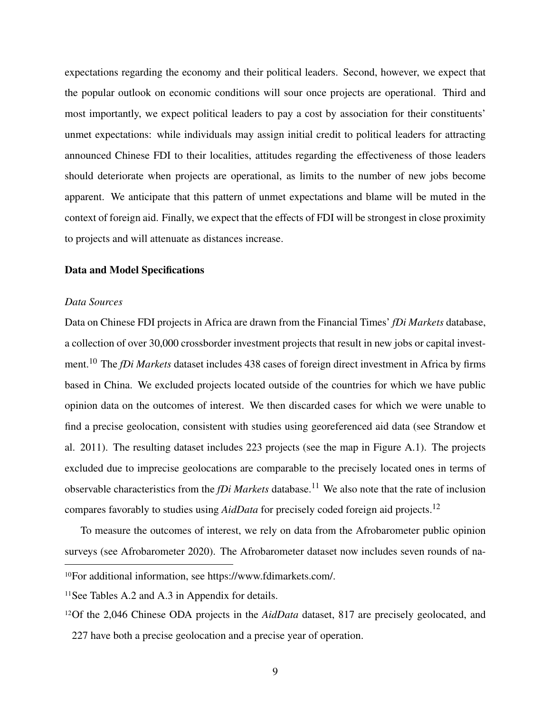expectations regarding the economy and their political leaders. Second, however, we expect that the popular outlook on economic conditions will sour once projects are operational. Third and most importantly, we expect political leaders to pay a cost by association for their constituents' unmet expectations: while individuals may assign initial credit to political leaders for attracting announced Chinese FDI to their localities, attitudes regarding the effectiveness of those leaders should deteriorate when projects are operational, as limits to the number of new jobs become apparent. We anticipate that this pattern of unmet expectations and blame will be muted in the context of foreign aid. Finally, we expect that the effects of FDI will be strongest in close proximity to projects and will attenuate as distances increase.

## Data and Model Specifications

## *Data Sources*

Data on Chinese FDI projects in Africa are drawn from the Financial Times' *fDi Markets* database, a collection of over 30,000 crossborder investment projects that result in new jobs or capital investment.<sup>10</sup> The *fDi Markets* dataset includes 438 cases of foreign direct investment in Africa by firms based in China. We excluded projects located outside of the countries for which we have public opinion data on the outcomes of interest. We then discarded cases for which we were unable to find a precise geolocation, consistent with studies using georeferenced aid data (see Strandow et al. 2011). The resulting dataset includes 223 projects (see the map in Figure A.1). The projects excluded due to imprecise geolocations are comparable to the precisely located ones in terms of observable characteristics from the *fDi Markets* database.<sup>11</sup> We also note that the rate of inclusion compares favorably to studies using *AidData* for precisely coded foreign aid projects.<sup>12</sup>

To measure the outcomes of interest, we rely on data from the Afrobarometer public opinion surveys (see Afrobarometer 2020). The Afrobarometer dataset now includes seven rounds of na-

<sup>10</sup>For additional information, see https://www.fdimarkets.com/.

<sup>&</sup>lt;sup>11</sup>See Tables A.2 and A.3 in Appendix for details.

<sup>12</sup>Of the 2,046 Chinese ODA projects in the *AidData* dataset, 817 are precisely geolocated, and 227 have both a precise geolocation and a precise year of operation.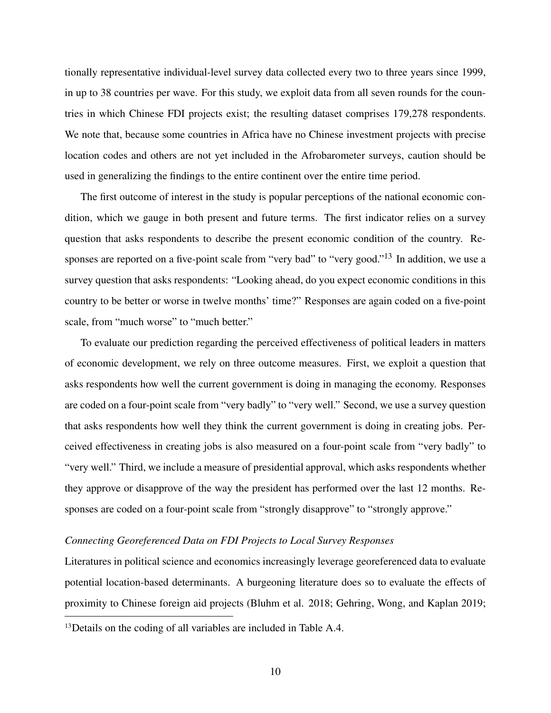tionally representative individual-level survey data collected every two to three years since 1999, in up to 38 countries per wave. For this study, we exploit data from all seven rounds for the countries in which Chinese FDI projects exist; the resulting dataset comprises 179,278 respondents. We note that, because some countries in Africa have no Chinese investment projects with precise location codes and others are not yet included in the Afrobarometer surveys, caution should be used in generalizing the findings to the entire continent over the entire time period.

The first outcome of interest in the study is popular perceptions of the national economic condition, which we gauge in both present and future terms. The first indicator relies on a survey question that asks respondents to describe the present economic condition of the country. Responses are reported on a five-point scale from "very bad" to "very good."<sup>13</sup> In addition, we use a survey question that asks respondents: "Looking ahead, do you expect economic conditions in this country to be better or worse in twelve months' time?" Responses are again coded on a five-point scale, from "much worse" to "much better."

To evaluate our prediction regarding the perceived effectiveness of political leaders in matters of economic development, we rely on three outcome measures. First, we exploit a question that asks respondents how well the current government is doing in managing the economy. Responses are coded on a four-point scale from "very badly" to "very well." Second, we use a survey question that asks respondents how well they think the current government is doing in creating jobs. Perceived effectiveness in creating jobs is also measured on a four-point scale from "very badly" to "very well." Third, we include a measure of presidential approval, which asks respondents whether they approve or disapprove of the way the president has performed over the last 12 months. Responses are coded on a four-point scale from "strongly disapprove" to "strongly approve."

## *Connecting Georeferenced Data on FDI Projects to Local Survey Responses*

Literatures in political science and economics increasingly leverage georeferenced data to evaluate potential location-based determinants. A burgeoning literature does so to evaluate the effects of proximity to Chinese foreign aid projects (Bluhm et al. 2018; Gehring, Wong, and Kaplan 2019;

<sup>&</sup>lt;sup>13</sup>Details on the coding of all variables are included in Table A.4.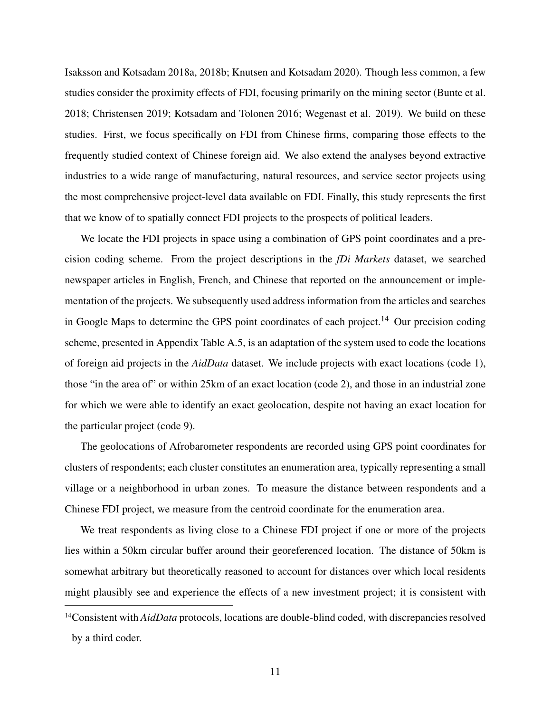Isaksson and Kotsadam 2018a, 2018b; Knutsen and Kotsadam 2020). Though less common, a few studies consider the proximity effects of FDI, focusing primarily on the mining sector (Bunte et al. 2018; Christensen 2019; Kotsadam and Tolonen 2016; Wegenast et al. 2019). We build on these studies. First, we focus specifically on FDI from Chinese firms, comparing those effects to the frequently studied context of Chinese foreign aid. We also extend the analyses beyond extractive industries to a wide range of manufacturing, natural resources, and service sector projects using the most comprehensive project-level data available on FDI. Finally, this study represents the first that we know of to spatially connect FDI projects to the prospects of political leaders.

We locate the FDI projects in space using a combination of GPS point coordinates and a precision coding scheme. From the project descriptions in the *fDi Markets* dataset, we searched newspaper articles in English, French, and Chinese that reported on the announcement or implementation of the projects. We subsequently used address information from the articles and searches in Google Maps to determine the GPS point coordinates of each project.<sup>14</sup> Our precision coding scheme, presented in Appendix Table A.5, is an adaptation of the system used to code the locations of foreign aid projects in the *AidData* dataset. We include projects with exact locations (code 1), those "in the area of" or within 25km of an exact location (code 2), and those in an industrial zone for which we were able to identify an exact geolocation, despite not having an exact location for the particular project (code 9).

The geolocations of Afrobarometer respondents are recorded using GPS point coordinates for clusters of respondents; each cluster constitutes an enumeration area, typically representing a small village or a neighborhood in urban zones. To measure the distance between respondents and a Chinese FDI project, we measure from the centroid coordinate for the enumeration area.

We treat respondents as living close to a Chinese FDI project if one or more of the projects lies within a 50km circular buffer around their georeferenced location. The distance of 50km is somewhat arbitrary but theoretically reasoned to account for distances over which local residents might plausibly see and experience the effects of a new investment project; it is consistent with

<sup>14</sup>Consistent with *AidData* protocols, locations are double-blind coded, with discrepancies resolved by a third coder.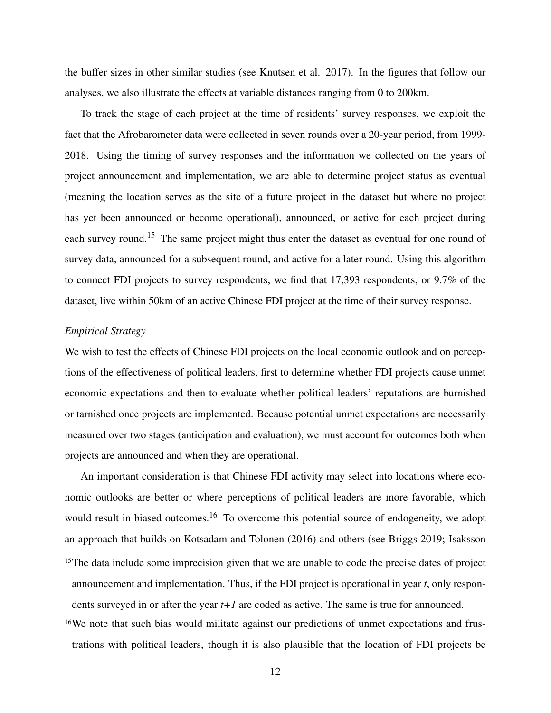the buffer sizes in other similar studies (see Knutsen et al. 2017). In the figures that follow our analyses, we also illustrate the effects at variable distances ranging from 0 to 200km.

To track the stage of each project at the time of residents' survey responses, we exploit the fact that the Afrobarometer data were collected in seven rounds over a 20-year period, from 1999- 2018. Using the timing of survey responses and the information we collected on the years of project announcement and implementation, we are able to determine project status as eventual (meaning the location serves as the site of a future project in the dataset but where no project has yet been announced or become operational), announced, or active for each project during each survey round.<sup>15</sup> The same project might thus enter the dataset as eventual for one round of survey data, announced for a subsequent round, and active for a later round. Using this algorithm to connect FDI projects to survey respondents, we find that 17,393 respondents, or 9.7% of the dataset, live within 50km of an active Chinese FDI project at the time of their survey response.

## *Empirical Strategy*

We wish to test the effects of Chinese FDI projects on the local economic outlook and on perceptions of the effectiveness of political leaders, first to determine whether FDI projects cause unmet economic expectations and then to evaluate whether political leaders' reputations are burnished or tarnished once projects are implemented. Because potential unmet expectations are necessarily measured over two stages (anticipation and evaluation), we must account for outcomes both when projects are announced and when they are operational.

An important consideration is that Chinese FDI activity may select into locations where economic outlooks are better or where perceptions of political leaders are more favorable, which would result in biased outcomes.<sup>16</sup> To overcome this potential source of endogeneity, we adopt an approach that builds on Kotsadam and Tolonen (2016) and others (see Briggs 2019; Isaksson

<sup>16</sup>We note that such bias would militate against our predictions of unmet expectations and frustrations with political leaders, though it is also plausible that the location of FDI projects be

<sup>&</sup>lt;sup>15</sup>The data include some imprecision given that we are unable to code the precise dates of project announcement and implementation. Thus, if the FDI project is operational in year *t*, only respondents surveyed in or after the year *t+1* are coded as active. The same is true for announced.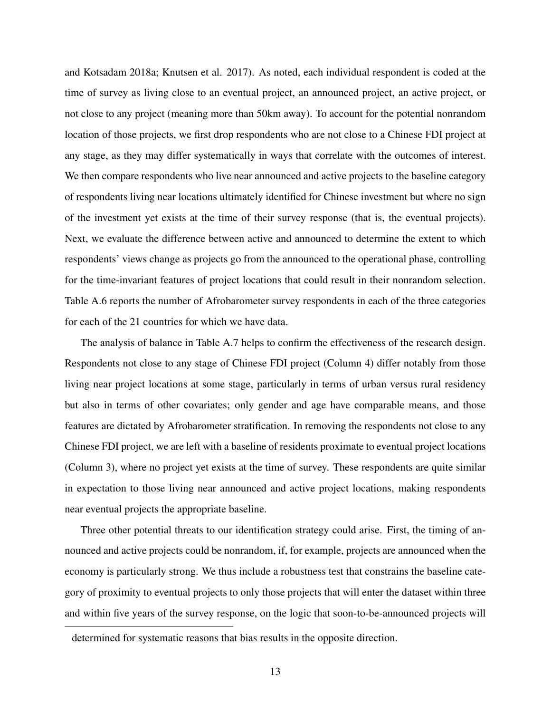and Kotsadam 2018a; Knutsen et al. 2017). As noted, each individual respondent is coded at the time of survey as living close to an eventual project, an announced project, an active project, or not close to any project (meaning more than 50km away). To account for the potential nonrandom location of those projects, we first drop respondents who are not close to a Chinese FDI project at any stage, as they may differ systematically in ways that correlate with the outcomes of interest. We then compare respondents who live near announced and active projects to the baseline category of respondents living near locations ultimately identified for Chinese investment but where no sign of the investment yet exists at the time of their survey response (that is, the eventual projects). Next, we evaluate the difference between active and announced to determine the extent to which respondents' views change as projects go from the announced to the operational phase, controlling for the time-invariant features of project locations that could result in their nonrandom selection. Table A.6 reports the number of Afrobarometer survey respondents in each of the three categories for each of the 21 countries for which we have data.

The analysis of balance in Table A.7 helps to confirm the effectiveness of the research design. Respondents not close to any stage of Chinese FDI project (Column 4) differ notably from those living near project locations at some stage, particularly in terms of urban versus rural residency but also in terms of other covariates; only gender and age have comparable means, and those features are dictated by Afrobarometer stratification. In removing the respondents not close to any Chinese FDI project, we are left with a baseline of residents proximate to eventual project locations (Column 3), where no project yet exists at the time of survey. These respondents are quite similar in expectation to those living near announced and active project locations, making respondents near eventual projects the appropriate baseline.

Three other potential threats to our identification strategy could arise. First, the timing of announced and active projects could be nonrandom, if, for example, projects are announced when the economy is particularly strong. We thus include a robustness test that constrains the baseline category of proximity to eventual projects to only those projects that will enter the dataset within three and within five years of the survey response, on the logic that soon-to-be-announced projects will

determined for systematic reasons that bias results in the opposite direction.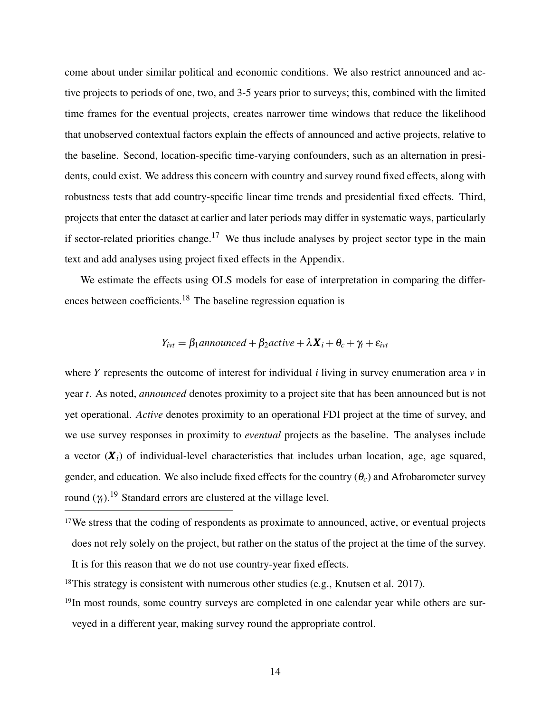come about under similar political and economic conditions. We also restrict announced and active projects to periods of one, two, and 3-5 years prior to surveys; this, combined with the limited time frames for the eventual projects, creates narrower time windows that reduce the likelihood that unobserved contextual factors explain the effects of announced and active projects, relative to the baseline. Second, location-specific time-varying confounders, such as an alternation in presidents, could exist. We address this concern with country and survey round fixed effects, along with robustness tests that add country-specific linear time trends and presidential fixed effects. Third, projects that enter the dataset at earlier and later periods may differ in systematic ways, particularly if sector-related priorities change.<sup>17</sup> We thus include analyses by project sector type in the main text and add analyses using project fixed effects in the Appendix.

We estimate the effects using OLS models for ease of interpretation in comparing the differences between coefficients.<sup>18</sup> The baseline regression equation is

$$
Y_{ivt} = \beta_1 \text{ announced} + \beta_2 \text{active} + \lambda \mathbf{X}_i + \theta_c + \gamma_t + \varepsilon_{ivt}
$$

where *Y* represents the outcome of interest for individual *i* living in survey enumeration area *v* in year *t*. As noted, *announced* denotes proximity to a project site that has been announced but is not yet operational. *Active* denotes proximity to an operational FDI project at the time of survey, and we use survey responses in proximity to *eventual* projects as the baseline. The analyses include a vector  $(X_i)$  of individual-level characteristics that includes urban location, age, age squared, gender, and education. We also include fixed effects for the country (θ*c*) and Afrobarometer survey round  $(\gamma_t)$ .<sup>19</sup> Standard errors are clustered at the village level.

<sup>19</sup>In most rounds, some country surveys are completed in one calendar year while others are surveyed in a different year, making survey round the appropriate control.

<sup>&</sup>lt;sup>17</sup>We stress that the coding of respondents as proximate to announced, active, or eventual projects does not rely solely on the project, but rather on the status of the project at the time of the survey.

It is for this reason that we do not use country-year fixed effects.

 $18$ This strategy is consistent with numerous other studies (e.g., Knutsen et al. 2017).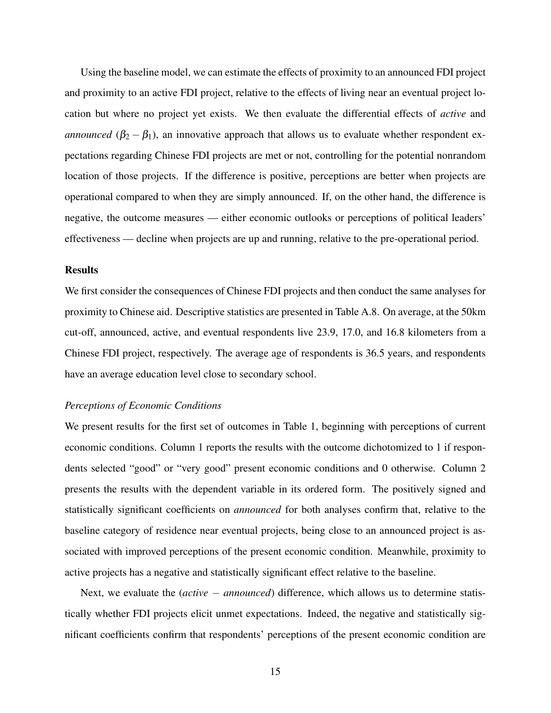Using the baseline model, we can estimate the effects of proximity to an announced FDI project and proximity to an active FDI project, relative to the effects of living near an eventual project location but where no project yet exists. We then evaluate the differential effects of *active* and *announced* ( $\beta_2 - \beta_1$ ), an innovative approach that allows us to evaluate whether respondent expectations regarding Chinese FDI projects are met or not, controlling for the potential nonrandom location of those projects. If the difference is positive, perceptions are better when projects are operational compared to when they are simply announced. If, on the other hand, the difference is negative, the outcome measures — either economic outlooks or perceptions of political leaders' effectiveness — decline when projects are up and running, relative to the pre-operational period.

## Results

We first consider the consequences of Chinese FDI projects and then conduct the same analyses for proximity to Chinese aid. Descriptive statistics are presented in Table A.8. On average, at the 50km cut-off, announced, active, and eventual respondents live 23.9, 17.0, and 16.8 kilometers from a Chinese FDI project, respectively. The average age of respondents is 36.5 years, and respondents have an average education level close to secondary school.

## *Perceptions of Economic Conditions*

We present results for the first set of outcomes in Table 1, beginning with perceptions of current economic conditions. Column 1 reports the results with the outcome dichotomized to 1 if respondents selected "good" or "very good" present economic conditions and 0 otherwise. Column 2 presents the results with the dependent variable in its ordered form. The positively signed and statistically significant coefficients on *announced* for both analyses confirm that, relative to the baseline category of residence near eventual projects, being close to an announced project is associated with improved perceptions of the present economic condition. Meanwhile, proximity to active projects has a negative and statistically significant effect relative to the baseline.

Next, we evaluate the (*active* − *announced*) difference, which allows us to determine statistically whether FDI projects elicit unmet expectations. Indeed, the negative and statistically significant coefficients confirm that respondents' perceptions of the present economic condition are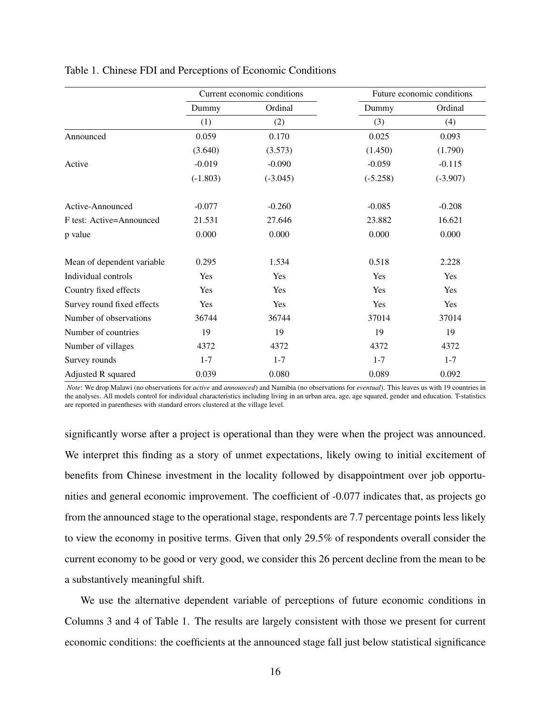|                            |            | Current economic conditions | Future economic conditions |            |  |
|----------------------------|------------|-----------------------------|----------------------------|------------|--|
|                            | Dummy      | Ordinal                     | Dummy                      | Ordinal    |  |
|                            | (1)        | (2)                         | (3)                        | (4)        |  |
| Announced                  | 0.059      | 0.170                       | 0.025                      | 0.093      |  |
|                            | (3.640)    | (3.573)                     | (1.450)                    | (1.790)    |  |
| Active                     | $-0.019$   | $-0.090$                    | $-0.059$                   | $-0.115$   |  |
|                            | $(-1.803)$ | $(-3.045)$                  | $(-5.258)$                 | $(-3.907)$ |  |
| Active-Announced           | $-0.077$   | $-0.260$                    | $-0.085$                   | $-0.208$   |  |
| F test: Active=Announced   | 21.531     | 27.646                      | 23.882                     | 16.621     |  |
| p value                    | 0.000      | 0.000                       | 0.000                      | 0.000      |  |
| Mean of dependent variable | 0.295      | 1.534                       | 0.518                      | 2.228      |  |
| Individual controls        | Yes        | Yes                         | Yes                        | Yes        |  |
| Country fixed effects      | Yes        | Yes                         | Yes                        | Yes        |  |
| Survey round fixed effects | Yes        | Yes                         | Yes                        | Yes        |  |
| Number of observations     | 36744      | 36744                       | 37014                      | 37014      |  |
| Number of countries        | 19         | 19                          | 19                         | 19         |  |
| Number of villages         | 4372       | 4372                        | 4372                       | 4372       |  |
| Survey rounds              | $1 - 7$    | $1 - 7$                     | $1 - 7$                    | $1 - 7$    |  |
| Adjusted R squared         | 0.039      | 0.080                       | 0.089                      | 0.092      |  |

#### Table 1. Chinese FDI and Perceptions of Economic Conditions

*Note*: We drop Malawi (no observations for *active* and *announced*) and Namibia (no observations for *eventual*). This leaves us with 19 countries in the analyses. All models control for individual characteristics including living in an urban area, age, age squared, gender and education. T-statistics are reported in parentheses with standard errors clustered at the village level.

significantly worse after a project is operational than they were when the project was announced. We interpret this finding as a story of unmet expectations, likely owing to initial excitement of benefits from Chinese investment in the locality followed by disappointment over job opportunities and general economic improvement. The coefficient of -0.077 indicates that, as projects go from the announced stage to the operational stage, respondents are 7.7 percentage points less likely to view the economy in positive terms. Given that only 29.5% of respondents overall consider the current economy to be good or very good, we consider this 26 percent decline from the mean to be a substantively meaningful shift.

We use the alternative dependent variable of perceptions of future economic conditions in Columns 3 and 4 of Table 1. The results are largely consistent with those we present for current economic conditions: the coefficients at the announced stage fall just below statistical significance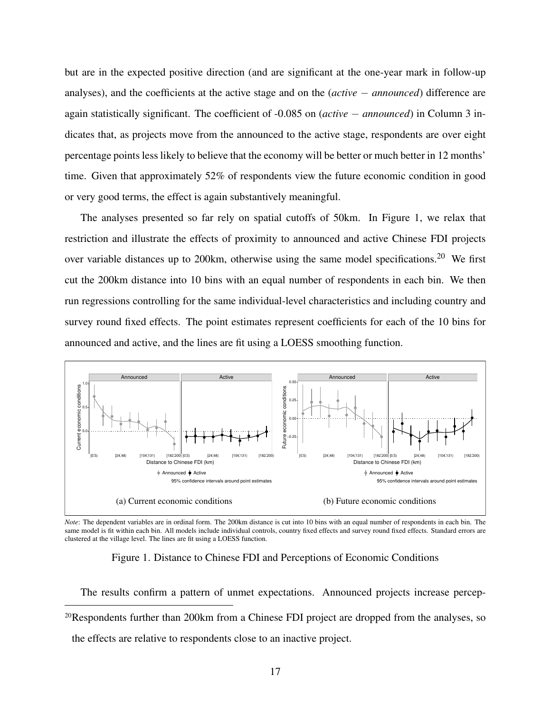but are in the expected positive direction (and are significant at the one-year mark in follow-up analyses), and the coefficients at the active stage and on the (*active* − *announced*) difference are again statistically significant. The coefficient of -0.085 on (*active* − *announced*) in Column 3 indicates that, as projects move from the announced to the active stage, respondents are over eight percentage points less likely to believe that the economy will be better or much better in 12 months' time. Given that approximately 52% of respondents view the future economic condition in good or very good terms, the effect is again substantively meaningful.

The analyses presented so far rely on spatial cutoffs of 50km. In Figure 1, we relax that restriction and illustrate the effects of proximity to announced and active Chinese FDI projects over variable distances up to 200km, otherwise using the same model specifications.<sup>20</sup> We first cut the 200km distance into 10 bins with an equal number of respondents in each bin. We then run regressions controlling for the same individual-level characteristics and including country and survey round fixed effects. The point estimates represent coefficients for each of the 10 bins for announced and active, and the lines are fit using a LOESS smoothing function.



*Note*: The dependent variables are in ordinal form. The 200km distance is cut into 10 bins with an equal number of respondents in each bin. The same model is fit within each bin. All models include individual controls, country fixed effects and survey round fixed effects. Standard errors are clustered at the village level. The lines are fit using a LOESS function.

## Figure 1. Distance to Chinese FDI and Perceptions of Economic Conditions

The results confirm a pattern of unmet expectations. Announced projects increase percep-<sup>20</sup>Respondents further than 200km from a Chinese FDI project are dropped from the analyses, so the effects are relative to respondents close to an inactive project.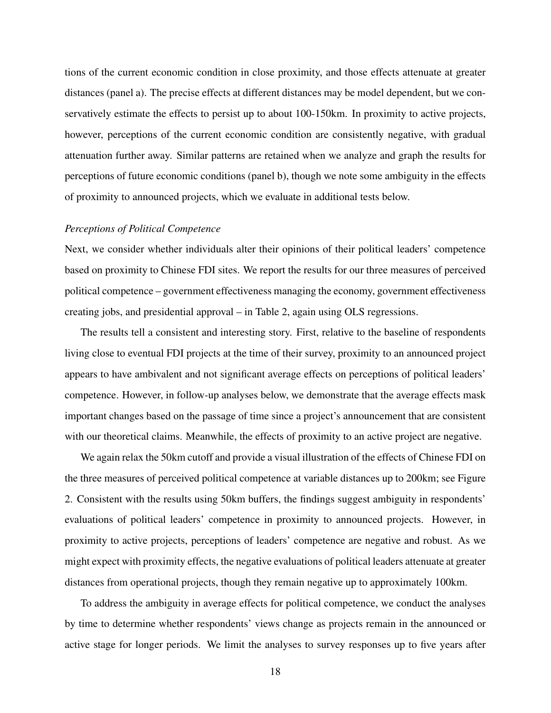tions of the current economic condition in close proximity, and those effects attenuate at greater distances (panel a). The precise effects at different distances may be model dependent, but we conservatively estimate the effects to persist up to about 100-150km. In proximity to active projects, however, perceptions of the current economic condition are consistently negative, with gradual attenuation further away. Similar patterns are retained when we analyze and graph the results for perceptions of future economic conditions (panel b), though we note some ambiguity in the effects of proximity to announced projects, which we evaluate in additional tests below.

#### *Perceptions of Political Competence*

Next, we consider whether individuals alter their opinions of their political leaders' competence based on proximity to Chinese FDI sites. We report the results for our three measures of perceived political competence – government effectiveness managing the economy, government effectiveness creating jobs, and presidential approval – in Table 2, again using OLS regressions.

The results tell a consistent and interesting story. First, relative to the baseline of respondents living close to eventual FDI projects at the time of their survey, proximity to an announced project appears to have ambivalent and not significant average effects on perceptions of political leaders' competence. However, in follow-up analyses below, we demonstrate that the average effects mask important changes based on the passage of time since a project's announcement that are consistent with our theoretical claims. Meanwhile, the effects of proximity to an active project are negative.

We again relax the 50km cutoff and provide a visual illustration of the effects of Chinese FDI on the three measures of perceived political competence at variable distances up to 200km; see Figure 2. Consistent with the results using 50km buffers, the findings suggest ambiguity in respondents' evaluations of political leaders' competence in proximity to announced projects. However, in proximity to active projects, perceptions of leaders' competence are negative and robust. As we might expect with proximity effects, the negative evaluations of political leaders attenuate at greater distances from operational projects, though they remain negative up to approximately 100km.

To address the ambiguity in average effects for political competence, we conduct the analyses by time to determine whether respondents' views change as projects remain in the announced or active stage for longer periods. We limit the analyses to survey responses up to five years after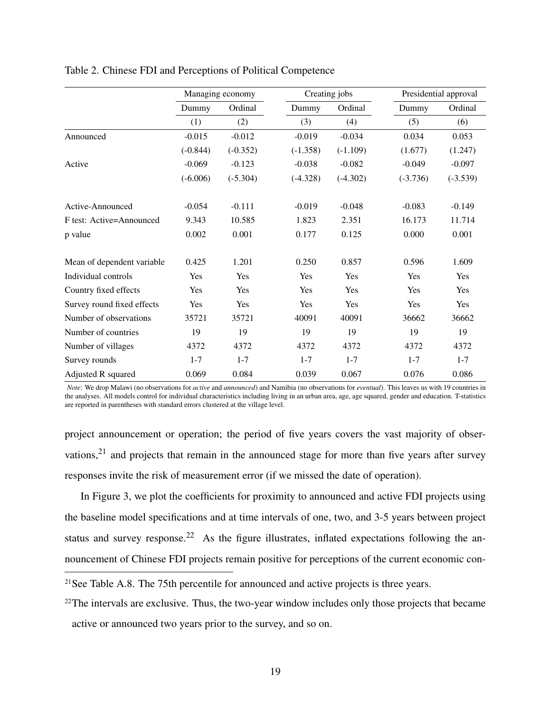|                            | Managing economy |            |            | Creating jobs |            | Presidential approval |  |
|----------------------------|------------------|------------|------------|---------------|------------|-----------------------|--|
|                            | Dummy            | Ordinal    | Dummy      | Ordinal       | Dummy      | Ordinal               |  |
|                            | (1)              | (2)        | (3)        | (4)           | (5)        | (6)                   |  |
| Announced                  | $-0.015$         | $-0.012$   | $-0.019$   | $-0.034$      | 0.034      | 0.053                 |  |
|                            | $(-0.844)$       | $(-0.352)$ | $(-1.358)$ | $(-1.109)$    | (1.677)    | (1.247)               |  |
| Active                     | $-0.069$         | $-0.123$   | $-0.038$   | $-0.082$      | $-0.049$   | $-0.097$              |  |
|                            | $(-6.006)$       | $(-5.304)$ | $(-4.328)$ | $(-4.302)$    | $(-3.736)$ | $(-3.539)$            |  |
| Active-Announced           | $-0.054$         | $-0.111$   | $-0.019$   | $-0.048$      | $-0.083$   | $-0.149$              |  |
| F test: Active=Announced   | 9.343            | 10.585     | 1.823      | 2.351         | 16.173     | 11.714                |  |
| p value                    | 0.002            | 0.001      | 0.177      | 0.125         | 0.000      | 0.001                 |  |
| Mean of dependent variable | 0.425            | 1.201      | 0.250      | 0.857         | 0.596      | 1.609                 |  |
| Individual controls        | Yes              | Yes        | Yes        | Yes           | Yes        | Yes                   |  |
| Country fixed effects      | Yes              | Yes        | Yes        | Yes           | Yes        | Yes                   |  |
| Survey round fixed effects | Yes              | Yes        | Yes        | Yes           | Yes        | Yes                   |  |
| Number of observations     | 35721            | 35721      | 40091      | 40091         | 36662      | 36662                 |  |
| Number of countries        | 19               | 19         | 19         | 19            | 19         | 19                    |  |
| Number of villages         | 4372             | 4372       | 4372       | 4372          | 4372       | 4372                  |  |
| Survey rounds              | $1 - 7$          | $1 - 7$    | $1 - 7$    | $1 - 7$       | $1 - 7$    | $1 - 7$               |  |
| Adjusted R squared         | 0.069            | 0.084      | 0.039      | 0.067         | 0.076      | 0.086                 |  |

## Table 2. Chinese FDI and Perceptions of Political Competence

*Note*: We drop Malawi (no observations for *active* and *announced*) and Namibia (no observations for *eventual*). This leaves us with 19 countries in the analyses. All models control for individual characteristics including living in an urban area, age, age squared, gender and education. T-statistics are reported in parentheses with standard errors clustered at the village level.

project announcement or operation; the period of five years covers the vast majority of observations,<sup>21</sup> and projects that remain in the announced stage for more than five years after survey responses invite the risk of measurement error (if we missed the date of operation).

In Figure 3, we plot the coefficients for proximity to announced and active FDI projects using the baseline model specifications and at time intervals of one, two, and 3-5 years between project status and survey response.<sup>22</sup> As the figure illustrates, inflated expectations following the announcement of Chinese FDI projects remain positive for perceptions of the current economic con-

<sup>&</sup>lt;sup>21</sup>See Table A.8. The 75th percentile for announced and active projects is three years.

<sup>&</sup>lt;sup>22</sup>The intervals are exclusive. Thus, the two-year window includes only those projects that became active or announced two years prior to the survey, and so on.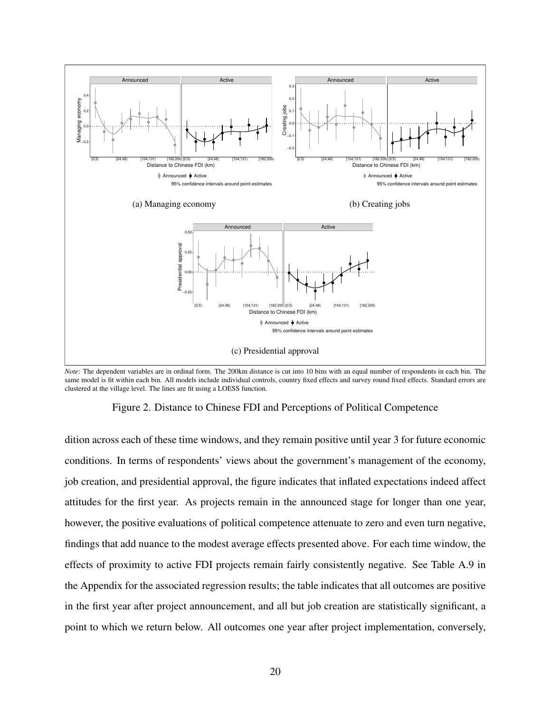

*Note*: The dependent variables are in ordinal form. The 200km distance is cut into 10 bins with an equal number of respondents in each bin. The same model is fit within each bin. All models include individual controls, country fixed effects and survey round fixed effects. Standard errors are clustered at the village level. The lines are fit using a LOESS function.

Figure 2. Distance to Chinese FDI and Perceptions of Political Competence

dition across each of these time windows, and they remain positive until year 3 for future economic conditions. In terms of respondents' views about the government's management of the economy, job creation, and presidential approval, the figure indicates that inflated expectations indeed affect attitudes for the first year. As projects remain in the announced stage for longer than one year, however, the positive evaluations of political competence attenuate to zero and even turn negative, findings that add nuance to the modest average effects presented above. For each time window, the effects of proximity to active FDI projects remain fairly consistently negative. See Table A.9 in the Appendix for the associated regression results; the table indicates that all outcomes are positive in the first year after project announcement, and all but job creation are statistically significant, a point to which we return below. All outcomes one year after project implementation, conversely,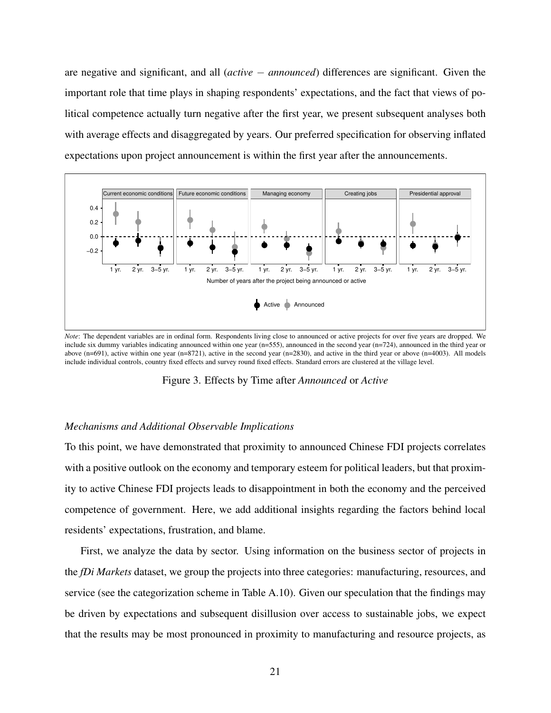are negative and significant, and all (*active* − *announced*) differences are significant. Given the important role that time plays in shaping respondents' expectations, and the fact that views of political competence actually turn negative after the first year, we present subsequent analyses both with average effects and disaggregated by years. Our preferred specification for observing inflated expectations upon project announcement is within the first year after the announcements.



*Note*: The dependent variables are in ordinal form. Respondents living close to announced or active projects for over five years are dropped. We include six dummy variables indicating announced within one year (n=555), announced in the second year (n=724), announced in the third year or above (n=691), active within one year (n=8721), active in the second year (n=2830), and active in the third year or above (n=4003). All models include individual controls, country fixed effects and survey round fixed effects. Standard errors are clustered at the village level.

Figure 3. Effects by Time after *Announced* or *Active*

## *Mechanisms and Additional Observable Implications*

To this point, we have demonstrated that proximity to announced Chinese FDI projects correlates with a positive outlook on the economy and temporary esteem for political leaders, but that proximity to active Chinese FDI projects leads to disappointment in both the economy and the perceived competence of government. Here, we add additional insights regarding the factors behind local residents' expectations, frustration, and blame.

First, we analyze the data by sector. Using information on the business sector of projects in the *fDi Markets* dataset, we group the projects into three categories: manufacturing, resources, and service (see the categorization scheme in Table A.10). Given our speculation that the findings may be driven by expectations and subsequent disillusion over access to sustainable jobs, we expect that the results may be most pronounced in proximity to manufacturing and resource projects, as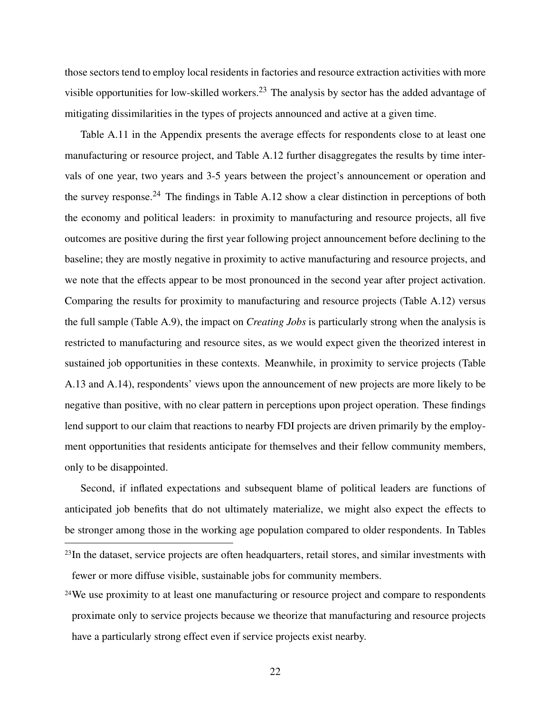those sectors tend to employ local residents in factories and resource extraction activities with more visible opportunities for low-skilled workers.<sup>23</sup> The analysis by sector has the added advantage of mitigating dissimilarities in the types of projects announced and active at a given time.

Table A.11 in the Appendix presents the average effects for respondents close to at least one manufacturing or resource project, and Table A.12 further disaggregates the results by time intervals of one year, two years and 3-5 years between the project's announcement or operation and the survey response.<sup>24</sup> The findings in Table A.12 show a clear distinction in perceptions of both the economy and political leaders: in proximity to manufacturing and resource projects, all five outcomes are positive during the first year following project announcement before declining to the baseline; they are mostly negative in proximity to active manufacturing and resource projects, and we note that the effects appear to be most pronounced in the second year after project activation. Comparing the results for proximity to manufacturing and resource projects (Table A.12) versus the full sample (Table A.9), the impact on *Creating Jobs* is particularly strong when the analysis is restricted to manufacturing and resource sites, as we would expect given the theorized interest in sustained job opportunities in these contexts. Meanwhile, in proximity to service projects (Table A.13 and A.14), respondents' views upon the announcement of new projects are more likely to be negative than positive, with no clear pattern in perceptions upon project operation. These findings lend support to our claim that reactions to nearby FDI projects are driven primarily by the employment opportunities that residents anticipate for themselves and their fellow community members, only to be disappointed.

Second, if inflated expectations and subsequent blame of political leaders are functions of anticipated job benefits that do not ultimately materialize, we might also expect the effects to be stronger among those in the working age population compared to older respondents. In Tables

<sup>24</sup>We use proximity to at least one manufacturing or resource project and compare to respondents proximate only to service projects because we theorize that manufacturing and resource projects have a particularly strong effect even if service projects exist nearby.

<sup>&</sup>lt;sup>23</sup>In the dataset, service projects are often headquarters, retail stores, and similar investments with fewer or more diffuse visible, sustainable jobs for community members.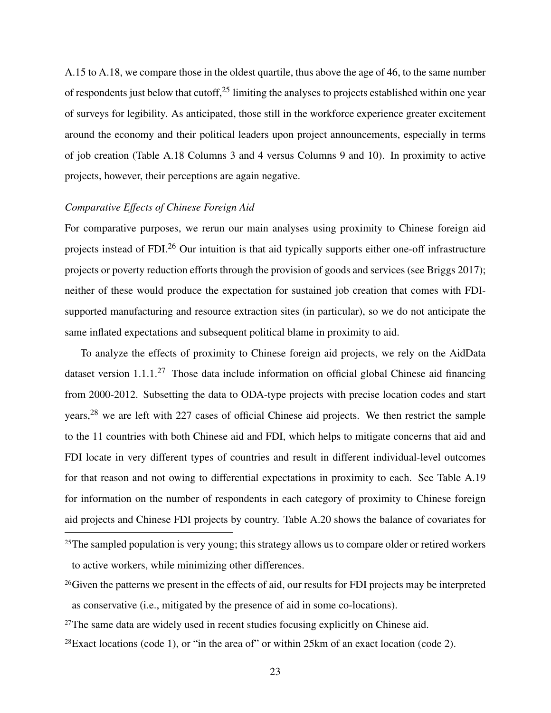A.15 to A.18, we compare those in the oldest quartile, thus above the age of 46, to the same number of respondents just below that cutoff,  $25$  limiting the analyses to projects established within one year of surveys for legibility. As anticipated, those still in the workforce experience greater excitement around the economy and their political leaders upon project announcements, especially in terms of job creation (Table A.18 Columns 3 and 4 versus Columns 9 and 10). In proximity to active projects, however, their perceptions are again negative.

## *Comparative Effects of Chinese Foreign Aid*

For comparative purposes, we rerun our main analyses using proximity to Chinese foreign aid projects instead of FDI.<sup>26</sup> Our intuition is that aid typically supports either one-off infrastructure projects or poverty reduction efforts through the provision of goods and services (see Briggs 2017); neither of these would produce the expectation for sustained job creation that comes with FDIsupported manufacturing and resource extraction sites (in particular), so we do not anticipate the same inflated expectations and subsequent political blame in proximity to aid.

To analyze the effects of proximity to Chinese foreign aid projects, we rely on the AidData dataset version  $1.1.1^{27}$  Those data include information on official global Chinese aid financing from 2000-2012. Subsetting the data to ODA-type projects with precise location codes and start years,<sup>28</sup> we are left with 227 cases of official Chinese aid projects. We then restrict the sample to the 11 countries with both Chinese aid and FDI, which helps to mitigate concerns that aid and FDI locate in very different types of countries and result in different individual-level outcomes for that reason and not owing to differential expectations in proximity to each. See Table A.19 for information on the number of respondents in each category of proximity to Chinese foreign aid projects and Chinese FDI projects by country. Table A.20 shows the balance of covariates for

<sup>&</sup>lt;sup>25</sup>The sampled population is very young; this strategy allows us to compare older or retired workers to active workers, while minimizing other differences.

<sup>&</sup>lt;sup>26</sup>Given the patterns we present in the effects of aid, our results for FDI projects may be interpreted as conservative (i.e., mitigated by the presence of aid in some co-locations).

<sup>&</sup>lt;sup>27</sup>The same data are widely used in recent studies focusing explicitly on Chinese aid.

 $28$ Exact locations (code 1), or "in the area of" or within 25km of an exact location (code 2).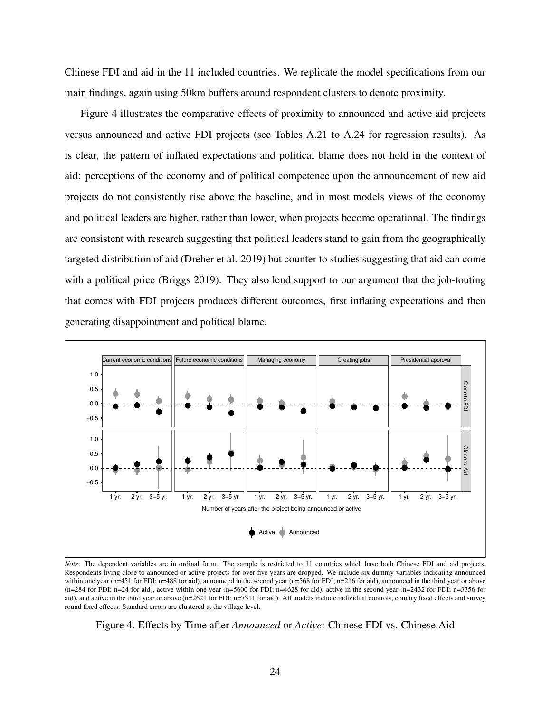Chinese FDI and aid in the 11 included countries. We replicate the model specifications from our main findings, again using 50km buffers around respondent clusters to denote proximity.

Figure 4 illustrates the comparative effects of proximity to announced and active aid projects versus announced and active FDI projects (see Tables A.21 to A.24 for regression results). As is clear, the pattern of inflated expectations and political blame does not hold in the context of aid: perceptions of the economy and of political competence upon the announcement of new aid projects do not consistently rise above the baseline, and in most models views of the economy and political leaders are higher, rather than lower, when projects become operational. The findings are consistent with research suggesting that political leaders stand to gain from the geographically targeted distribution of aid (Dreher et al. 2019) but counter to studies suggesting that aid can come with a political price (Briggs 2019). They also lend support to our argument that the job-touting that comes with FDI projects produces different outcomes, first inflating expectations and then generating disappointment and political blame.



*Note*: The dependent variables are in ordinal form. The sample is restricted to 11 countries which have both Chinese FDI and aid projects. Respondents living close to announced or active projects for over five years are dropped. We include six dummy variables indicating announced within one year (n=451 for FDI; n=488 for aid), announced in the second year (n=568 for FDI; n=216 for aid), announced in the third year or above  $(n=284$  for FDI; n=24 for aid), active within one year  $(n=5600$  for FDI; n=4628 for aid), active in the second year  $(n=2432$  for FDI; n=3356 for aid), and active in the third year or above (n=2621 for FDI; n=7311 for aid). All models include individual controls, country fixed effects and survey round fixed effects. Standard errors are clustered at the village level.

Figure 4. Effects by Time after *Announced* or *Active*: Chinese FDI vs. Chinese Aid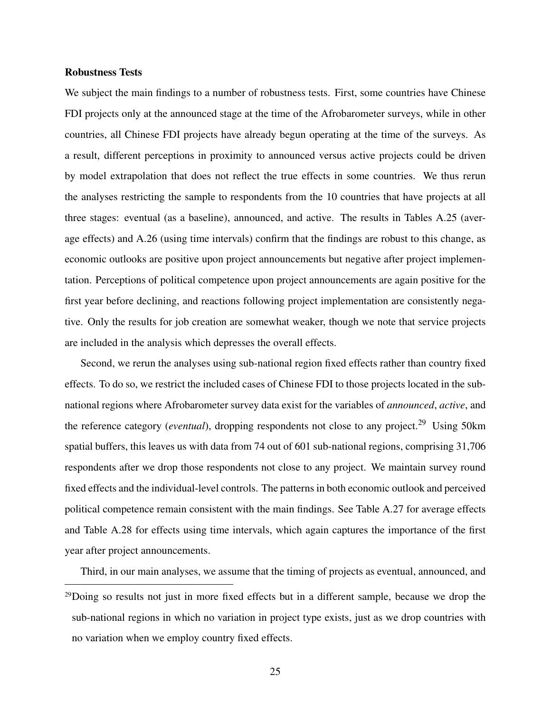## Robustness Tests

We subject the main findings to a number of robustness tests. First, some countries have Chinese FDI projects only at the announced stage at the time of the Afrobarometer surveys, while in other countries, all Chinese FDI projects have already begun operating at the time of the surveys. As a result, different perceptions in proximity to announced versus active projects could be driven by model extrapolation that does not reflect the true effects in some countries. We thus rerun the analyses restricting the sample to respondents from the 10 countries that have projects at all three stages: eventual (as a baseline), announced, and active. The results in Tables A.25 (average effects) and A.26 (using time intervals) confirm that the findings are robust to this change, as economic outlooks are positive upon project announcements but negative after project implementation. Perceptions of political competence upon project announcements are again positive for the first year before declining, and reactions following project implementation are consistently negative. Only the results for job creation are somewhat weaker, though we note that service projects are included in the analysis which depresses the overall effects.

Second, we rerun the analyses using sub-national region fixed effects rather than country fixed effects. To do so, we restrict the included cases of Chinese FDI to those projects located in the subnational regions where Afrobarometer survey data exist for the variables of *announced*, *active*, and the reference category (*eventual*), dropping respondents not close to any project.<sup>29</sup> Using 50km spatial buffers, this leaves us with data from 74 out of 601 sub-national regions, comprising 31,706 respondents after we drop those respondents not close to any project. We maintain survey round fixed effects and the individual-level controls. The patterns in both economic outlook and perceived political competence remain consistent with the main findings. See Table A.27 for average effects and Table A.28 for effects using time intervals, which again captures the importance of the first year after project announcements.

Third, in our main analyses, we assume that the timing of projects as eventual, announced, and

<sup>29</sup>Doing so results not just in more fixed effects but in a different sample, because we drop the sub-national regions in which no variation in project type exists, just as we drop countries with no variation when we employ country fixed effects.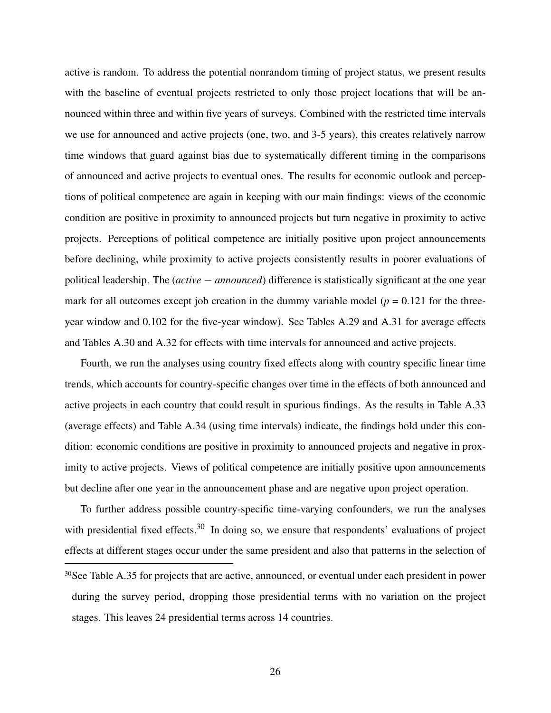active is random. To address the potential nonrandom timing of project status, we present results with the baseline of eventual projects restricted to only those project locations that will be announced within three and within five years of surveys. Combined with the restricted time intervals we use for announced and active projects (one, two, and 3-5 years), this creates relatively narrow time windows that guard against bias due to systematically different timing in the comparisons of announced and active projects to eventual ones. The results for economic outlook and perceptions of political competence are again in keeping with our main findings: views of the economic condition are positive in proximity to announced projects but turn negative in proximity to active projects. Perceptions of political competence are initially positive upon project announcements before declining, while proximity to active projects consistently results in poorer evaluations of political leadership. The (*active* − *announced*) difference is statistically significant at the one year mark for all outcomes except job creation in the dummy variable model ( $p = 0.121$  for the threeyear window and 0.102 for the five-year window). See Tables A.29 and A.31 for average effects and Tables A.30 and A.32 for effects with time intervals for announced and active projects.

Fourth, we run the analyses using country fixed effects along with country specific linear time trends, which accounts for country-specific changes over time in the effects of both announced and active projects in each country that could result in spurious findings. As the results in Table A.33 (average effects) and Table A.34 (using time intervals) indicate, the findings hold under this condition: economic conditions are positive in proximity to announced projects and negative in proximity to active projects. Views of political competence are initially positive upon announcements but decline after one year in the announcement phase and are negative upon project operation.

To further address possible country-specific time-varying confounders, we run the analyses with presidential fixed effects. $30$  In doing so, we ensure that respondents' evaluations of project effects at different stages occur under the same president and also that patterns in the selection of <sup>30</sup>See Table A.35 for projects that are active, announced, or eventual under each president in power during the survey period, dropping those presidential terms with no variation on the project stages. This leaves 24 presidential terms across 14 countries.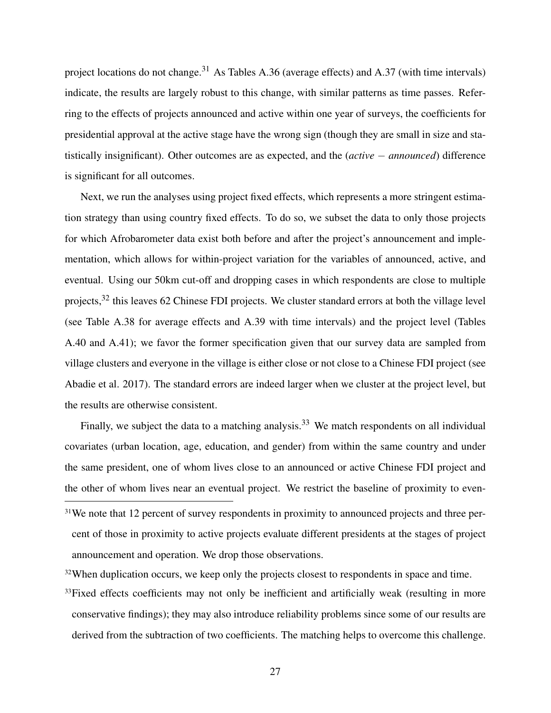project locations do not change.<sup>31</sup> As Tables A.36 (average effects) and A.37 (with time intervals) indicate, the results are largely robust to this change, with similar patterns as time passes. Referring to the effects of projects announced and active within one year of surveys, the coefficients for presidential approval at the active stage have the wrong sign (though they are small in size and statistically insignificant). Other outcomes are as expected, and the (*active* − *announced*) difference is significant for all outcomes.

Next, we run the analyses using project fixed effects, which represents a more stringent estimation strategy than using country fixed effects. To do so, we subset the data to only those projects for which Afrobarometer data exist both before and after the project's announcement and implementation, which allows for within-project variation for the variables of announced, active, and eventual. Using our 50km cut-off and dropping cases in which respondents are close to multiple projects,<sup>32</sup> this leaves 62 Chinese FDI projects. We cluster standard errors at both the village level (see Table A.38 for average effects and A.39 with time intervals) and the project level (Tables A.40 and A.41); we favor the former specification given that our survey data are sampled from village clusters and everyone in the village is either close or not close to a Chinese FDI project (see Abadie et al. 2017). The standard errors are indeed larger when we cluster at the project level, but the results are otherwise consistent.

Finally, we subject the data to a matching analysis.<sup>33</sup> We match respondents on all individual covariates (urban location, age, education, and gender) from within the same country and under the same president, one of whom lives close to an announced or active Chinese FDI project and the other of whom lives near an eventual project. We restrict the baseline of proximity to even-

<sup>31</sup>We note that 12 percent of survey respondents in proximity to announced projects and three percent of those in proximity to active projects evaluate different presidents at the stages of project announcement and operation. We drop those observations.

<sup>32</sup>When duplication occurs, we keep only the projects closest to respondents in space and time.

<sup>33</sup>Fixed effects coefficients may not only be inefficient and artificially weak (resulting in more conservative findings); they may also introduce reliability problems since some of our results are derived from the subtraction of two coefficients. The matching helps to overcome this challenge.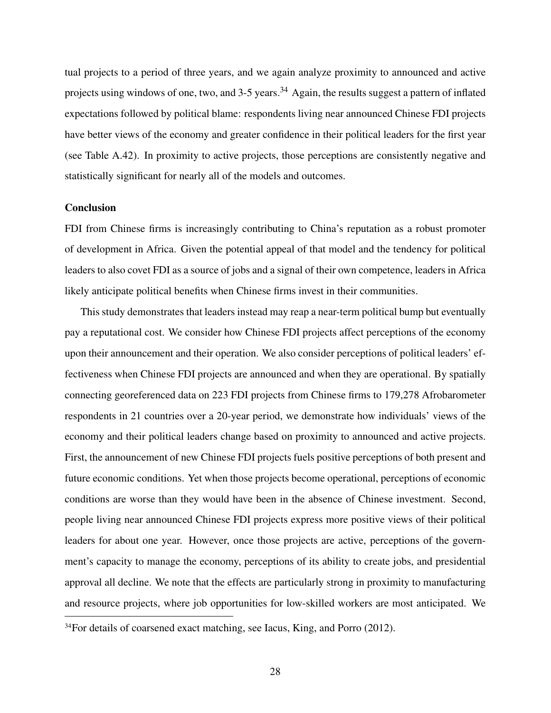tual projects to a period of three years, and we again analyze proximity to announced and active projects using windows of one, two, and  $3-5$  years.<sup>34</sup> Again, the results suggest a pattern of inflated expectations followed by political blame: respondents living near announced Chinese FDI projects have better views of the economy and greater confidence in their political leaders for the first year (see Table A.42). In proximity to active projects, those perceptions are consistently negative and statistically significant for nearly all of the models and outcomes.

## **Conclusion**

FDI from Chinese firms is increasingly contributing to China's reputation as a robust promoter of development in Africa. Given the potential appeal of that model and the tendency for political leaders to also covet FDI as a source of jobs and a signal of their own competence, leaders in Africa likely anticipate political benefits when Chinese firms invest in their communities.

This study demonstrates that leaders instead may reap a near-term political bump but eventually pay a reputational cost. We consider how Chinese FDI projects affect perceptions of the economy upon their announcement and their operation. We also consider perceptions of political leaders' effectiveness when Chinese FDI projects are announced and when they are operational. By spatially connecting georeferenced data on 223 FDI projects from Chinese firms to 179,278 Afrobarometer respondents in 21 countries over a 20-year period, we demonstrate how individuals' views of the economy and their political leaders change based on proximity to announced and active projects. First, the announcement of new Chinese FDI projects fuels positive perceptions of both present and future economic conditions. Yet when those projects become operational, perceptions of economic conditions are worse than they would have been in the absence of Chinese investment. Second, people living near announced Chinese FDI projects express more positive views of their political leaders for about one year. However, once those projects are active, perceptions of the government's capacity to manage the economy, perceptions of its ability to create jobs, and presidential approval all decline. We note that the effects are particularly strong in proximity to manufacturing and resource projects, where job opportunities for low-skilled workers are most anticipated. We

<sup>&</sup>lt;sup>34</sup>For details of coarsened exact matching, see Iacus, King, and Porro (2012).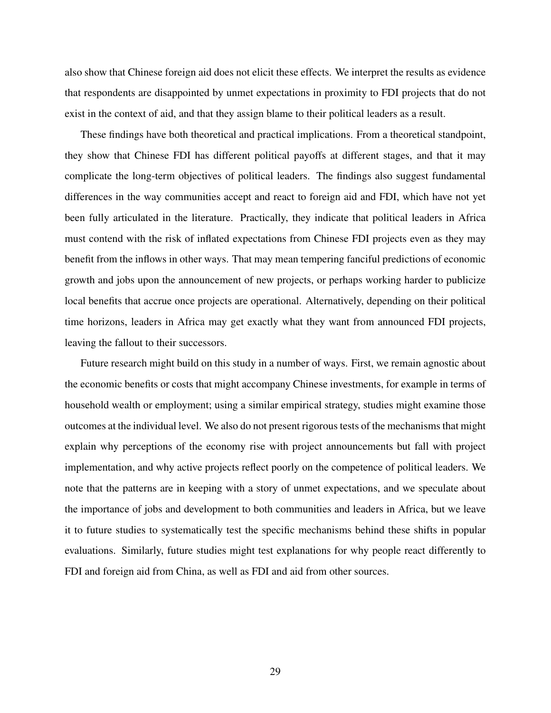also show that Chinese foreign aid does not elicit these effects. We interpret the results as evidence that respondents are disappointed by unmet expectations in proximity to FDI projects that do not exist in the context of aid, and that they assign blame to their political leaders as a result.

These findings have both theoretical and practical implications. From a theoretical standpoint, they show that Chinese FDI has different political payoffs at different stages, and that it may complicate the long-term objectives of political leaders. The findings also suggest fundamental differences in the way communities accept and react to foreign aid and FDI, which have not yet been fully articulated in the literature. Practically, they indicate that political leaders in Africa must contend with the risk of inflated expectations from Chinese FDI projects even as they may benefit from the inflows in other ways. That may mean tempering fanciful predictions of economic growth and jobs upon the announcement of new projects, or perhaps working harder to publicize local benefits that accrue once projects are operational. Alternatively, depending on their political time horizons, leaders in Africa may get exactly what they want from announced FDI projects, leaving the fallout to their successors.

Future research might build on this study in a number of ways. First, we remain agnostic about the economic benefits or costs that might accompany Chinese investments, for example in terms of household wealth or employment; using a similar empirical strategy, studies might examine those outcomes at the individual level. We also do not present rigorous tests of the mechanisms that might explain why perceptions of the economy rise with project announcements but fall with project implementation, and why active projects reflect poorly on the competence of political leaders. We note that the patterns are in keeping with a story of unmet expectations, and we speculate about the importance of jobs and development to both communities and leaders in Africa, but we leave it to future studies to systematically test the specific mechanisms behind these shifts in popular evaluations. Similarly, future studies might test explanations for why people react differently to FDI and foreign aid from China, as well as FDI and aid from other sources.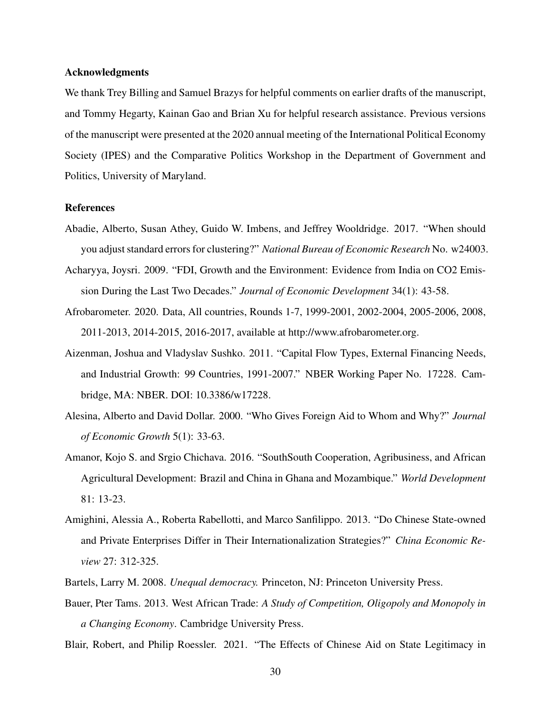## Acknowledgments

We thank Trey Billing and Samuel Brazys for helpful comments on earlier drafts of the manuscript, and Tommy Hegarty, Kainan Gao and Brian Xu for helpful research assistance. Previous versions of the manuscript were presented at the 2020 annual meeting of the International Political Economy Society (IPES) and the Comparative Politics Workshop in the Department of Government and Politics, University of Maryland.

## References

- Abadie, Alberto, Susan Athey, Guido W. Imbens, and Jeffrey Wooldridge. 2017. "When should you adjust standard errors for clustering?" *National Bureau of Economic Research* No. w24003.
- Acharyya, Joysri. 2009. "FDI, Growth and the Environment: Evidence from India on CO2 Emission During the Last Two Decades." *Journal of Economic Development* 34(1): 43-58.
- Afrobarometer. 2020. Data, All countries, Rounds 1-7, 1999-2001, 2002-2004, 2005-2006, 2008, 2011-2013, 2014-2015, 2016-2017, available at http://www.afrobarometer.org.
- Aizenman, Joshua and Vladyslav Sushko. 2011. "Capital Flow Types, External Financing Needs, and Industrial Growth: 99 Countries, 1991-2007." NBER Working Paper No. 17228. Cambridge, MA: NBER. DOI: 10.3386/w17228.
- Alesina, Alberto and David Dollar. 2000. "Who Gives Foreign Aid to Whom and Why?" *Journal of Economic Growth* 5(1): 33-63.
- Amanor, Kojo S. and Srgio Chichava. 2016. "SouthSouth Cooperation, Agribusiness, and African Agricultural Development: Brazil and China in Ghana and Mozambique." *World Development* 81: 13-23.
- Amighini, Alessia A., Roberta Rabellotti, and Marco Sanfilippo. 2013. "Do Chinese State-owned and Private Enterprises Differ in Their Internationalization Strategies?" *China Economic Review* 27: 312-325.
- Bartels, Larry M. 2008. *Unequal democracy.* Princeton, NJ: Princeton University Press.
- Bauer, Pter Tams. 2013. West African Trade: *A Study of Competition, Oligopoly and Monopoly in a Changing Economy*. Cambridge University Press.

Blair, Robert, and Philip Roessler. 2021. "The Effects of Chinese Aid on State Legitimacy in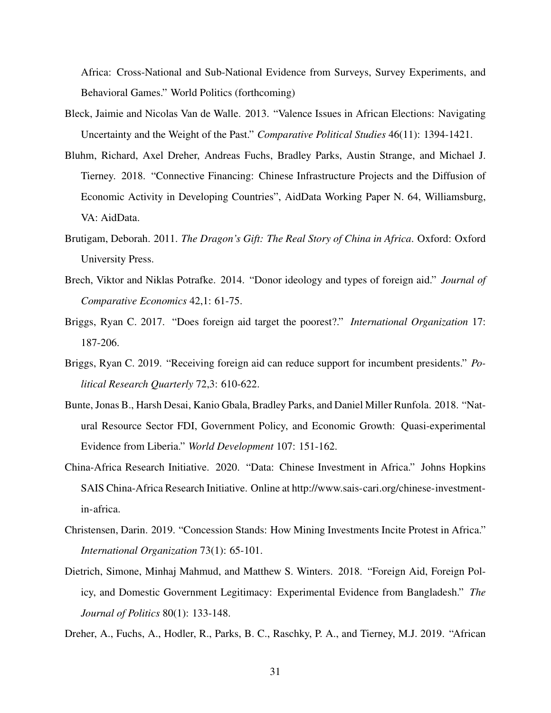Africa: Cross-National and Sub-National Evidence from Surveys, Survey Experiments, and Behavioral Games." World Politics (forthcoming)

- Bleck, Jaimie and Nicolas Van de Walle. 2013. "Valence Issues in African Elections: Navigating Uncertainty and the Weight of the Past." *Comparative Political Studies* 46(11): 1394-1421.
- Bluhm, Richard, Axel Dreher, Andreas Fuchs, Bradley Parks, Austin Strange, and Michael J. Tierney. 2018. "Connective Financing: Chinese Infrastructure Projects and the Diffusion of Economic Activity in Developing Countries", AidData Working Paper N. 64, Williamsburg, VA: AidData.
- Brutigam, Deborah. 2011. *The Dragon's Gift: The Real Story of China in Africa*. Oxford: Oxford University Press.
- Brech, Viktor and Niklas Potrafke. 2014. "Donor ideology and types of foreign aid." *Journal of Comparative Economics* 42,1: 61-75.
- Briggs, Ryan C. 2017. "Does foreign aid target the poorest?." *International Organization* 17: 187-206.
- Briggs, Ryan C. 2019. "Receiving foreign aid can reduce support for incumbent presidents." *Political Research Quarterly* 72,3: 610-622.
- Bunte, Jonas B., Harsh Desai, Kanio Gbala, Bradley Parks, and Daniel Miller Runfola. 2018. "Natural Resource Sector FDI, Government Policy, and Economic Growth: Quasi-experimental Evidence from Liberia." *World Development* 107: 151-162.
- China-Africa Research Initiative. 2020. "Data: Chinese Investment in Africa." Johns Hopkins SAIS China-Africa Research Initiative. Online at http://www.sais-cari.org/chinese-investmentin-africa.
- Christensen, Darin. 2019. "Concession Stands: How Mining Investments Incite Protest in Africa." *International Organization* 73(1): 65-101.
- Dietrich, Simone, Minhaj Mahmud, and Matthew S. Winters. 2018. "Foreign Aid, Foreign Policy, and Domestic Government Legitimacy: Experimental Evidence from Bangladesh." *The Journal of Politics* 80(1): 133-148.
- Dreher, A., Fuchs, A., Hodler, R., Parks, B. C., Raschky, P. A., and Tierney, M.J. 2019. "African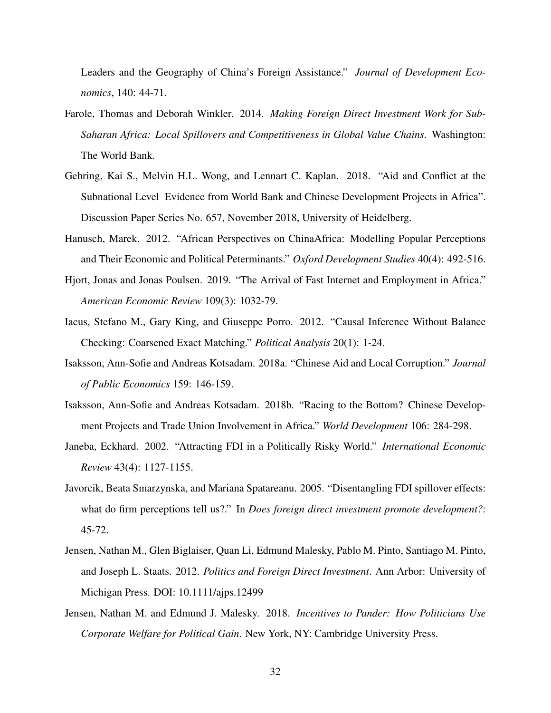Leaders and the Geography of China's Foreign Assistance." *Journal of Development Economics*, 140: 44-71.

- Farole, Thomas and Deborah Winkler. 2014. *Making Foreign Direct Investment Work for Sub-Saharan Africa: Local Spillovers and Competitiveness in Global Value Chains*. Washington: The World Bank.
- Gehring, Kai S., Melvin H.L. Wong, and Lennart C. Kaplan. 2018. "Aid and Conflict at the Subnational Level Evidence from World Bank and Chinese Development Projects in Africa". Discussion Paper Series No. 657, November 2018, University of Heidelberg.
- Hanusch, Marek. 2012. "African Perspectives on ChinaAfrica: Modelling Popular Perceptions and Their Economic and Political Peterminants." *Oxford Development Studies* 40(4): 492-516.
- Hjort, Jonas and Jonas Poulsen. 2019. "The Arrival of Fast Internet and Employment in Africa." *American Economic Review* 109(3): 1032-79.
- Iacus, Stefano M., Gary King, and Giuseppe Porro. 2012. "Causal Inference Without Balance Checking: Coarsened Exact Matching." *Political Analysis* 20(1): 1-24.
- Isaksson, Ann-Sofie and Andreas Kotsadam. 2018a. "Chinese Aid and Local Corruption." *Journal of Public Economics* 159: 146-159.
- Isaksson, Ann-Sofie and Andreas Kotsadam. 2018b. "Racing to the Bottom? Chinese Development Projects and Trade Union Involvement in Africa." *World Development* 106: 284-298.
- Janeba, Eckhard. 2002. "Attracting FDI in a Politically Risky World." *International Economic Review* 43(4): 1127-1155.
- Javorcik, Beata Smarzynska, and Mariana Spatareanu. 2005. "Disentangling FDI spillover effects: what do firm perceptions tell us?." In *Does foreign direct investment promote development?*: 45-72.
- Jensen, Nathan M., Glen Biglaiser, Quan Li, Edmund Malesky, Pablo M. Pinto, Santiago M. Pinto, and Joseph L. Staats. 2012. *Politics and Foreign Direct Investment*. Ann Arbor: University of Michigan Press. DOI: 10.1111/ajps.12499
- Jensen, Nathan M. and Edmund J. Malesky. 2018. *Incentives to Pander: How Politicians Use Corporate Welfare for Political Gain*. New York, NY: Cambridge University Press.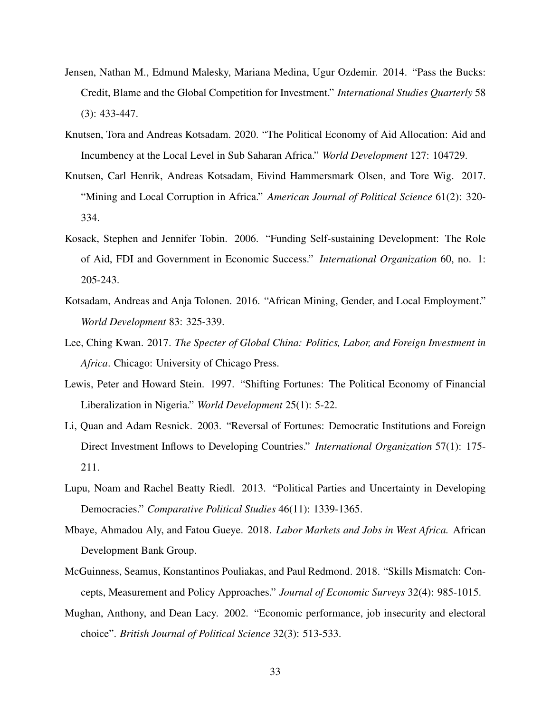- Jensen, Nathan M., Edmund Malesky, Mariana Medina, Ugur Ozdemir. 2014. "Pass the Bucks: Credit, Blame and the Global Competition for Investment." *International Studies Quarterly* 58 (3): 433-447.
- Knutsen, Tora and Andreas Kotsadam. 2020. "The Political Economy of Aid Allocation: Aid and Incumbency at the Local Level in Sub Saharan Africa." *World Development* 127: 104729.
- Knutsen, Carl Henrik, Andreas Kotsadam, Eivind Hammersmark Olsen, and Tore Wig. 2017. "Mining and Local Corruption in Africa." *American Journal of Political Science* 61(2): 320- 334.
- Kosack, Stephen and Jennifer Tobin. 2006. "Funding Self-sustaining Development: The Role of Aid, FDI and Government in Economic Success." *International Organization* 60, no. 1: 205-243.
- Kotsadam, Andreas and Anja Tolonen. 2016. "African Mining, Gender, and Local Employment." *World Development* 83: 325-339.
- Lee, Ching Kwan. 2017. *The Specter of Global China: Politics, Labor, and Foreign Investment in Africa*. Chicago: University of Chicago Press.
- Lewis, Peter and Howard Stein. 1997. "Shifting Fortunes: The Political Economy of Financial Liberalization in Nigeria." *World Development* 25(1): 5-22.
- Li, Quan and Adam Resnick. 2003. "Reversal of Fortunes: Democratic Institutions and Foreign Direct Investment Inflows to Developing Countries." *International Organization* 57(1): 175- 211.
- Lupu, Noam and Rachel Beatty Riedl. 2013. "Political Parties and Uncertainty in Developing Democracies." *Comparative Political Studies* 46(11): 1339-1365.
- Mbaye, Ahmadou Aly, and Fatou Gueye. 2018. *Labor Markets and Jobs in West Africa.* African Development Bank Group.
- McGuinness, Seamus, Konstantinos Pouliakas, and Paul Redmond. 2018. "Skills Mismatch: Concepts, Measurement and Policy Approaches." *Journal of Economic Surveys* 32(4): 985-1015.
- Mughan, Anthony, and Dean Lacy. 2002. "Economic performance, job insecurity and electoral choice". *British Journal of Political Science* 32(3): 513-533.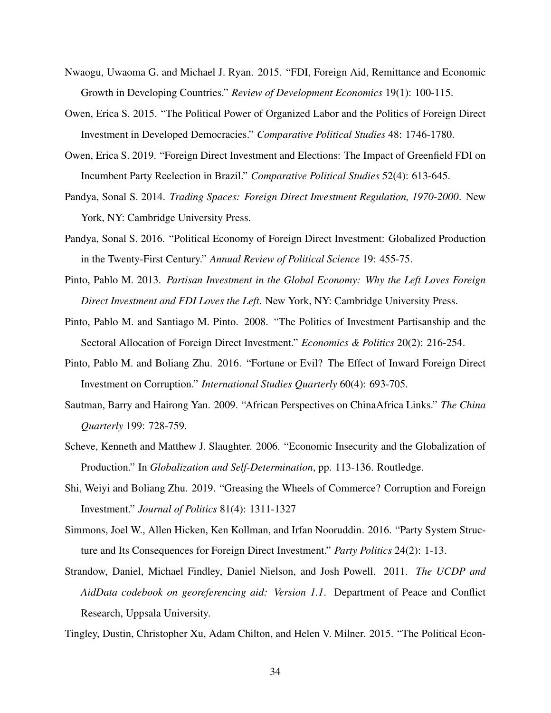- Nwaogu, Uwaoma G. and Michael J. Ryan. 2015. "FDI, Foreign Aid, Remittance and Economic Growth in Developing Countries." *Review of Development Economics* 19(1): 100-115.
- Owen, Erica S. 2015. "The Political Power of Organized Labor and the Politics of Foreign Direct Investment in Developed Democracies." *Comparative Political Studies* 48: 1746-1780.
- Owen, Erica S. 2019. "Foreign Direct Investment and Elections: The Impact of Greenfield FDI on Incumbent Party Reelection in Brazil." *Comparative Political Studies* 52(4): 613-645.
- Pandya, Sonal S. 2014. *Trading Spaces: Foreign Direct Investment Regulation, 1970-2000*. New York, NY: Cambridge University Press.
- Pandya, Sonal S. 2016. "Political Economy of Foreign Direct Investment: Globalized Production in the Twenty-First Century." *Annual Review of Political Science* 19: 455-75.
- Pinto, Pablo M. 2013. *Partisan Investment in the Global Economy: Why the Left Loves Foreign Direct Investment and FDI Loves the Left*. New York, NY: Cambridge University Press.
- Pinto, Pablo M. and Santiago M. Pinto. 2008. "The Politics of Investment Partisanship and the Sectoral Allocation of Foreign Direct Investment." *Economics & Politics* 20(2): 216-254.
- Pinto, Pablo M. and Boliang Zhu. 2016. "Fortune or Evil? The Effect of Inward Foreign Direct Investment on Corruption." *International Studies Quarterly* 60(4): 693-705.
- Sautman, Barry and Hairong Yan. 2009. "African Perspectives on ChinaAfrica Links." *The China Quarterly* 199: 728-759.
- Scheve, Kenneth and Matthew J. Slaughter. 2006. "Economic Insecurity and the Globalization of Production." In *Globalization and Self-Determination*, pp. 113-136. Routledge.
- Shi, Weiyi and Boliang Zhu. 2019. "Greasing the Wheels of Commerce? Corruption and Foreign Investment." *Journal of Politics* 81(4): 1311-1327
- Simmons, Joel W., Allen Hicken, Ken Kollman, and Irfan Nooruddin. 2016. "Party System Structure and Its Consequences for Foreign Direct Investment." *Party Politics* 24(2): 1-13.
- Strandow, Daniel, Michael Findley, Daniel Nielson, and Josh Powell. 2011. *The UCDP and AidData codebook on georeferencing aid: Version 1.1*. Department of Peace and Conflict Research, Uppsala University.
- Tingley, Dustin, Christopher Xu, Adam Chilton, and Helen V. Milner. 2015. "The Political Econ-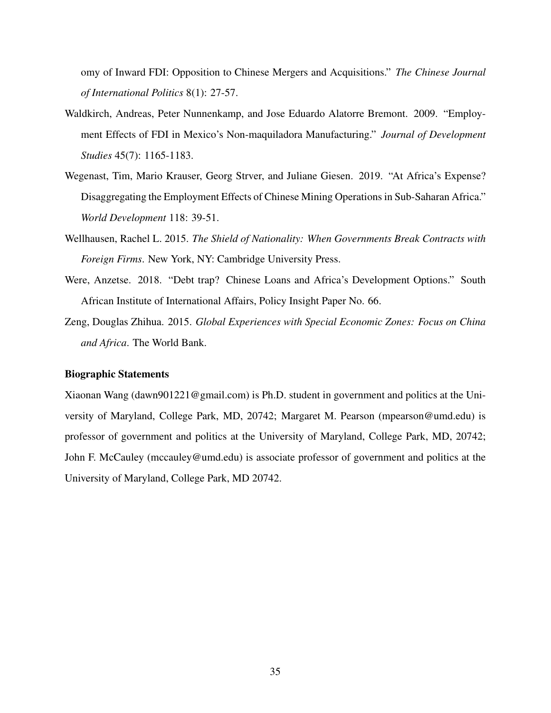omy of Inward FDI: Opposition to Chinese Mergers and Acquisitions." *The Chinese Journal of International Politics* 8(1): 27-57.

- Waldkirch, Andreas, Peter Nunnenkamp, and Jose Eduardo Alatorre Bremont. 2009. "Employment Effects of FDI in Mexico's Non-maquiladora Manufacturing." *Journal of Development Studies* 45(7): 1165-1183.
- Wegenast, Tim, Mario Krauser, Georg Strver, and Juliane Giesen. 2019. "At Africa's Expense? Disaggregating the Employment Effects of Chinese Mining Operations in Sub-Saharan Africa." *World Development* 118: 39-51.
- Wellhausen, Rachel L. 2015. *The Shield of Nationality: When Governments Break Contracts with Foreign Firms*. New York, NY: Cambridge University Press.
- Were, Anzetse. 2018. "Debt trap? Chinese Loans and Africa's Development Options." South African Institute of International Affairs, Policy Insight Paper No. 66.
- Zeng, Douglas Zhihua. 2015. *Global Experiences with Special Economic Zones: Focus on China and Africa*. The World Bank.

## Biographic Statements

Xiaonan Wang (dawn901221@gmail.com) is Ph.D. student in government and politics at the University of Maryland, College Park, MD, 20742; Margaret M. Pearson (mpearson@umd.edu) is professor of government and politics at the University of Maryland, College Park, MD, 20742; John F. McCauley (mccauley@umd.edu) is associate professor of government and politics at the University of Maryland, College Park, MD 20742.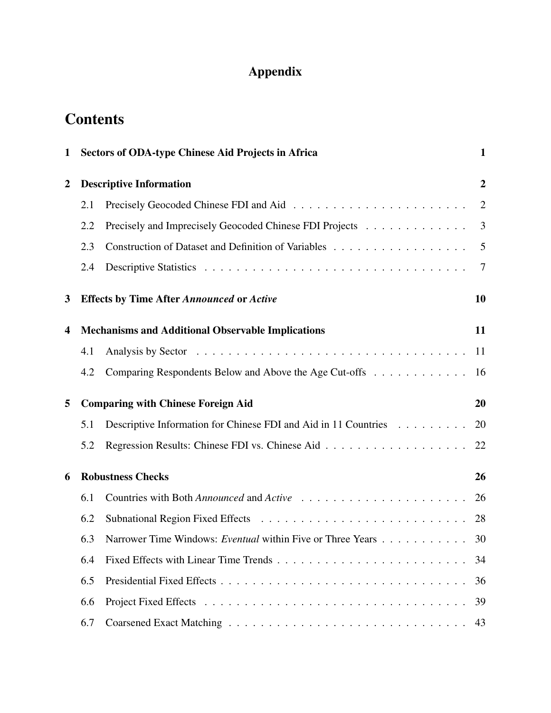# Appendix

# **Contents**

| 1                |     | <b>Sectors of ODA-type Chinese Aid Projects in Africa</b>       | 1                |
|------------------|-----|-----------------------------------------------------------------|------------------|
| $\boldsymbol{2}$ |     | <b>Descriptive Information</b>                                  | $\boldsymbol{2}$ |
|                  | 2.1 |                                                                 | $\overline{2}$   |
|                  | 2.2 | Precisely and Imprecisely Geocoded Chinese FDI Projects         | 3                |
|                  | 2.3 | Construction of Dataset and Definition of Variables             | 5                |
|                  | 2.4 |                                                                 | 7                |
| 3                |     | <b>Effects by Time After Announced or Active</b>                | 10               |
| 4                |     | <b>Mechanisms and Additional Observable Implications</b>        | 11               |
|                  | 4.1 |                                                                 | 11               |
|                  | 4.2 | Comparing Respondents Below and Above the Age Cut-offs          | 16               |
| 5                |     | <b>Comparing with Chinese Foreign Aid</b>                       | 20               |
|                  | 5.1 | Descriptive Information for Chinese FDI and Aid in 11 Countries | 20               |
|                  | 5.2 |                                                                 | 22               |
| 6                |     | <b>Robustness Checks</b>                                        | 26               |
|                  | 6.1 |                                                                 | 26               |
|                  | 6.2 |                                                                 | 28               |
|                  | 6.3 | Narrower Time Windows: Eventual within Five or Three Years      | 30               |
|                  | 6.4 |                                                                 | 34               |
|                  | 6.5 |                                                                 | 36               |
|                  | 6.6 |                                                                 | 39               |
|                  | 6.7 |                                                                 | 43               |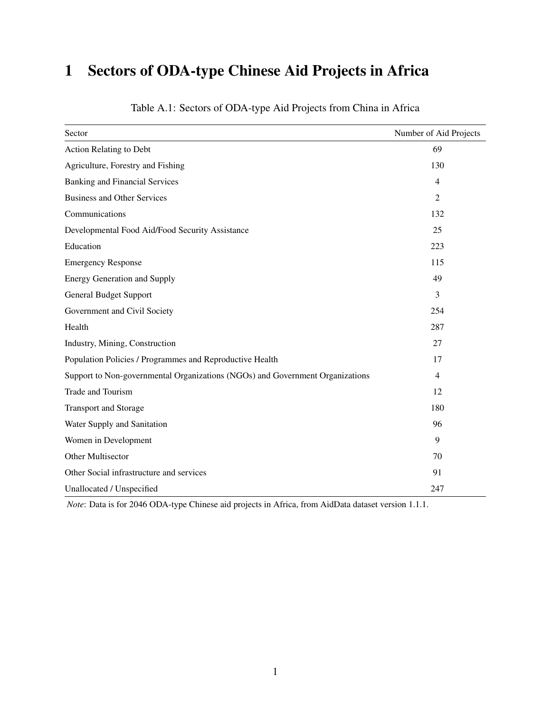# 1 Sectors of ODA-type Chinese Aid Projects in Africa

| Sector                                                                        | Number of Aid Projects |
|-------------------------------------------------------------------------------|------------------------|
| <b>Action Relating to Debt</b>                                                | 69                     |
| Agriculture, Forestry and Fishing                                             | 130                    |
| <b>Banking and Financial Services</b>                                         | $\overline{4}$         |
| <b>Business and Other Services</b>                                            | 2                      |
| Communications                                                                | 132                    |
| Developmental Food Aid/Food Security Assistance                               | 25                     |
| Education                                                                     | 223                    |
| <b>Emergency Response</b>                                                     | 115                    |
| <b>Energy Generation and Supply</b>                                           | 49                     |
| <b>General Budget Support</b>                                                 | 3                      |
| Government and Civil Society                                                  | 254                    |
| Health                                                                        | 287                    |
| Industry, Mining, Construction                                                | 27                     |
| Population Policies / Programmes and Reproductive Health                      | 17                     |
| Support to Non-governmental Organizations (NGOs) and Government Organizations | 4                      |
| Trade and Tourism                                                             | 12                     |
| <b>Transport and Storage</b>                                                  | 180                    |
| Water Supply and Sanitation                                                   | 96                     |
| Women in Development                                                          | 9                      |
| Other Multisector                                                             | 70                     |
| Other Social infrastructure and services                                      | 91                     |
| Unallocated / Unspecified                                                     | 247                    |

Table A.1: Sectors of ODA-type Aid Projects from China in Africa

*Note*: Data is for 2046 ODA-type Chinese aid projects in Africa, from AidData dataset version 1.1.1.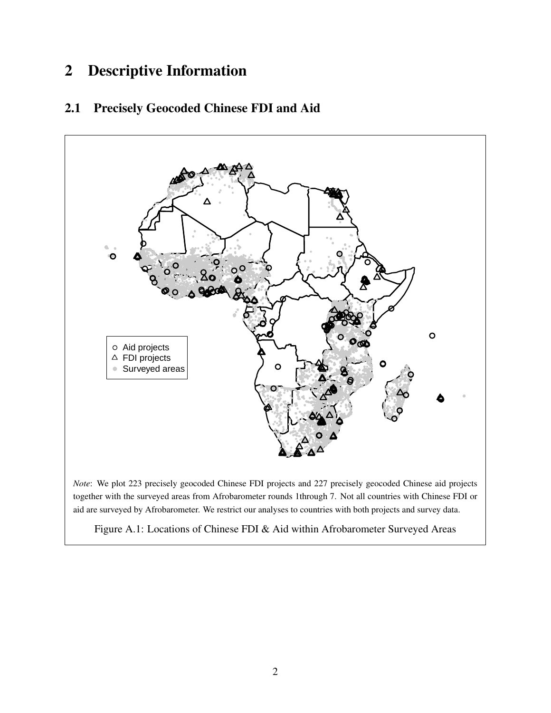#### **Descriptive Information**  $\overline{2}$

#### $2.1$ **Precisely Geocoded Chinese FDI and Aid**



Note: We plot 223 precisely geocoded Chinese FDI projects and 227 precisely geocoded Chinese aid projects together with the surveyed areas from Afrobarometer rounds 1through 7. Not all countries with Chinese FDI or aid are surveyed by Afrobarometer. We restrict our analyses to countries with both projects and survey data.

Figure A.1: Locations of Chinese FDI & Aid within Afrobarometer Surveyed Areas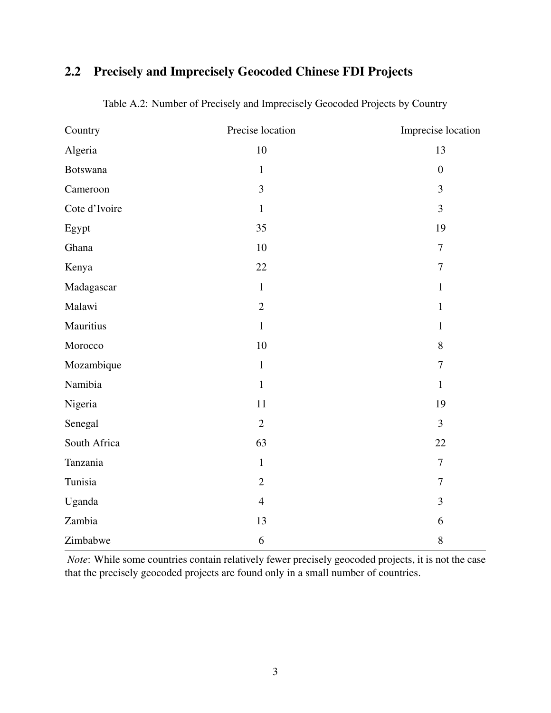## 2.2 Precisely and Imprecisely Geocoded Chinese FDI Projects

| Country       | Precise location | Imprecise location |
|---------------|------------------|--------------------|
| Algeria       | 10               | 13                 |
| Botswana      | $\mathbf{1}$     | $\overline{0}$     |
| Cameroon      | 3                | 3                  |
| Cote d'Ivoire | $\mathbf{1}$     | $\overline{3}$     |
| Egypt         | 35               | 19                 |
| Ghana         | 10               | $\overline{7}$     |
| Kenya         | 22               | $\tau$             |
| Madagascar    | $\mathbf{1}$     | $\mathbf{1}$       |
| Malawi        | $\overline{2}$   | $\mathbf{1}$       |
| Mauritius     | $\mathbf{1}$     | $\mathbf{1}$       |
| Morocco       | 10               | 8                  |
| Mozambique    | $\mathbf{1}$     | $\overline{7}$     |
| Namibia       | $\mathbf{1}$     | $\mathbf{1}$       |
| Nigeria       | 11               | 19                 |
| Senegal       | $\overline{2}$   | $\overline{3}$     |
| South Africa  | 63               | 22                 |
| Tanzania      | $\mathbf{1}$     | $\overline{7}$     |
| Tunisia       | $\overline{2}$   | $\overline{7}$     |
| Uganda        | $\overline{4}$   | 3                  |
| Zambia        | 13               | 6                  |
| Zimbabwe      | 6                | $8\,$              |

Table A.2: Number of Precisely and Imprecisely Geocoded Projects by Country

*Note*: While some countries contain relatively fewer precisely geocoded projects, it is not the case that the precisely geocoded projects are found only in a small number of countries.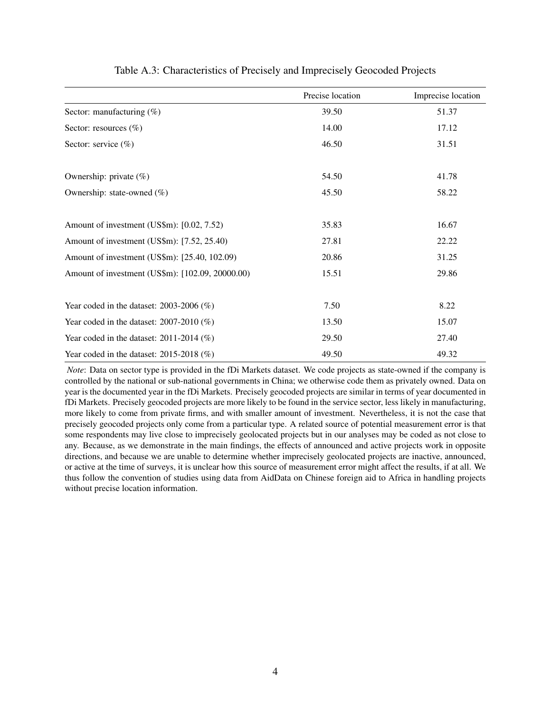|                                                  | Precise location | Imprecise location |
|--------------------------------------------------|------------------|--------------------|
| Sector: manufacturing $(\%)$                     | 39.50            | 51.37              |
| Sector: resources $(\%)$                         | 14.00            | 17.12              |
| Sector: service $(\%)$                           | 46.50            | 31.51              |
| Ownership: private $(\%)$                        | 54.50            | 41.78              |
| Ownership: state-owned $(\%)$                    | 45.50            | 58.22              |
| Amount of investment (US\$m): [0.02, 7.52)       | 35.83            | 16.67              |
| Amount of investment (US\$m): [7.52, 25.40)      | 27.81            | 22.22              |
| Amount of investment (US\$m): [25.40, 102.09)    | 20.86            | 31.25              |
| Amount of investment (US\$m): [102.09, 20000.00) | 15.51            | 29.86              |
| Year coded in the dataset: $2003-2006$ (%)       | 7.50             | 8.22               |
| Year coded in the dataset: $2007-2010$ (%)       | 13.50            | 15.07              |
| Year coded in the dataset: $2011-2014$ (%)       | 29.50            | 27.40              |
| Year coded in the dataset: $2015-2018$ (%)       | 49.50            | 49.32              |

#### Table A.3: Characteristics of Precisely and Imprecisely Geocoded Projects

*Note*: Data on sector type is provided in the fDi Markets dataset. We code projects as state-owned if the company is controlled by the national or sub-national governments in China; we otherwise code them as privately owned. Data on year is the documented year in the fDi Markets. Precisely geocoded projects are similar in terms of year documented in fDi Markets. Precisely geocoded projects are more likely to be found in the service sector, less likely in manufacturing, more likely to come from private firms, and with smaller amount of investment. Nevertheless, it is not the case that precisely geocoded projects only come from a particular type. A related source of potential measurement error is that some respondents may live close to imprecisely geolocated projects but in our analyses may be coded as not close to any. Because, as we demonstrate in the main findings, the effects of announced and active projects work in opposite directions, and because we are unable to determine whether imprecisely geolocated projects are inactive, announced, or active at the time of surveys, it is unclear how this source of measurement error might affect the results, if at all. We thus follow the convention of studies using data from AidData on Chinese foreign aid to Africa in handling projects without precise location information.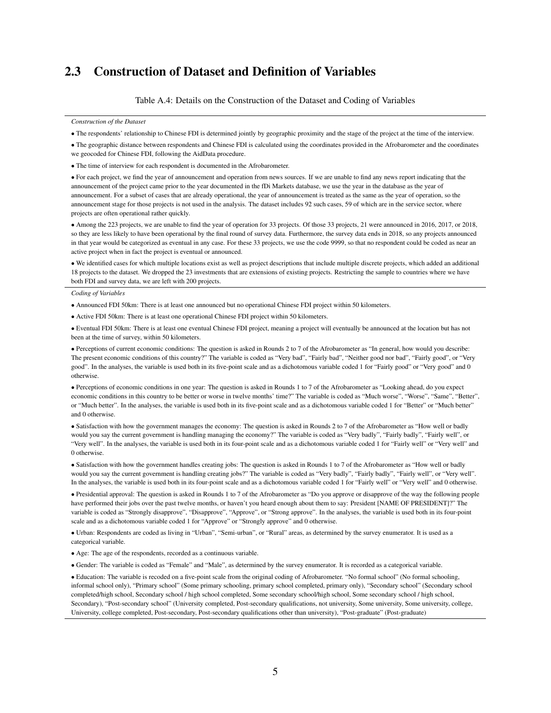#### 2.3 Construction of Dataset and Definition of Variables

Table A.4: Details on the Construction of the Dataset and Coding of Variables

*Construction of the Dataset*

• The respondents' relationship to Chinese FDI is determined jointly by geographic proximity and the stage of the project at the time of the interview.

• The geographic distance between respondents and Chinese FDI is calculated using the coordinates provided in the Afrobarometer and the coordinates we geocoded for Chinese FDI, following the AidData procedure.

• The time of interview for each respondent is documented in the Afrobarometer.

• For each project, we find the year of announcement and operation from news sources. If we are unable to find any news report indicating that the announcement of the project came prior to the year documented in the fDi Markets database, we use the year in the database as the year of announcement. For a subset of cases that are already operational, the year of announcement is treated as the same as the year of operation, so the announcement stage for those projects is not used in the analysis. The dataset includes 92 such cases, 59 of which are in the service sector, where projects are often operational rather quickly.

• Among the 223 projects, we are unable to find the year of operation for 33 projects. Of those 33 projects, 21 were announced in 2016, 2017, or 2018, so they are less likely to have been operational by the final round of survey data. Furthermore, the survey data ends in 2018, so any projects announced in that year would be categorized as eventual in any case. For these 33 projects, we use the code 9999, so that no respondent could be coded as near an active project when in fact the project is eventual or announced.

• We identified cases for which multiple locations exist as well as project descriptions that include multiple discrete projects, which added an additional 18 projects to the dataset. We dropped the 23 investments that are extensions of existing projects. Restricting the sample to countries where we have both FDI and survey data, we are left with 200 projects.

*Coding of Variables*

• Announced FDI 50km: There is at least one announced but no operational Chinese FDI project within 50 kilometers.

• Active FDI 50km: There is at least one operational Chinese FDI project within 50 kilometers.

• Eventual FDI 50km: There is at least one eventual Chinese FDI project, meaning a project will eventually be announced at the location but has not been at the time of survey, within 50 kilometers.

• Perceptions of current economic conditions: The question is asked in Rounds 2 to 7 of the Afrobarometer as "In general, how would you describe: The present economic conditions of this country?" The variable is coded as "Very bad", "Fairly bad", "Neither good nor bad", "Fairly good", or "Very good". In the analyses, the variable is used both in its five-point scale and as a dichotomous variable coded 1 for "Fairly good" or "Very good" and 0 otherwise.

• Perceptions of economic conditions in one year: The question is asked in Rounds 1 to 7 of the Afrobarometer as "Looking ahead, do you expect economic conditions in this country to be better or worse in twelve months' time?" The variable is coded as "Much worse", "Worse", "Same", "Better", or "Much better". In the analyses, the variable is used both in its five-point scale and as a dichotomous variable coded 1 for "Better" or "Much better" and 0 otherwise.

• Satisfaction with how the government manages the economy: The question is asked in Rounds 2 to 7 of the Afrobarometer as "How well or badly would you say the current government is handling managing the economy?" The variable is coded as "Very badly", "Fairly badly", "Fairly well", or "Very well". In the analyses, the variable is used both in its four-point scale and as a dichotomous variable coded 1 for "Fairly well" or "Very well" and 0 otherwise.

• Satisfaction with how the government handles creating jobs: The question is asked in Rounds 1 to 7 of the Afrobarometer as "How well or badly would you say the current government is handling creating jobs?" The variable is coded as "Very badly", "Fairly badly", "Fairly well", or "Very well". In the analyses, the variable is used both in its four-point scale and as a dichotomous variable coded 1 for "Fairly well" or "Very well" and 0 otherwise.

• Presidential approval: The question is asked in Rounds 1 to 7 of the Afrobarometer as "Do you approve or disapprove of the way the following people have performed their jobs over the past twelve months, or haven't you heard enough about them to say: President [NAME OF PRESIDENT]?" The variable is coded as "Strongly disapprove", "Disapprove", "Approve", or "Strong approve". In the analyses, the variable is used both in its four-point scale and as a dichotomous variable coded 1 for "Approve" or "Strongly approve" and 0 otherwise.

• Urban: Respondents are coded as living in "Urban", "Semi-urban", or "Rural" areas, as determined by the survey enumerator. It is used as a categorical variable.

• Age: The age of the respondents, recorded as a continuous variable.

• Gender: The variable is coded as "Female" and "Male", as determined by the survey enumerator. It is recorded as a categorical variable.

• Education: The variable is recoded on a five-point scale from the original coding of Afrobarometer. "No formal school" (No formal schooling, informal school only), "Primary school" (Some primary schooling, primary school completed, primary only), "Secondary school" (Secondary school completed/high school, Secondary school / high school completed, Some secondary school/high school, Some secondary school / high school, Secondary), "Post-secondary school" (University completed, Post-secondary qualifications, not university, Some university, Some university, college, University, college completed, Post-secondary, Post-secondary qualifications other than university), "Post-graduate" (Post-graduate)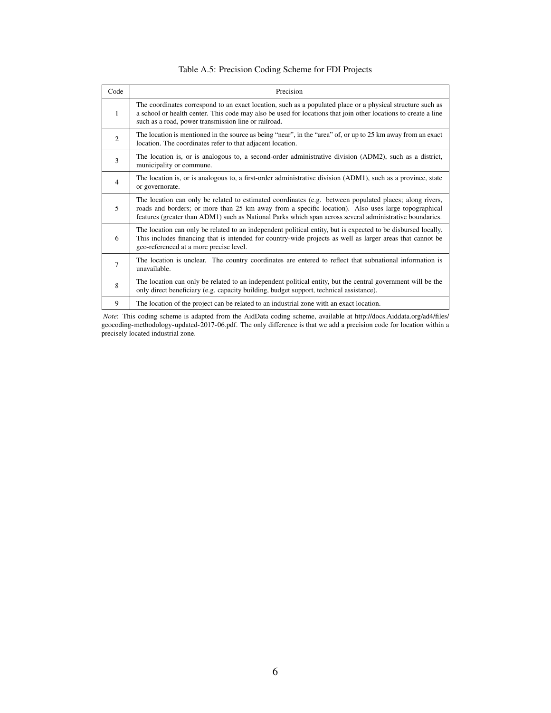| Code           | Precision                                                                                                                                                                                                                                                                                                                  |
|----------------|----------------------------------------------------------------------------------------------------------------------------------------------------------------------------------------------------------------------------------------------------------------------------------------------------------------------------|
| 1              | The coordinates correspond to an exact location, such as a populated place or a physical structure such as<br>a school or health center. This code may also be used for locations that join other locations to create a line<br>such as a road, power transmission line or railroad.                                       |
| 2              | The location is mentioned in the source as being "near", in the "area" of, or up to 25 km away from an exact<br>location. The coordinates refer to that adjacent location.                                                                                                                                                 |
| 3              | The location is, or is analogous to, a second-order administrative division (ADM2), such as a district,<br>municipality or commune.                                                                                                                                                                                        |
| $\overline{4}$ | The location is, or is analogous to, a first-order administrative division (ADM1), such as a province, state<br>or governorate.                                                                                                                                                                                            |
| 5              | The location can only be related to estimated coordinates (e.g. between populated places; along rivers,<br>roads and borders; or more than 25 km away from a specific location). Also uses large topographical<br>features (greater than ADM1) such as National Parks which span across several administrative boundaries. |
| 6              | The location can only be related to an independent political entity, but is expected to be disbursed locally.<br>This includes financing that is intended for country-wide projects as well as larger areas that cannot be<br>geo-referenced at a more precise level.                                                      |
| 7              | The location is unclear. The country coordinates are entered to reflect that subnational information is<br>unavailable.                                                                                                                                                                                                    |
| 8              | The location can only be related to an independent political entity, but the central government will be the<br>only direct beneficiary (e.g. capacity building, budget support, technical assistance).                                                                                                                     |
| 9              | The location of the project can be related to an industrial zone with an exact location.                                                                                                                                                                                                                                   |

#### Table A.5: Precision Coding Scheme for FDI Projects

*Note*: This coding scheme is adapted from the AidData coding scheme, available at http://docs.Aiddata.org/ad4/files/ geocoding-methodology-updated-2017-06.pdf. The only difference is that we add a precision code for location within a precisely located industrial zone.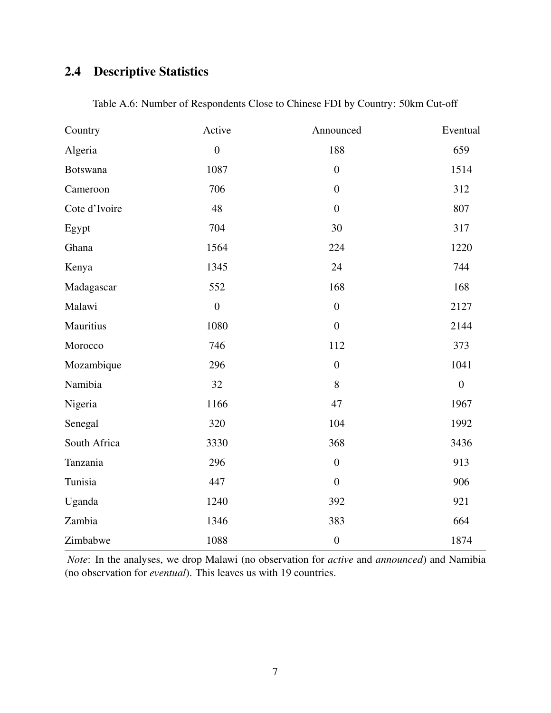## 2.4 Descriptive Statistics

| Country       | Active           | Announced        | Eventual       |
|---------------|------------------|------------------|----------------|
| Algeria       | $\overline{0}$   | 188              | 659            |
| Botswana      | 1087             | $\overline{0}$   | 1514           |
| Cameroon      | 706              | $\overline{0}$   | 312            |
| Cote d'Ivoire | 48               | $\boldsymbol{0}$ | 807            |
| Egypt         | 704              | 30               | 317            |
| Ghana         | 1564             | 224              | 1220           |
| Kenya         | 1345             | 24               | 744            |
| Madagascar    | 552              | 168              | 168            |
| Malawi        | $\boldsymbol{0}$ | $\boldsymbol{0}$ | 2127           |
| Mauritius     | 1080             | $\boldsymbol{0}$ | 2144           |
| Morocco       | 746              | 112              | 373            |
| Mozambique    | 296              | $\overline{0}$   | 1041           |
| Namibia       | 32               | 8                | $\overline{0}$ |
| Nigeria       | 1166             | 47               | 1967           |
| Senegal       | 320              | 104              | 1992           |
| South Africa  | 3330             | 368              | 3436           |
| Tanzania      | 296              | $\boldsymbol{0}$ | 913            |
| Tunisia       | 447              | $\overline{0}$   | 906            |
| Uganda        | 1240             | 392              | 921            |
| Zambia        | 1346             | 383              | 664            |
| Zimbabwe      | 1088             | $\boldsymbol{0}$ | 1874           |

Table A.6: Number of Respondents Close to Chinese FDI by Country: 50km Cut-off

*Note*: In the analyses, we drop Malawi (no observation for *active* and *announced*) and Namibia (no observation for *eventual*). This leaves us with 19 countries.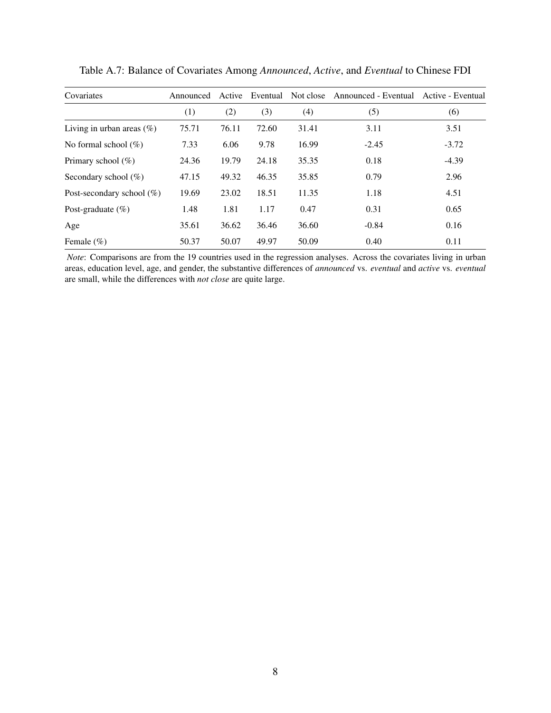| Covariates                   | Announced | Active |       |       | Eventual Not close Announced - Eventual | Active - Eventual |
|------------------------------|-----------|--------|-------|-------|-----------------------------------------|-------------------|
|                              | (1)       | (2)    | (3)   | (4)   | (5)                                     | (6)               |
| Living in urban areas $(\%)$ | 75.71     | 76.11  | 72.60 | 31.41 | 3.11                                    | 3.51              |
| No formal school $(\%)$      | 7.33      | 6.06   | 9.78  | 16.99 | $-2.45$                                 | $-3.72$           |
| Primary school $(\%)$        | 24.36     | 19.79  | 24.18 | 35.35 | 0.18                                    | $-4.39$           |
| Secondary school $(\%)$      | 47.15     | 49.32  | 46.35 | 35.85 | 0.79                                    | 2.96              |
| Post-secondary school $(\%)$ | 19.69     | 23.02  | 18.51 | 11.35 | 1.18                                    | 4.51              |
| Post-graduate $(\%)$         | 1.48      | 1.81   | 1.17  | 0.47  | 0.31                                    | 0.65              |
| Age                          | 35.61     | 36.62  | 36.46 | 36.60 | $-0.84$                                 | 0.16              |
| Female $(\% )$               | 50.37     | 50.07  | 49.97 | 50.09 | 0.40                                    | 0.11              |

Table A.7: Balance of Covariates Among *Announced*, *Active*, and *Eventual* to Chinese FDI

*Note*: Comparisons are from the 19 countries used in the regression analyses. Across the covariates living in urban areas, education level, age, and gender, the substantive differences of *announced* vs. *eventual* and *active* vs. *eventual* are small, while the differences with *not close* are quite large.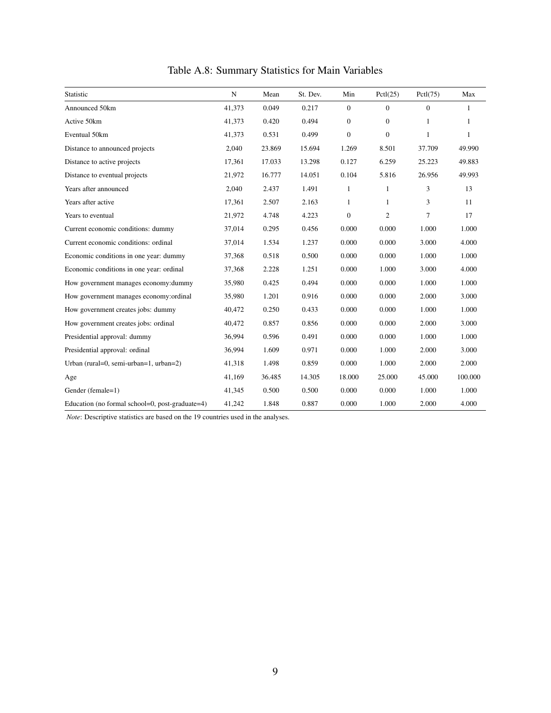| Statistic                                       | N      | Mean   | St. Dev. | Min          | Pctl(25)         | Pctl(75)     | Max          |
|-------------------------------------------------|--------|--------|----------|--------------|------------------|--------------|--------------|
| Announced 50km                                  | 41,373 | 0.049  | 0.217    | $\mathbf{0}$ | $\mathbf{0}$     | $\mathbf{0}$ | 1            |
| Active 50km                                     | 41,373 | 0.420  | 0.494    | $\mathbf{0}$ | $\boldsymbol{0}$ | 1            | $\mathbf{1}$ |
| Eventual 50km                                   | 41,373 | 0.531  | 0.499    | $\mathbf{0}$ | $\mathbf{0}$     | 1            | $\mathbf{1}$ |
| Distance to announced projects                  | 2,040  | 23.869 | 15.694   | 1.269        | 8.501            | 37.709       | 49.990       |
| Distance to active projects                     | 17,361 | 17.033 | 13.298   | 0.127        | 6.259            | 25.223       | 49.883       |
| Distance to eventual projects                   | 21,972 | 16.777 | 14.051   | 0.104        | 5.816            | 26.956       | 49.993       |
| Years after announced                           | 2,040  | 2.437  | 1.491    | $\mathbf{1}$ | $\mathbf{1}$     | 3            | 13           |
| Years after active                              | 17,361 | 2.507  | 2.163    | -1           | 1                | 3            | 11           |
| Years to eventual                               | 21,972 | 4.748  | 4.223    | $\mathbf{0}$ | 2                | 7            | 17           |
| Current economic conditions: dummy              | 37,014 | 0.295  | 0.456    | 0.000        | 0.000            | 1.000        | 1.000        |
| Current economic conditions: ordinal            | 37,014 | 1.534  | 1.237    | 0.000        | 0.000            | 3.000        | 4.000        |
| Economic conditions in one year: dummy          | 37,368 | 0.518  | 0.500    | 0.000        | 0.000            | 1.000        | 1.000        |
| Economic conditions in one year: ordinal        | 37,368 | 2.228  | 1.251    | 0.000        | 1.000            | 3.000        | 4.000        |
| How government manages economy: dummy           | 35,980 | 0.425  | 0.494    | 0.000        | 0.000            | 1.000        | 1.000        |
| How government manages economy:ordinal          | 35,980 | 1.201  | 0.916    | 0.000        | 0.000            | 2.000        | 3.000        |
| How government creates jobs: dummy              | 40,472 | 0.250  | 0.433    | 0.000        | 0.000            | 1.000        | 1.000        |
| How government creates jobs: ordinal            | 40,472 | 0.857  | 0.856    | 0.000        | 0.000            | 2.000        | 3.000        |
| Presidential approval: dummy                    | 36,994 | 0.596  | 0.491    | 0.000        | 0.000            | 1.000        | 1.000        |
| Presidential approval: ordinal                  | 36,994 | 1.609  | 0.971    | 0.000        | 1.000            | 2.000        | 3.000        |
| Urban (rural=0, semi-urban=1, urban=2)          | 41,318 | 1.498  | 0.859    | 0.000        | 1.000            | 2.000        | 2.000        |
| Age                                             | 41,169 | 36.485 | 14.305   | 18.000       | 25.000           | 45.000       | 100.000      |
| Gender (female=1)                               | 41,345 | 0.500  | 0.500    | 0.000        | 0.000            | 1.000        | 1.000        |
| Education (no formal school=0, post-graduate=4) | 41,242 | 1.848  | 0.887    | 0.000        | 1.000            | 2.000        | 4.000        |

Table A.8: Summary Statistics for Main Variables

*Note*: Descriptive statistics are based on the 19 countries used in the analyses.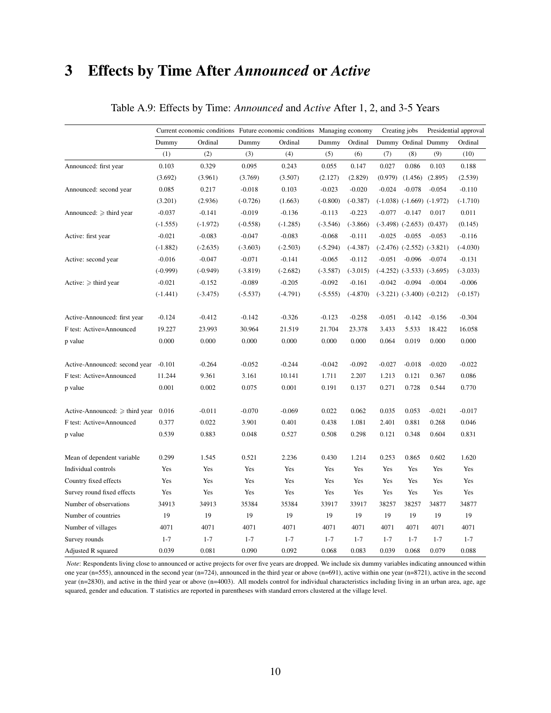# 3 Effects by Time After *Announced* or *Active*

|                                     |            |            | Current economic conditions Future economic conditions Managing economy |            |            |            | Creating jobs |                                  | Presidential approval |            |
|-------------------------------------|------------|------------|-------------------------------------------------------------------------|------------|------------|------------|---------------|----------------------------------|-----------------------|------------|
|                                     | Dummy      | Ordinal    | Dummy                                                                   | Ordinal    | Dummy      | Ordinal    |               | Dummy Ordinal Dummy              |                       | Ordinal    |
|                                     | (1)        | (2)        | (3)                                                                     | (4)        | (5)        | (6)        | (7)           | (8)                              | (9)                   | (10)       |
| Announced: first year               | 0.103      | 0.329      | 0.095                                                                   | 0.243      | 0.055      | 0.147      | 0.027         | 0.086                            | 0.103                 | 0.188      |
|                                     | (3.692)    | (3.961)    | (3.769)                                                                 | (3.507)    | (2.127)    | (2.829)    | (0.979)       | (1.456)                          | (2.895)               | (2.539)    |
| Announced: second year              | 0.085      | 0.217      | $-0.018$                                                                | 0.103      | $-0.023$   | $-0.020$   | $-0.024$      | $-0.078$                         | $-0.054$              | $-0.110$   |
|                                     | (3.201)    | (2.936)    | $(-0.726)$                                                              | (1.663)    | $(-0.800)$ | $(-0.387)$ |               | $(-1.038)$ $(-1.669)$ $(-1.972)$ |                       | $(-1.710)$ |
| Announced: $\geq$ third year        | $-0.037$   | $-0.141$   | $-0.019$                                                                | $-0.136$   | $-0.113$   | $-0.223$   | $-0.077$      | $-0.147$                         | 0.017                 | 0.011      |
|                                     | $(-1.555)$ | $(-1.972)$ | $(-0.558)$                                                              | $(-1.285)$ | $(-3.546)$ | $(-3.866)$ |               | $(-3.498)$ $(-2.653)$ $(0.437)$  |                       | (0.145)    |
| Active: first year                  | $-0.021$   | $-0.083$   | $-0.047$                                                                | $-0.083$   | $-0.068$   | $-0.111$   | $-0.025$      | $-0.055$                         | $-0.053$              | $-0.116$   |
|                                     | $(-1.882)$ | $(-2.635)$ | $(-3.603)$                                                              | $(-2.503)$ | $(-5.294)$ | $(-4.387)$ |               | $(-2.476)$ $(-2.552)$ $(-3.821)$ |                       | $(-4.030)$ |
| Active: second year                 | $-0.016$   | $-0.047$   | $-0.071$                                                                | $-0.141$   | $-0.065$   | $-0.112$   | $-0.051$      | $-0.096$                         | $-0.074$              | $-0.131$   |
|                                     | $(-0.999)$ | $(-0.949)$ | $(-3.819)$                                                              | $(-2.682)$ | $(-3.587)$ | $(-3.015)$ |               | $(-4.252)$ $(-3.533)$ $(-3.695)$ |                       | $(-3.033)$ |
| Active: $\geq$ third year           | $-0.021$   | $-0.152$   | $-0.089$                                                                | $-0.205$   | $-0.092$   | $-0.161$   | $-0.042$      | $-0.094$                         | $-0.004$              | $-0.006$   |
|                                     | $(-1.441)$ | $(-3.475)$ | $(-5.537)$                                                              | $(-4.791)$ | $(-5.555)$ | $(-4.870)$ |               | $(-3.221)$ $(-3.400)$ $(-0.212)$ |                       | $(-0.157)$ |
| Active-Announced: first year        | $-0.124$   | $-0.412$   | $-0.142$                                                                | $-0.326$   | $-0.123$   | $-0.258$   | $-0.051$      | $-0.142$                         | $-0.156$              | $-0.304$   |
| F test: Active=Announced            | 19.227     | 23.993     | 30.964                                                                  | 21.519     | 21.704     | 23.378     | 3.433         | 5.533                            | 18.422                | 16.058     |
| p value                             | 0.000      | 0.000      | 0.000                                                                   | 0.000      | 0.000      | 0.000      | 0.064         | 0.019                            | 0.000                 | 0.000      |
| Active-Announced: second year       | $-0.101$   | $-0.264$   | $-0.052$                                                                | $-0.244$   | $-0.042$   | $-0.092$   | $-0.027$      | $-0.018$                         | $-0.020$              | $-0.022$   |
| F test: Active=Announced            | 11.244     | 9.361      | 3.161                                                                   | 10.141     | 1.711      | 2.207      | 1.213         | 0.121                            | 0.367                 | 0.086      |
| p value                             | 0.001      | 0.002      | 0.075                                                                   | 0.001      | 0.191      | 0.137      | 0.271         | 0.728                            | 0.544                 | 0.770      |
| Active-Announced: $\geq$ third year | 0.016      | $-0.011$   | $-0.070$                                                                | $-0.069$   | 0.022      | 0.062      | 0.035         | 0.053                            | $-0.021$              | $-0.017$   |
| F test: Active=Announced            | 0.377      | 0.022      | 3.901                                                                   | 0.401      | 0.438      | 1.081      | 2.401         | 0.881                            | 0.268                 | 0.046      |
| p value                             | 0.539      | 0.883      | 0.048                                                                   | 0.527      | 0.508      | 0.298      | 0.121         | 0.348                            | 0.604                 | 0.831      |
| Mean of dependent variable          | 0.299      | 1.545      | 0.521                                                                   | 2.236      | 0.430      | 1.214      | 0.253         | 0.865                            | 0.602                 | 1.620      |
| Individual controls                 | Yes        | Yes        | Yes                                                                     | Yes        | Yes        | Yes        | Yes           | Yes                              | Yes                   | Yes        |
| Country fixed effects               | Yes        | Yes        | Yes                                                                     | Yes        | Yes        | Yes        | Yes           | Yes                              | Yes                   | Yes        |
| Survey round fixed effects          | Yes        | Yes        | Yes                                                                     | Yes        | Yes        | Yes        | Yes           | Yes                              | Yes                   | Yes        |
| Number of observations              | 34913      | 34913      | 35384                                                                   | 35384      | 33917      | 33917      | 38257         | 38257                            | 34877                 | 34877      |
| Number of countries                 | 19         | 19         | 19                                                                      | 19         | 19         | 19         | 19            | 19                               | 19                    | 19         |
| Number of villages                  | 4071       | 4071       | 4071                                                                    | 4071       | 4071       | 4071       | 4071          | 4071                             | 4071                  | 4071       |
| Survey rounds                       | $1 - 7$    | $1 - 7$    | $1 - 7$                                                                 | $1 - 7$    | $1 - 7$    | $1 - 7$    | $1 - 7$       | $1 - 7$                          | $1 - 7$               | $1 - 7$    |
| Adjusted R squared                  | 0.039      | 0.081      | 0.090                                                                   | 0.092      | 0.068      | 0.083      | 0.039         | 0.068                            | 0.079                 | 0.088      |

#### Table A.9: Effects by Time: *Announced* and *Active* After 1, 2, and 3-5 Years

*Note*: Respondents living close to announced or active projects for over five years are dropped. We include six dummy variables indicating announced within one year (n=555), announced in the second year (n=724), announced in the third year or above (n=691), active within one year (n=8721), active in the second year (n=2830), and active in the third year or above (n=4003). All models control for individual characteristics including living in an urban area, age, age squared, gender and education. T statistics are reported in parentheses with standard errors clustered at the village level.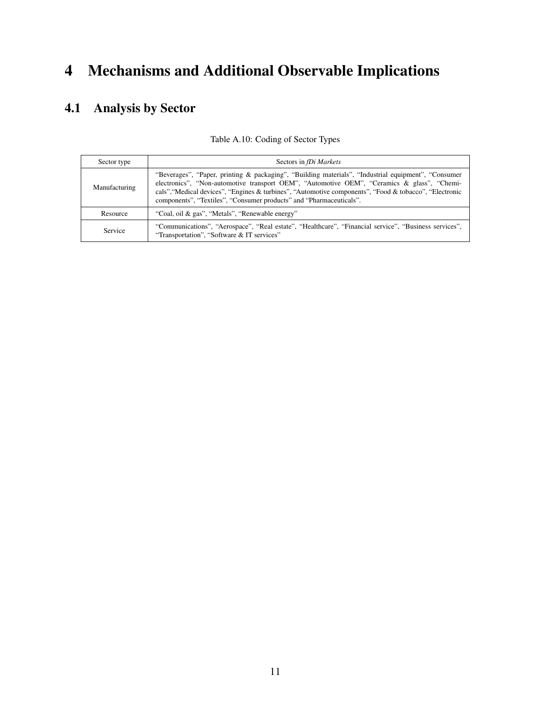# 4 Mechanisms and Additional Observable Implications

## 4.1 Analysis by Sector

| Sector type    | Sectors in fDi Markets                                                                                                                                                                                                                                                                                                                                                               |
|----------------|--------------------------------------------------------------------------------------------------------------------------------------------------------------------------------------------------------------------------------------------------------------------------------------------------------------------------------------------------------------------------------------|
| Manufacturing  | "Beverages", "Paper, printing & packaging", "Building materials", "Industrial equipment", "Consumer"<br>electronics", "Non-automotive transport OEM", "Automotive OEM", "Ceramics & glass", "Chemi-<br>cals", "Medical devices", "Engines & turbines", "Automotive components", "Food & tobacco", "Electronic<br>components", "Textiles", "Consumer products" and "Pharmaceuticals". |
| Resource       | "Coal, oil & gas", "Metals", "Renewable energy"                                                                                                                                                                                                                                                                                                                                      |
| <b>Service</b> | "Communications", "Aerospace", "Real estate", "Healthcare", "Financial service", "Business services",<br>"Transportation", "Software & IT services"                                                                                                                                                                                                                                  |

Table A.10: Coding of Sector Types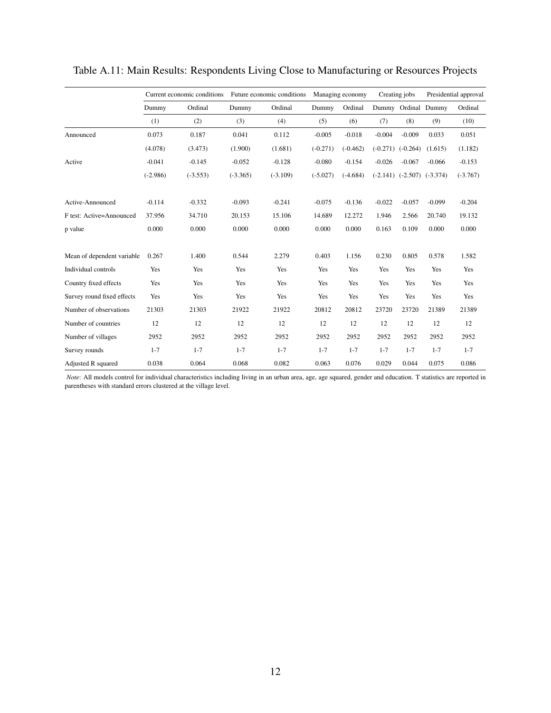|                            | Current economic conditions |            | Future economic conditions |            | Managing economy |            | Creating jobs |                                  | Presidential approval |            |
|----------------------------|-----------------------------|------------|----------------------------|------------|------------------|------------|---------------|----------------------------------|-----------------------|------------|
|                            | Dummy                       | Ordinal    | Dummy                      | Ordinal    | Dummy            | Ordinal    |               | Dummy Ordinal Dummy              |                       | Ordinal    |
|                            | (1)                         | (2)        | (3)                        | (4)        | (5)              | (6)        | (7)           | (8)                              | (9)                   | (10)       |
| Announced                  | 0.073                       | 0.187      | 0.041                      | 0.112      | $-0.005$         | $-0.018$   | $-0.004$      | $-0.009$                         | 0.033                 | 0.051      |
|                            | (4.078)                     | (3.473)    | (1.900)                    | (1.681)    | $(-0.271)$       | $(-0.462)$ | $(-0.271)$    | $(-0.264)$                       | (1.615)               | (1.182)    |
| Active                     | $-0.041$                    | $-0.145$   | $-0.052$                   | $-0.128$   | $-0.080$         | $-0.154$   | $-0.026$      | $-0.067$                         | $-0.066$              | $-0.153$   |
|                            | $(-2.986)$                  | $(-3.553)$ | $(-3.365)$                 | $(-3.109)$ | $(-5.027)$       | $(-4.684)$ |               | $(-2.141)$ $(-2.507)$ $(-3.374)$ |                       | $(-3.767)$ |
| Active-Announced           | $-0.114$                    | $-0.332$   | $-0.093$                   | $-0.241$   | $-0.075$         | $-0.136$   | $-0.022$      | $-0.057$                         | $-0.099$              | $-0.204$   |
| F test: Active=Announced   | 37.956                      | 34.710     | 20.153                     | 15.106     | 14.689           | 12.272     | 1.946         | 2.566                            | 20.740                | 19.132     |
| p value                    | 0.000                       | 0.000      | 0.000                      | 0.000      | 0.000            | 0.000      | 0.163         | 0.109                            | 0.000                 | 0.000      |
| Mean of dependent variable | 0.267                       | 1.400      | 0.544                      | 2.279      | 0.403            | 1.156      | 0.230         | 0.805                            | 0.578                 | 1.582      |
| Individual controls        | Yes                         | Yes        | Yes                        | Yes        | Yes              | Yes        | Yes           | Yes                              | Yes                   | Yes        |
| Country fixed effects      | Yes                         | Yes        | Yes                        | Yes        | Yes              | Yes        | Yes           | Yes                              | Yes                   | Yes        |
| Survey round fixed effects | Yes                         | Yes        | Yes                        | Yes        | Yes              | Yes        | Yes           | Yes                              | Yes                   | Yes        |
| Number of observations     | 21303                       | 21303      | 21922                      | 21922      | 20812            | 20812      | 23720         | 23720                            | 21389                 | 21389      |
| Number of countries        | 12                          | 12         | 12                         | 12         | 12               | 12         | 12            | 12                               | 12                    | 12         |
| Number of villages         | 2952                        | 2952       | 2952                       | 2952       | 2952             | 2952       | 2952          | 2952                             | 2952                  | 2952       |
| Survey rounds              | $1 - 7$                     | $1 - 7$    | $1 - 7$                    | $1 - 7$    | $1 - 7$          | $1 - 7$    | $1 - 7$       | $1 - 7$                          | $1 - 7$               | $1 - 7$    |
| Adjusted R squared         | 0.038                       | 0.064      | 0.068                      | 0.082      | 0.063            | 0.076      | 0.029         | 0.044                            | 0.075                 | 0.086      |

Table A.11: Main Results: Respondents Living Close to Manufacturing or Resources Projects

*Note*: All models control for individual characteristics including living in an urban area, age, age squared, gender and education. T statistics are reported in parentheses with standard errors clustered at the village level.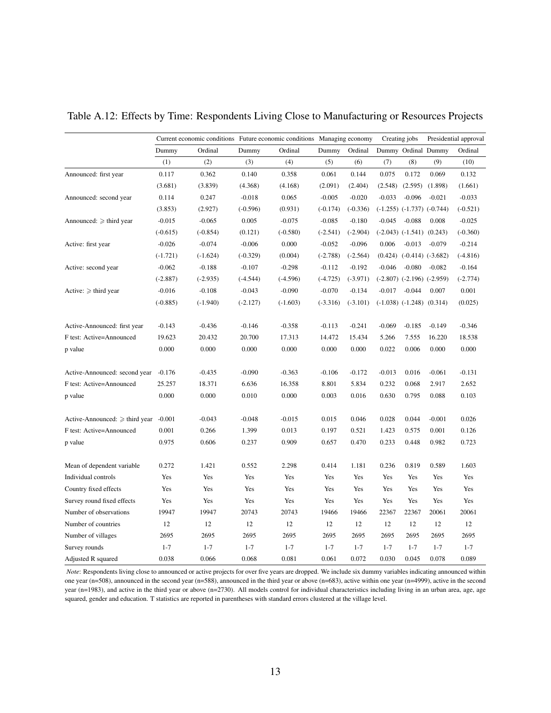|                                     |            | Current economic conditions Future economic conditions Managing economy |            |            |            |            |          | Creating jobs                    |          | Presidential approval |
|-------------------------------------|------------|-------------------------------------------------------------------------|------------|------------|------------|------------|----------|----------------------------------|----------|-----------------------|
|                                     | Dummy      | Ordinal                                                                 | Dummy      | Ordinal    | Dummy      | Ordinal    |          | Dummy Ordinal Dummy              |          | Ordinal               |
|                                     | (1)        | (2)                                                                     | (3)        | (4)        | (5)        | (6)        | (7)      | (8)                              | (9)      | (10)                  |
| Announced: first year               | 0.117      | 0.362                                                                   | 0.140      | 0.358      | 0.061      | 0.144      | 0.075    | 0.172                            | 0.069    | 0.132                 |
|                                     | (3.681)    | (3.839)                                                                 | (4.368)    | (4.168)    | (2.091)    | (2.404)    | (2.548)  | (2.595)                          | (1.898)  | (1.661)               |
| Announced: second year              | 0.114      | 0.247                                                                   | $-0.018$   | 0.065      | $-0.005$   | $-0.020$   | $-0.033$ | $-0.096$                         | $-0.021$ | $-0.033$              |
|                                     | (3.853)    | (2.927)                                                                 | $(-0.596)$ | (0.931)    | $(-0.174)$ | $(-0.336)$ |          | $(-1.255)$ $(-1.737)$ $(-0.744)$ |          | $(-0.521)$            |
| Announced: $\geq$ third year        | $-0.015$   | $-0.065$                                                                | 0.005      | $-0.075$   | $-0.085$   | $-0.180$   | $-0.045$ | $-0.088$                         | 0.008    | $-0.025$              |
|                                     | $(-0.615)$ | $(-0.854)$                                                              | (0.121)    | $(-0.580)$ | $(-2.541)$ | $(-2.904)$ |          | $(-2.043)$ $(-1.541)$ $(0.243)$  |          | $(-0.360)$            |
| Active: first year                  | $-0.026$   | $-0.074$                                                                | $-0.006$   | 0.000      | $-0.052$   | $-0.096$   | 0.006    | $-0.013$                         | $-0.079$ | $-0.214$              |
|                                     | $(-1.721)$ | $(-1.624)$                                                              | $(-0.329)$ | (0.004)    | $(-2.788)$ | $(-2.564)$ |          | $(0.424)$ $(-0.414)$ $(-3.682)$  |          | $(-4.816)$            |
| Active: second year                 | $-0.062$   | $-0.188$                                                                | $-0.107$   | $-0.298$   | $-0.112$   | $-0.192$   | $-0.046$ | $-0.080$                         | $-0.082$ | $-0.164$              |
|                                     | $(-2.887)$ | $(-2.935)$                                                              | $(-4.544)$ | $(-4.596)$ | $(-4.725)$ | $(-3.971)$ |          | $(-2.807)$ $(-2.196)$ $(-2.959)$ |          | $(-2.774)$            |
| Active: $\geq$ third year           | $-0.016$   | $-0.108$                                                                | $-0.043$   | $-0.090$   | $-0.070$   | $-0.134$   | $-0.017$ | $-0.044$                         | 0.007    | 0.001                 |
|                                     | $(-0.885)$ | $(-1.940)$                                                              | $(-2.127)$ | $(-1.603)$ | $(-3.316)$ | $(-3.101)$ |          | $(-1.038)$ $(-1.248)$ $(0.314)$  |          | (0.025)               |
|                                     |            |                                                                         |            |            |            |            |          |                                  |          |                       |
| Active-Announced: first year        | $-0.143$   | $-0.436$                                                                | $-0.146$   | $-0.358$   | $-0.113$   | $-0.241$   | $-0.069$ | $-0.185$                         | $-0.149$ | $-0.346$              |
| F test: Active=Announced            | 19.623     | 20.432                                                                  | 20.700     | 17.313     | 14.472     | 15.434     | 5.266    | 7.555                            | 16.220   | 18.538                |
| p value                             | 0.000      | 0.000                                                                   | 0.000      | 0.000      | 0.000      | 0.000      | 0.022    | 0.006                            | 0.000    | 0.000                 |
|                                     |            |                                                                         |            |            |            |            |          |                                  |          |                       |
| Active-Announced: second year       | $-0.176$   | $-0.435$                                                                | $-0.090$   | $-0.363$   | $-0.106$   | $-0.172$   | $-0.013$ | 0.016                            | $-0.061$ | $-0.131$              |
| F test: Active=Announced            | 25.257     | 18.371                                                                  | 6.636      | 16.358     | 8.801      | 5.834      | 0.232    | 0.068                            | 2.917    | 2.652                 |
| p value                             | 0.000      | 0.000                                                                   | 0.010      | 0.000      | 0.003      | 0.016      | 0.630    | 0.795                            | 0.088    | 0.103                 |
| Active-Announced: $\geq$ third year | $-0.001$   | $-0.043$                                                                | $-0.048$   | $-0.015$   | 0.015      | 0.046      | 0.028    | 0.044                            | $-0.001$ | 0.026                 |
| F test: Active=Announced            | 0.001      | 0.266                                                                   | 1.399      | 0.013      | 0.197      | 0.521      | 1.423    | 0.575                            | 0.001    | 0.126                 |
| p value                             | 0.975      | 0.606                                                                   | 0.237      | 0.909      | 0.657      | 0.470      | 0.233    | 0.448                            | 0.982    | 0.723                 |
|                                     |            |                                                                         |            |            |            |            |          |                                  |          |                       |
| Mean of dependent variable          | 0.272      | 1.421                                                                   | 0.552      | 2.298      | 0.414      | 1.181      | 0.236    | 0.819                            | 0.589    | 1.603                 |
| Individual controls                 | Yes        | Yes                                                                     | Yes        | Yes        | Yes        | Yes        | Yes      | Yes                              | Yes      | Yes                   |
| Country fixed effects               | Yes        | Yes                                                                     | Yes        | Yes        | Yes        | Yes        | Yes      | Yes                              | Yes      | Yes                   |
| Survey round fixed effects          | Yes        | Yes                                                                     | Yes        | Yes        | Yes        | Yes        | Yes      | Yes                              | Yes      | Yes                   |
| Number of observations              | 19947      | 19947                                                                   | 20743      | 20743      | 19466      | 19466      | 22367    | 22367                            | 20061    | 20061                 |
| Number of countries                 | 12         | 12                                                                      | 12         | 12         | 12         | 12         | 12       | 12                               | 12       | 12                    |
| Number of villages                  | 2695       | 2695                                                                    | 2695       | 2695       | 2695       | 2695       | 2695     | 2695                             | 2695     | 2695                  |
| Survey rounds                       | $1 - 7$    | $1 - 7$                                                                 | $1 - 7$    | $1 - 7$    | $1 - 7$    | $1 - 7$    | $1 - 7$  | $1 - 7$                          | $1 - 7$  | $1 - 7$               |
| Adjusted R squared                  | 0.038      | 0.066                                                                   | 0.068      | 0.081      | 0.061      | 0.072      | 0.030    | 0.045                            | 0.078    | 0.089                 |

Table A.12: Effects by Time: Respondents Living Close to Manufacturing or Resources Projects

*Note*: Respondents living close to announced or active projects for over five years are dropped. We include six dummy variables indicating announced within one year (n=508), announced in the second year (n=588), announced in the third year or above (n=683), active within one year (n=4999), active in the second year (n=1983), and active in the third year or above (n=2730). All models control for individual characteristics including living in an urban area, age, age squared, gender and education. T statistics are reported in parentheses with standard errors clustered at the village level.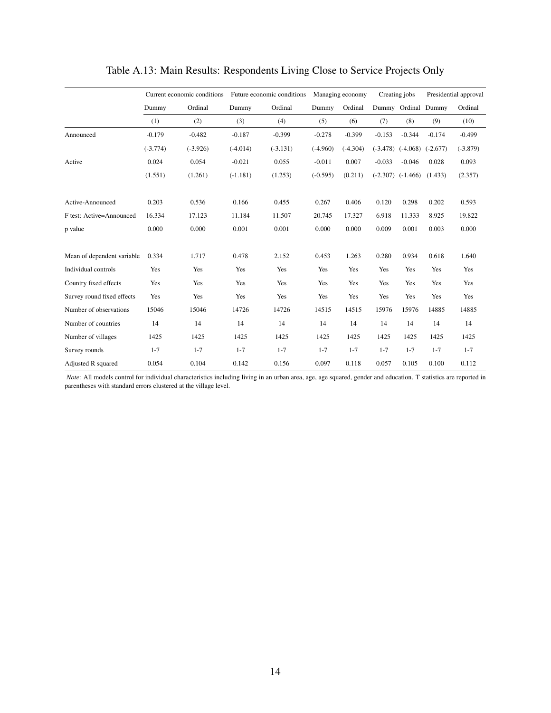|                            | Current economic conditions |            |            | Future economic conditions |            | Managing economy | Creating jobs |                       |            | Presidential approval |
|----------------------------|-----------------------------|------------|------------|----------------------------|------------|------------------|---------------|-----------------------|------------|-----------------------|
|                            | Dummy                       | Ordinal    | Dummy      | Ordinal                    | Dummy      | Ordinal          |               | Dummy Ordinal Dummy   |            | Ordinal               |
|                            | (1)                         | (2)        | (3)        | (4)                        | (5)        | (6)              | (7)           | (8)                   | (9)        | (10)                  |
| Announced                  | $-0.179$                    | $-0.482$   | $-0.187$   | $-0.399$                   | $-0.278$   | $-0.399$         | $-0.153$      | $-0.344$              | $-0.174$   | $-0.499$              |
|                            | $(-3.774)$                  | $(-3.926)$ | $(-4.014)$ | $(-3.131)$                 | $(-4.960)$ | $(-4.304)$       | $(-3.478)$    | $(-4.068)$            | $(-2.677)$ | $(-3.879)$            |
| Active                     | 0.024                       | 0.054      | $-0.021$   | 0.055                      | $-0.011$   | 0.007            | $-0.033$      | $-0.046$              | 0.028      | 0.093                 |
|                            | (1.551)                     | (1.261)    | $(-1.181)$ | (1.253)                    | $(-0.595)$ | (0.211)          |               | $(-2.307)$ $(-1.466)$ | (1.433)    | (2.357)               |
| Active-Announced           | 0.203                       | 0.536      | 0.166      | 0.455                      | 0.267      | 0.406            | 0.120         | 0.298                 | 0.202      | 0.593                 |
| F test: Active=Announced   | 16.334                      | 17.123     | 11.184     | 11.507                     | 20.745     | 17.327           | 6.918         | 11.333                | 8.925      | 19.822                |
| p value                    | 0.000                       | 0.000      | 0.001      | 0.001                      | 0.000      | 0.000            | 0.009         | 0.001                 | 0.003      | 0.000                 |
| Mean of dependent variable | 0.334                       | 1.717      | 0.478      | 2.152                      | 0.453      | 1.263            | 0.280         | 0.934                 | 0.618      | 1.640                 |
| Individual controls        | Yes                         | Yes        | Yes        | Yes                        | Yes        | Yes              | Yes           | Yes                   | Yes        | Yes                   |
| Country fixed effects      | Yes                         | Yes        | Yes        | Yes                        | Yes        | Yes              | Yes           | Yes                   | Yes        | Yes                   |
| Survey round fixed effects | Yes                         | Yes        | Yes        | Yes                        | Yes        | Yes              | Yes           | Yes                   | Yes        | Yes                   |
| Number of observations     | 15046                       | 15046      | 14726      | 14726                      | 14515      | 14515            | 15976         | 15976                 | 14885      | 14885                 |
| Number of countries        | 14                          | 14         | 14         | 14                         | 14         | 14               | 14            | 14                    | 14         | 14                    |
| Number of villages         | 1425                        | 1425       | 1425       | 1425                       | 1425       | 1425             | 1425          | 1425                  | 1425       | 1425                  |
| Survey rounds              | $1 - 7$                     | $1 - 7$    | $1 - 7$    | $1 - 7$                    | $1 - 7$    | $1 - 7$          | $1 - 7$       | $1 - 7$               | $1 - 7$    | $1 - 7$               |
| Adjusted R squared         | 0.054                       | 0.104      | 0.142      | 0.156                      | 0.097      | 0.118            | 0.057         | 0.105                 | 0.100      | 0.112                 |

Table A.13: Main Results: Respondents Living Close to Service Projects Only

*Note*: All models control for individual characteristics including living in an urban area, age, age squared, gender and education. T statistics are reported in parentheses with standard errors clustered at the village level.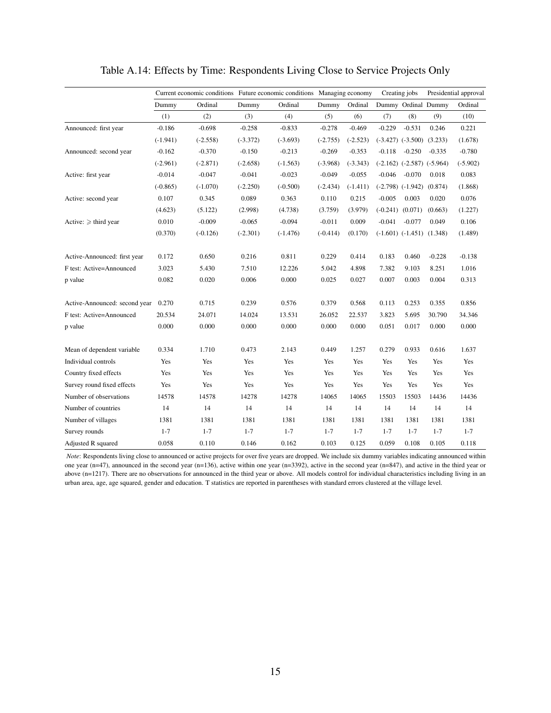|                               | Current economic conditions Future economic conditions Managing economy |            |            |            |            |            | Creating jobs |                                  |          | Presidential approval |
|-------------------------------|-------------------------------------------------------------------------|------------|------------|------------|------------|------------|---------------|----------------------------------|----------|-----------------------|
|                               | Dummy                                                                   | Ordinal    | Dummy      | Ordinal    | Dummy      | Ordinal    |               | Dummy Ordinal Dummy              |          | Ordinal               |
|                               | (1)                                                                     | (2)        | (3)        | (4)        | (5)        | (6)        | (7)           | (8)                              | (9)      | (10)                  |
| Announced: first year         | $-0.186$                                                                | $-0.698$   | $-0.258$   | $-0.833$   | $-0.278$   | $-0.469$   | $-0.229$      | $-0.531$                         | 0.246    | 0.221                 |
|                               | $(-1.941)$                                                              | $(-2.558)$ | $(-3.372)$ | $(-3.693)$ | $(-2.755)$ | $(-2.523)$ |               | $(-3.427)$ $(-3.500)$ $(3.233)$  |          | (1.678)               |
| Announced: second year        | $-0.162$                                                                | $-0.370$   | $-0.150$   | $-0.213$   | $-0.269$   | $-0.353$   | $-0.118$      | $-0.250$                         | $-0.335$ | $-0.780$              |
|                               | $(-2.961)$                                                              | $(-2.871)$ | $(-2.658)$ | $(-1.563)$ | $(-3.968)$ | $(-3.343)$ |               | $(-2.162)$ $(-2.587)$ $(-5.964)$ |          | $(-5.902)$            |
| Active: first year            | $-0.014$                                                                | $-0.047$   | $-0.041$   | $-0.023$   | $-0.049$   | $-0.055$   | $-0.046$      | $-0.070$                         | 0.018    | 0.083                 |
|                               | $(-0.865)$                                                              | $(-1.070)$ | $(-2.250)$ | $(-0.500)$ | $(-2.434)$ | $(-1.411)$ |               | $(-2.798)$ $(-1.942)$            | (0.874)  | (1.868)               |
| Active: second year           | 0.107                                                                   | 0.345      | 0.089      | 0.363      | 0.110      | 0.215      | $-0.005$      | 0.003                            | 0.020    | 0.076                 |
|                               | (4.623)                                                                 | (5.122)    | (2.998)    | (4.738)    | (3.759)    | (3.979)    |               | $(-0.241)$ $(0.071)$             | (0.663)  | (1.227)               |
| Active: $\geq$ third year     | 0.010                                                                   | $-0.009$   | $-0.065$   | $-0.094$   | $-0.011$   | 0.009      | $-0.041$      | $-0.077$                         | 0.049    | 0.106                 |
|                               | (0.370)                                                                 | $(-0.126)$ | $(-2.301)$ | $(-1.476)$ | $(-0.414)$ | (0.170)    |               | $(-1.601)$ $(-1.451)$ $(1.348)$  |          | (1.489)               |
| Active-Announced: first year  | 0.172                                                                   | 0.650      | 0.216      | 0.811      | 0.229      | 0.414      | 0.183         | 0.460                            | $-0.228$ | $-0.138$              |
| F test: Active=Announced      | 3.023                                                                   | 5.430      | 7.510      | 12.226     | 5.042      | 4.898      | 7.382         | 9.103                            | 8.251    | 1.016                 |
| p value                       | 0.082                                                                   | 0.020      | 0.006      | 0.000      | 0.025      | 0.027      | 0.007         | 0.003                            | 0.004    | 0.313                 |
| Active-Announced: second year | 0.270                                                                   | 0.715      | 0.239      | 0.576      | 0.379      | 0.568      | 0.113         | 0.253                            | 0.355    | 0.856                 |
| F test: Active=Announced      | 20.534                                                                  | 24.071     | 14.024     | 13.531     | 26.052     | 22.537     | 3.823         | 5.695                            | 30.790   | 34.346                |
| p value                       | 0.000                                                                   | 0.000      | 0.000      | 0.000      | 0.000      | 0.000      | 0.051         | 0.017                            | 0.000    | 0.000                 |
| Mean of dependent variable    | 0.334                                                                   | 1.710      | 0.473      | 2.143      | 0.449      | 1.257      | 0.279         | 0.933                            | 0.616    | 1.637                 |
| Individual controls           | Yes                                                                     | Yes        | Yes        | Yes        | Yes        | Yes        | Yes           | Yes                              | Yes      | Yes                   |
| Country fixed effects         | Yes                                                                     | Yes        | Yes        | Yes        | Yes        | Yes        | Yes           | Yes                              | Yes      | Yes                   |
| Survey round fixed effects    | Yes                                                                     | Yes        | Yes        | Yes        | Yes        | Yes        | Yes           | Yes                              | Yes      | Yes                   |
| Number of observations        | 14578                                                                   | 14578      | 14278      | 14278      | 14065      | 14065      | 15503         | 15503                            | 14436    | 14436                 |
| Number of countries           | 14                                                                      | 14         | 14         | 14         | 14         | 14         | 14            | 14                               | 14       | 14                    |
| Number of villages            | 1381                                                                    | 1381       | 1381       | 1381       | 1381       | 1381       | 1381          | 1381                             | 1381     | 1381                  |
| Survey rounds                 | $1 - 7$                                                                 | $1 - 7$    | $1 - 7$    | $1 - 7$    | $1 - 7$    | $1 - 7$    | $1 - 7$       | $1 - 7$                          | $1 - 7$  | $1 - 7$               |
| Adjusted R squared            | 0.058                                                                   | 0.110      | 0.146      | 0.162      | 0.103      | 0.125      | 0.059         | 0.108                            | 0.105    | 0.118                 |

#### Table A.14: Effects by Time: Respondents Living Close to Service Projects Only

*Note*: Respondents living close to announced or active projects for over five years are dropped. We include six dummy variables indicating announced within one year (n=47), announced in the second year (n=136), active within one year (n=3392), active in the second year (n=847), and active in the third year or above (n=1217). There are no observations for announced in the third year or above. All models control for individual characteristics including living in an urban area, age, age squared, gender and education. T statistics are reported in parentheses with standard errors clustered at the village level.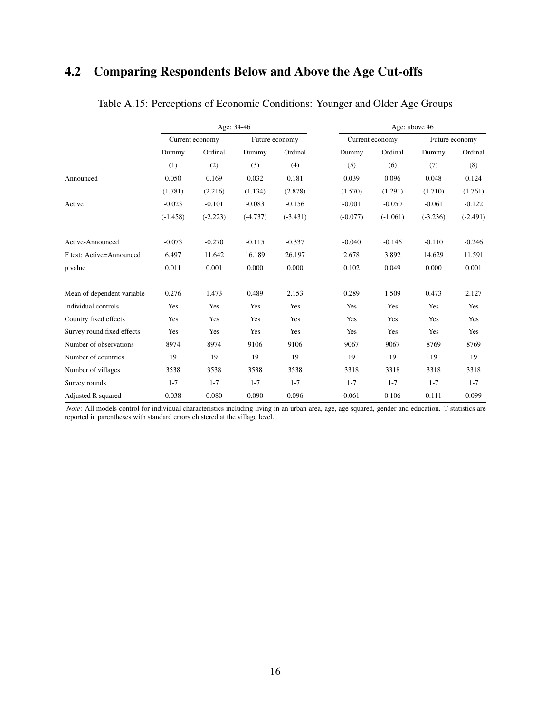## 4.2 Comparing Respondents Below and Above the Age Cut-offs

|                            |            |                 | Age: 34-46 |                | Age: above 46 |                 |            |                |  |  |
|----------------------------|------------|-----------------|------------|----------------|---------------|-----------------|------------|----------------|--|--|
|                            |            | Current economy |            | Future economy |               | Current economy |            | Future economy |  |  |
|                            | Dummy      | Ordinal         | Dummy      | Ordinal        | Dummy         | Ordinal         | Dummy      | Ordinal        |  |  |
|                            | (1)        | (2)             | (3)        | (4)            | (5)           | (6)             | (7)        | (8)            |  |  |
| Announced                  | 0.050      | 0.169           | 0.032      | 0.181          | 0.039         | 0.096           | 0.048      | 0.124          |  |  |
|                            | (1.781)    | (2.216)         | (1.134)    | (2.878)        | (1.570)       | (1.291)         | (1.710)    | (1.761)        |  |  |
| Active                     | $-0.023$   | $-0.101$        | $-0.083$   | $-0.156$       | $-0.001$      | $-0.050$        | $-0.061$   | $-0.122$       |  |  |
|                            | $(-1.458)$ | $(-2.223)$      | $(-4.737)$ | $(-3.431)$     | $(-0.077)$    | $(-1.061)$      | $(-3.236)$ | $(-2.491)$     |  |  |
| Active-Announced           | $-0.073$   | $-0.270$        | $-0.115$   | $-0.337$       | $-0.040$      | $-0.146$        | $-0.110$   | $-0.246$       |  |  |
| F test: Active=Announced   | 6.497      | 11.642          | 16.189     | 26.197         | 2.678         | 3.892           | 14.629     | 11.591         |  |  |
| p value                    | 0.011      | 0.001           | 0.000      | 0.000          | 0.102         | 0.049           | 0.000      | 0.001          |  |  |
| Mean of dependent variable | 0.276      | 1.473           | 0.489      | 2.153          | 0.289         | 1.509           | 0.473      | 2.127          |  |  |
| Individual controls        | Yes        | Yes             | Yes        | Yes            | Yes           | Yes             | Yes        | Yes            |  |  |
| Country fixed effects      | Yes        | Yes             | Yes        | Yes            | Yes           | Yes             | Yes        | Yes            |  |  |
| Survey round fixed effects | Yes        | Yes             | Yes        | Yes            | Yes           | Yes             | Yes        | Yes            |  |  |
| Number of observations     | 8974       | 8974            | 9106       | 9106           | 9067          | 9067            | 8769       | 8769           |  |  |
| Number of countries        | 19         | 19              | 19         | 19             | 19            | 19              | 19         | 19             |  |  |
| Number of villages         | 3538       | 3538            | 3538       | 3538           | 3318          | 3318            | 3318       | 3318           |  |  |
| Survey rounds              | $1 - 7$    | $1 - 7$         | $1 - 7$    | $1 - 7$        | $1 - 7$       | $1 - 7$         | $1 - 7$    | $1 - 7$        |  |  |
| Adjusted R squared         | 0.038      | 0.080           | 0.090      | 0.096          | 0.061         | 0.106           | 0.111      | 0.099          |  |  |

Table A.15: Perceptions of Economic Conditions: Younger and Older Age Groups

*Note*: All models control for individual characteristics including living in an urban area, age, age squared, gender and education. T statistics are reported in parentheses with standard errors clustered at the village level.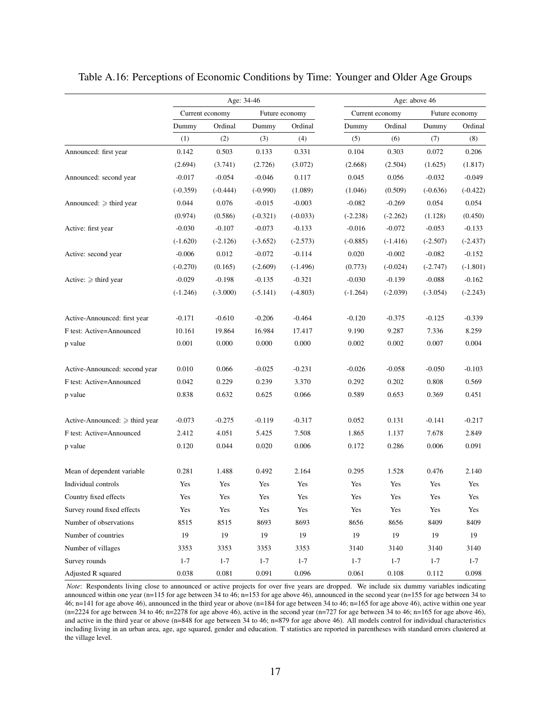|                                     |            |                 | Age: 34-46 |                | Age: above 46 |                 |            |                |  |  |
|-------------------------------------|------------|-----------------|------------|----------------|---------------|-----------------|------------|----------------|--|--|
|                                     |            | Current economy |            | Future economy |               | Current economy |            | Future economy |  |  |
|                                     | Dummy      | Ordinal         | Dummy      | Ordinal        | Dummy         | Ordinal         | Dummy      | Ordinal        |  |  |
|                                     | (1)        | (2)             | (3)        | (4)            | (5)           | (6)             | (7)        | (8)            |  |  |
| Announced: first year               | 0.142      | 0.503           | 0.133      | 0.331          | 0.104         | 0.303           | 0.072      | 0.206          |  |  |
|                                     | (2.694)    | (3.741)         | (2.726)    | (3.072)        | (2.668)       | (2.504)         | (1.625)    | (1.817)        |  |  |
| Announced: second year              | $-0.017$   | $-0.054$        | $-0.046$   | 0.117          | 0.045         | 0.056           | $-0.032$   | $-0.049$       |  |  |
|                                     | $(-0.359)$ | $(-0.444)$      | $(-0.990)$ | (1.089)        | (1.046)       | (0.509)         | $(-0.636)$ | $(-0.422)$     |  |  |
| Announced: $\geq$ third year        | 0.044      | 0.076           | $-0.015$   | $-0.003$       | $-0.082$      | $-0.269$        | 0.054      | 0.054          |  |  |
|                                     | (0.974)    | (0.586)         | $(-0.321)$ | $(-0.033)$     | $(-2.238)$    | $(-2.262)$      | (1.128)    | (0.450)        |  |  |
| Active: first year                  | $-0.030$   | $-0.107$        | $-0.073$   | $-0.133$       | $-0.016$      | $-0.072$        | $-0.053$   | $-0.133$       |  |  |
|                                     | $(-1.620)$ | $(-2.126)$      | $(-3.652)$ | $(-2.573)$     | $(-0.885)$    | $(-1.416)$      | $(-2.507)$ | $(-2.437)$     |  |  |
| Active: second year                 | $-0.006$   | 0.012           | $-0.072$   | $-0.114$       | 0.020         | $-0.002$        | $-0.082$   | $-0.152$       |  |  |
|                                     | $(-0.270)$ | (0.165)         | $(-2.609)$ | $(-1.496)$     | (0.773)       | $(-0.024)$      | $(-2.747)$ | $(-1.801)$     |  |  |
| Active: $\geq$ third year           | $-0.029$   | $-0.198$        | $-0.135$   | $-0.321$       | $-0.030$      | $-0.139$        | $-0.088$   | $-0.162$       |  |  |
|                                     | $(-1.246)$ | $(-3.000)$      | $(-5.141)$ | $(-4.803)$     | $(-1.264)$    | $(-2.039)$      | $(-3.054)$ | $(-2.243)$     |  |  |
| Active-Announced: first year        | $-0.171$   | $-0.610$        | $-0.206$   | $-0.464$       | $-0.120$      | $-0.375$        | $-0.125$   | $-0.339$       |  |  |
| F test: Active=Announced            | 10.161     | 19.864          | 16.984     | 17.417         | 9.190         | 9.287           | 7.336      | 8.259          |  |  |
| p value                             | 0.001      | 0.000           | 0.000      | 0.000          | 0.002         | 0.002           | 0.007      | 0.004          |  |  |
| Active-Announced: second year       | 0.010      | 0.066           | $-0.025$   | $-0.231$       | $-0.026$      | $-0.058$        | $-0.050$   | $-0.103$       |  |  |
| F test: Active=Announced            | 0.042      | 0.229           | 0.239      | 3.370          | 0.292         | 0.202           | 0.808      | 0.569          |  |  |
| p value                             | 0.838      | 0.632           | 0.625      | 0.066          | 0.589         | 0.653           | 0.369      | 0.451          |  |  |
| Active-Announced: $\geq$ third year | $-0.073$   | $-0.275$        | $-0.119$   | $-0.317$       | 0.052         | 0.131           | $-0.141$   | $-0.217$       |  |  |
| F test: Active=Announced            | 2.412      | 4.051           | 5.425      | 7.508          | 1.865         | 1.137           | 7.678      | 2.849          |  |  |
| p value                             | 0.120      | 0.044           | 0.020      | 0.006          | 0.172         | 0.286           | 0.006      | 0.091          |  |  |
| Mean of dependent variable          | 0.281      | 1.488           | 0.492      | 2.164          | 0.295         | 1.528           | 0.476      | 2.140          |  |  |
| Individual controls                 | Yes        | Yes             | Yes        | Yes            | Yes           | Yes             | Yes        | Yes            |  |  |
| Country fixed effects               | Yes        | Yes             | Yes        | Yes            | Yes           | Yes             | Yes        | Yes            |  |  |
| Survey round fixed effects          | Yes        | Yes             | Yes        | Yes            | Yes           | Yes             | Yes        | Yes            |  |  |
| Number of observations              | 8515       | 8515            | 8693       | 8693           | 8656          | 8656            | 8409       | 8409           |  |  |
| Number of countries                 | 19         | 19              | 19         | 19             | 19            | 19              | 19         | 19             |  |  |
| Number of villages                  | 3353       | 3353            | 3353       | 3353           | 3140          | 3140            | 3140       | 3140           |  |  |
| Survey rounds                       | $1 - 7$    | $1 - 7$         | $1 - 7$    | $1 - 7$        | $1 - 7$       | $1 - 7$         | $1 - 7$    | $1 - 7$        |  |  |
| Adjusted R squared                  | 0.038      | 0.081           | 0.091      | 0.096          | 0.061         | 0.108           | 0.112      | 0.098          |  |  |

Table A.16: Perceptions of Economic Conditions by Time: Younger and Older Age Groups

*Note*: Respondents living close to announced or active projects for over five years are dropped. We include six dummy variables indicating announced within one year (n=115 for age between 34 to 46; n=153 for age above 46), announced in the second year (n=155 for age between 34 to 46; n=141 for age above 46), announced in the third year or above (n=184 for age between 34 to 46; n=165 for age above 46), active within one year  $(n=2224$  for age between 34 to 46;  $n=2278$  for age above 46), active in the second year  $(n=727$  for age between 34 to 46;  $n=165$  for age above 46), and active in the third year or above (n=848 for age between 34 to 46; n=879 for age above 46). All models control for individual characteristics including living in an urban area, age, age squared, gender and education. T statistics are reported in parentheses with standard errors clustered at the village level.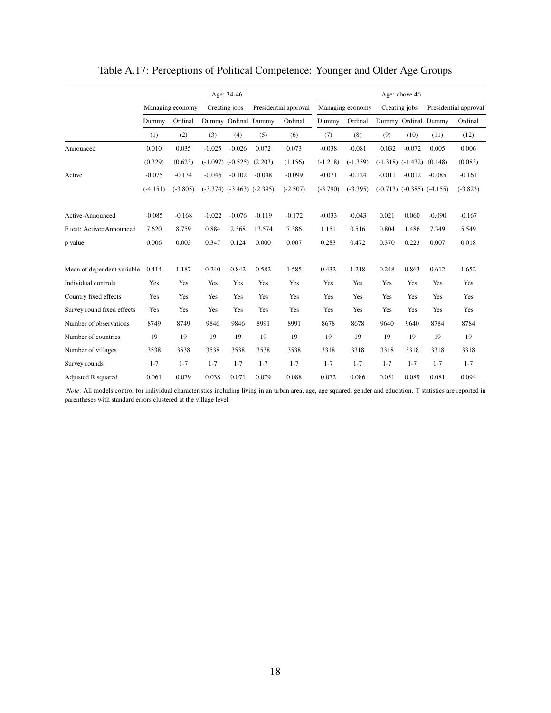|                            |            |                  |               | Age: 34-46                      |                                  |                       | Age: above 46 |                  |          |                                  |          |                       |  |
|----------------------------|------------|------------------|---------------|---------------------------------|----------------------------------|-----------------------|---------------|------------------|----------|----------------------------------|----------|-----------------------|--|
|                            |            | Managing economy | Creating jobs |                                 |                                  | Presidential approval |               | Managing economy |          | Creating jobs                    |          | Presidential approval |  |
|                            | Dummy      | Ordinal          |               |                                 | Dummy Ordinal Dummy              | Ordinal               | Dummy         | Ordinal          |          | Dummy Ordinal Dummy              |          | Ordinal               |  |
|                            | (1)        | (2)              | (3)           | (4)                             | (5)                              | (6)                   | (7)           | (8)              | (9)      | (10)                             | (11)     | (12)                  |  |
| Announced                  | 0.010      | 0.035            | $-0.025$      | $-0.026$                        | 0.072                            | 0.073                 | $-0.038$      | $-0.081$         | $-0.032$ | $-0.072$                         | 0.005    | 0.006                 |  |
|                            | (0.329)    | (0.623)          |               | $(-1.097)$ $(-0.525)$ $(2.203)$ |                                  | (1.156)               | $(-1.218)$    | $(-1.359)$       |          | $(-1.318)$ $(-1.432)$            | (0.148)  | (0.083)               |  |
| Active                     | $-0.075$   | $-0.134$         | $-0.046$      | $-0.102$                        | $-0.048$                         | $-0.099$              | $-0.071$      | $-0.124$         | $-0.011$ | $-0.012$                         | $-0.085$ | $-0.161$              |  |
|                            | $(-4.151)$ | $(-3.805)$       |               |                                 | $(-3.374)$ $(-3.463)$ $(-2.395)$ | $(-2.507)$            | $(-3.790)$    | $(-3.395)$       |          | $(-0.713)$ $(-0.385)$ $(-4.155)$ |          | $(-3.823)$            |  |
| Active-Announced           | $-0.085$   | $-0.168$         | $-0.022$      | $-0.076$                        | $-0.119$                         | $-0.172$              | $-0.033$      | $-0.043$         | 0.021    | 0.060                            | $-0.090$ | $-0.167$              |  |
| F test: Active=Announced   | 7.620      | 8.759            | 0.884         | 2.368                           | 13.574                           | 7.386                 | 1.151         | 0.516            | 0.804    | 1.486                            | 7.349    | 5.549                 |  |
| p value                    | 0.006      | 0.003            | 0.347         | 0.124                           | 0.000                            | 0.007                 | 0.283         | 0.472            | 0.370    | 0.223                            | 0.007    | 0.018                 |  |
| Mean of dependent variable | 0.414      | 1.187            | 0.240         | 0.842                           | 0.582                            | 1.585                 | 0.432         | 1.218            | 0.248    | 0.863                            | 0.612    | 1.652                 |  |
| Individual controls        | Yes        | Yes              | Yes           | Yes                             | Yes                              | Yes                   | Yes           | Yes              | Yes      | Yes                              | Yes      | Yes                   |  |
| Country fixed effects      | Yes        | Yes              | Yes           | Yes                             | Yes                              | Yes                   | Yes           | Yes              | Yes      | Yes                              | Yes      | Yes                   |  |
| Survey round fixed effects | Yes        | Yes              | Yes           | Yes                             | Yes                              | Yes                   | Yes           | Yes              | Yes      | Yes                              | Yes      | Yes                   |  |
| Number of observations     | 8749       | 8749             | 9846          | 9846                            | 8991                             | 8991                  | 8678          | 8678             | 9640     | 9640                             | 8784     | 8784                  |  |
| Number of countries        | 19         | 19               | 19            | 19                              | 19                               | 19                    | 19            | 19               | 19       | 19                               | 19       | 19                    |  |
| Number of villages         | 3538       | 3538             | 3538          | 3538                            | 3538                             | 3538                  | 3318          | 3318             | 3318     | 3318                             | 3318     | 3318                  |  |
| Survey rounds              | $1 - 7$    | $1 - 7$          | $1 - 7$       | $1 - 7$                         | $1 - 7$                          | $1 - 7$               | $1 - 7$       | $1 - 7$          | $1 - 7$  | $1 - 7$                          | $1 - 7$  | $1 - 7$               |  |
| Adjusted R squared         | 0.061      | 0.079            | 0.038         | 0.071                           | 0.079                            | 0.088                 | 0.072         | 0.086            | 0.051    | 0.089                            | 0.081    | 0.094                 |  |

Table A.17: Perceptions of Political Competence: Younger and Older Age Groups

*Note*: All models control for individual characteristics including living in an urban area, age, age squared, gender and education. T statistics are reported in parentheses with standard errors clustered at the village level.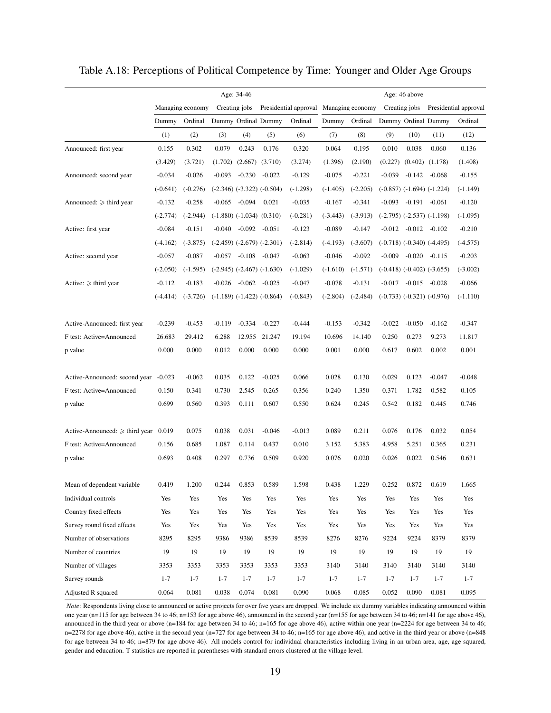|                                     |            |                  |          | Age: 34-46                      |                                  |                                        | Age: 46 above |            |          |                  |                                  |                       |
|-------------------------------------|------------|------------------|----------|---------------------------------|----------------------------------|----------------------------------------|---------------|------------|----------|------------------|----------------------------------|-----------------------|
|                                     |            | Managing economy |          | Creating jobs                   |                                  | Presidential approval Managing economy |               |            |          | Creating jobs    |                                  | Presidential approval |
|                                     | Dummy      | Ordinal          |          |                                 | Dummy Ordinal Dummy              | Ordinal                                | Dummy         | Ordinal    |          |                  | Dummy Ordinal Dummy              | Ordinal               |
|                                     | (1)        | (2)              | (3)      | (4)                             | (5)                              | (6)                                    | (7)           | (8)        | (9)      | (10)             | (11)                             | (12)                  |
| Announced: first year               | 0.155      | 0.302            | 0.079    | 0.243                           | 0.176                            | 0.320                                  | 0.064         | 0.195      | 0.010    | 0.038            | 0.060                            | 0.136                 |
|                                     | (3.429)    | (3.721)          |          | $(1.702)$ $(2.667)$ $(3.710)$   |                                  | (3.274)                                | (1.396)       | (2.190)    | (0.227)  |                  | $(0.402)$ $(1.178)$              | (1.408)               |
| Announced: second year              | $-0.034$   | $-0.026$         | $-0.093$ | $-0.230$                        | $-0.022$                         | $-0.129$                               | $-0.075$      | $-0.221$   | $-0.039$ | $-0.142$         | -0.068                           | $-0.155$              |
|                                     | $(-0.641)$ | $(-0.276)$       |          |                                 | $(-2.346)$ $(-3.322)$ $(-0.504)$ | $(-1.298)$                             | $(-1.405)$    | $(-2.205)$ |          |                  | $(-0.857)$ $(-1.694)$ $(-1.224)$ | $(-1.149)$            |
| Announced: $\geq$ third year        | $-0.132$   | $-0.258$         | $-0.065$ | -0.094                          | 0.021                            | $-0.035$                               | $-0.167$      | $-0.341$   | $-0.093$ |                  | $-0.191 - 0.061$                 | $-0.120$              |
|                                     | $(-2.774)$ | $(-2.944)$       |          | $(-1.880)$ $(-1.034)$ $(0.310)$ |                                  | $(-0.281)$                             | $(-3.443)$    | $(-3.913)$ |          |                  | $(-2.795)$ $(-2.537)$ $(-1.198)$ | $(-1.095)$            |
| Active: first year                  | $-0.084$   | $-0.151$         | $-0.040$ | $-0.092 -0.051$                 |                                  | $-0.123$                               | $-0.089$      | $-0.147$   | $-0.012$ | $-0.012 - 0.102$ |                                  | $-0.210$              |
|                                     | $(-4.162)$ | $(-3.875)$       |          |                                 | $(-2.459)$ $(-2.679)$ $(-2.301)$ | $(-2.814)$                             | $(-4.193)$    | $(-3.607)$ |          |                  | $(-0.718)$ $(-0.340)$ $(-4.495)$ | $(-4.575)$            |
| Active: second year                 | $-0.057$   | $-0.087$         |          | $-0.057 -0.108 -0.047$          |                                  | $-0.063$                               | $-0.046$      | $-0.092$   | $-0.009$ |                  | $-0.020 -0.115$                  | $-0.203$              |
|                                     | $(-2.050)$ | $(-1.595)$       |          |                                 | $(-2.945)$ $(-2.467)$ $(-1.630)$ | $(-1.029)$                             | $(-1.610)$    | $(-1.571)$ |          |                  | $(-0.418)$ $(-0.402)$ $(-3.655)$ | $(-3.002)$            |
| Active: $\geq$ third year           | $-0.112$   | $-0.183$         |          | $-0.026$ $-0.062$ $-0.025$      |                                  | $-0.047$                               | $-0.078$      | $-0.131$   | $-0.017$ |                  | $-0.015 - 0.028$                 | $-0.066$              |
|                                     | $(-4.414)$ | $(-3.726)$       |          |                                 | $(-1.189)$ $(-1.422)$ $(-0.864)$ | $(-0.843)$                             | $(-2.804)$    | $(-2.484)$ |          |                  | $(-0.733)$ $(-0.321)$ $(-0.976)$ | $(-1.110)$            |
|                                     |            |                  |          |                                 |                                  |                                        |               |            |          |                  |                                  |                       |
| Active-Announced: first year        | $-0.239$   | $-0.453$         | $-0.119$ | $-0.334$                        | $-0.227$                         | $-0.444$                               | $-0.153$      | $-0.342$   | $-0.022$ | $-0.050$         | $-0.162$                         | $-0.347$              |
| F test: Active=Announced            | 26.683     | 29.412           | 6.288    | 12.955                          | 21.247                           | 19.194                                 | 10.696        | 14.140     | 0.250    | 0.273            | 9.273                            | 11.817                |
| p value                             | 0.000      | 0.000            | 0.012    | 0.000                           | 0.000                            | 0.000                                  | 0.001         | 0.000      | 0.617    | 0.602            | 0.002                            | 0.001                 |
|                                     |            |                  |          |                                 |                                  |                                        |               |            |          |                  |                                  |                       |
| Active-Announced: second year       | $-0.023$   | $-0.062$         | 0.035    | 0.122                           | $-0.025$                         | 0.066                                  | 0.028         | 0.130      | 0.029    | 0.123            | $-0.047$                         | $-0.048$              |
| F test: Active=Announced            | 0.150      | 0.341            | 0.730    | 2.545                           | 0.265                            | 0.356                                  | 0.240         | 1.350      | 0.371    | 1.782            | 0.582                            | 0.105                 |
| p value                             | 0.699      | 0.560            | 0.393    | 0.111                           | 0.607                            | 0.550                                  | 0.624         | 0.245      | 0.542    | 0.182            | 0.445                            | 0.746                 |
|                                     |            |                  |          |                                 |                                  |                                        |               |            |          |                  |                                  |                       |
| Active-Announced: $\geq$ third year | 0.019      | 0.075            | 0.038    | 0.031                           | $-0.046$                         | $-0.013$                               | 0.089         | 0.211      | 0.076    | 0.176            | 0.032                            | 0.054                 |
| F test: Active=Announced            | 0.156      | 0.685            | 1.087    | 0.114                           | 0.437                            | 0.010                                  | 3.152         | 5.383      | 4.958    | 5.251            | 0.365                            | 0.231                 |
| p value                             | 0.693      | 0.408            | 0.297    | 0.736                           | 0.509                            | 0.920                                  | 0.076         | 0.020      | 0.026    | 0.022            | 0.546                            | 0.631                 |
|                                     |            |                  |          |                                 |                                  |                                        |               |            |          |                  |                                  |                       |
| Mean of dependent variable.         | 0.419      | 1.200            | 0.244    | 0.853                           | 0.589                            | 1.598                                  | 0.438         | 1.229      | 0.252    | 0.872            | 0.619                            | 1.665                 |
| Individual controls                 | Yes        | Yes              | Yes      | Yes                             | Yes                              | Yes                                    | Yes           | Yes        | Yes      | Yes              | Yes                              | Yes                   |
| Country fixed effects               | Yes        | Yes              | Yes      | Yes                             | Yes                              | Yes                                    | Yes           | Yes        | Yes      | Yes              | Yes                              | Yes                   |
| Survey round fixed effects          | Yes        | Yes              | Yes      | Yes                             | Yes                              | Yes                                    | Yes           | Yes        | Yes      | Yes              | Yes                              | Yes                   |
| Number of observations              | 8295       | 8295             | 9386     | 9386                            | 8539                             | 8539                                   | 8276          | 8276       | 9224     | 9224             | 8379                             | 8379                  |
| Number of countries                 | 19         | 19               | 19       | 19                              | 19                               | 19                                     | 19            | 19         | 19       | 19               | 19                               | 19                    |
| Number of villages                  | 3353       | 3353             | 3353     | 3353                            | 3353                             | 3353                                   | 3140          | 3140       | 3140     | 3140             | 3140                             | 3140                  |
| Survey rounds                       | $1 - 7$    | $1 - 7$          | $1 - 7$  | $1 - 7$                         | $1 - 7$                          | $1 - 7$                                | $1 - 7$       | $1 - 7$    | $1 - 7$  | $1 - 7$          | $1 - 7$                          | $1 - 7$               |
| Adjusted R squared                  | 0.064      | 0.081            | 0.038    | 0.074                           | 0.081                            | 0.090                                  | 0.068         | 0.085      | 0.052    | 0.090            | 0.081                            | 0.095                 |

Table A.18: Perceptions of Political Competence by Time: Younger and Older Age Groups

*Note*: Respondents living close to announced or active projects for over five years are dropped. We include six dummy variables indicating announced within one year (n=115 for age between 34 to 46; n=153 for age above 46), announced in the second year (n=155 for age between 34 to 46; n=141 for age above 46), announced in the third year or above (n=184 for age between 34 to 46; n=165 for age above 46), active within one year (n=2224 for age between 34 to 46; n=2278 for age above 46), active in the second year (n=727 for age between 34 to 46; n=165 for age above 46), and active in the third year or above (n=848 for age between 34 to 46; n=879 for age above 46). All models control for individual characteristics including living in an urban area, age, age squared, gender and education. T statistics are reported in parentheses with standard errors clustered at the village level.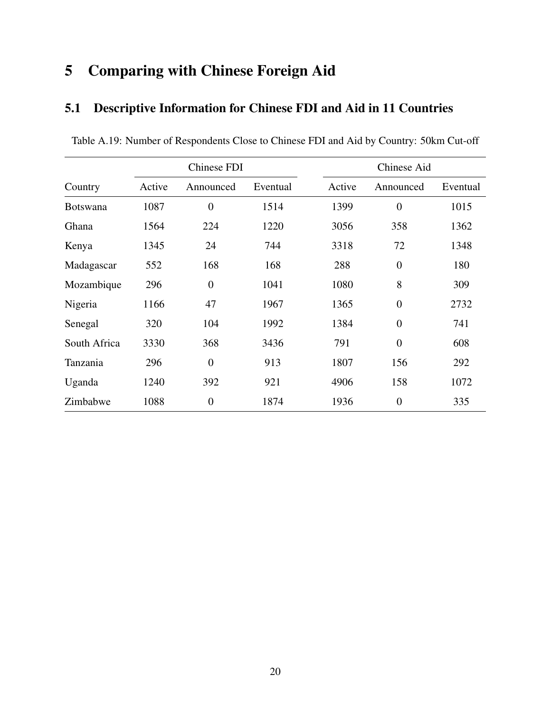# 5 Comparing with Chinese Foreign Aid

## 5.1 Descriptive Information for Chinese FDI and Aid in 11 Countries

|                 |        | Chinese FDI      |          |        | Chinese Aid      |          |  |  |  |  |
|-----------------|--------|------------------|----------|--------|------------------|----------|--|--|--|--|
| Country         | Active | Announced        | Eventual | Active | Announced        | Eventual |  |  |  |  |
| <b>Botswana</b> | 1087   | $\overline{0}$   | 1514     | 1399   | $\overline{0}$   | 1015     |  |  |  |  |
| Ghana           | 1564   | 224              | 1220     | 3056   | 358              | 1362     |  |  |  |  |
| Kenya           | 1345   | 24               | 744      | 3318   | 72               | 1348     |  |  |  |  |
| Madagascar      | 552    | 168              | 168      | 288    | $\boldsymbol{0}$ | 180      |  |  |  |  |
| Mozambique      | 296    | $\boldsymbol{0}$ | 1041     | 1080   | 8                | 309      |  |  |  |  |
| Nigeria         | 1166   | 47               | 1967     | 1365   | $\overline{0}$   | 2732     |  |  |  |  |
| Senegal         | 320    | 104              | 1992     | 1384   | $\boldsymbol{0}$ | 741      |  |  |  |  |
| South Africa    | 3330   | 368              | 3436     | 791    | $\overline{0}$   | 608      |  |  |  |  |
| Tanzania        | 296    | $\overline{0}$   | 913      | 1807   | 156              | 292      |  |  |  |  |
| Uganda          | 1240   | 392              | 921      | 4906   | 158              | 1072     |  |  |  |  |
| Zimbabwe        | 1088   | $\overline{0}$   | 1874     | 1936   | $\overline{0}$   | 335      |  |  |  |  |

Table A.19: Number of Respondents Close to Chinese FDI and Aid by Country: 50km Cut-off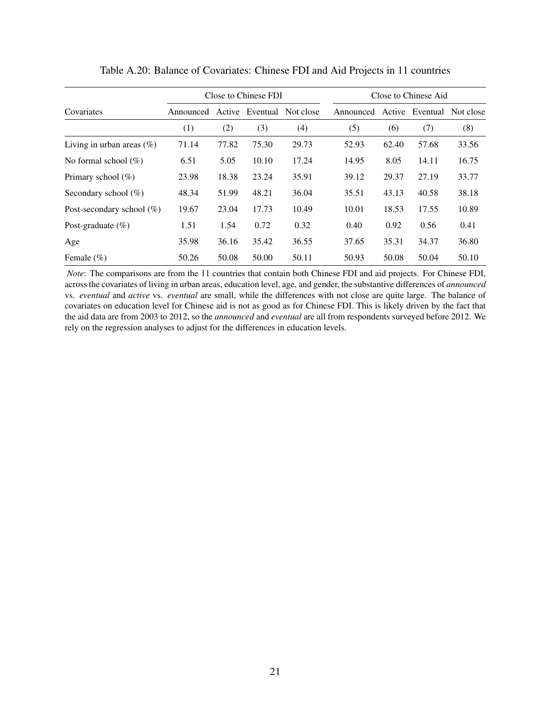|                              |           |       | Close to Chinese FDI |           | Close to Chinese Aid |           |       |       |                           |  |
|------------------------------|-----------|-------|----------------------|-----------|----------------------|-----------|-------|-------|---------------------------|--|
| Covariates                   | Announced |       | Active Eventual      | Not close |                      | Announced |       |       | Active Eventual Not close |  |
|                              | (1)       | (2)   | (3)                  | (4)       |                      | (5)       | (6)   | (7)   | (8)                       |  |
| Living in urban areas $(\%)$ | 71.14     | 77.82 | 75.30                | 29.73     |                      | 52.93     | 62.40 | 57.68 | 33.56                     |  |
| No formal school $(\%)$      | 6.51      | 5.05  | 10.10                | 17.24     |                      | 14.95     | 8.05  | 14.11 | 16.75                     |  |
| Primary school $(\%)$        | 23.98     | 18.38 | 23.24                | 35.91     |                      | 39.12     | 29.37 | 27.19 | 33.77                     |  |
| Secondary school $(\%)$      | 48.34     | 51.99 | 48.21                | 36.04     |                      | 35.51     | 43.13 | 40.58 | 38.18                     |  |
| Post-secondary school $(\%)$ | 19.67     | 23.04 | 17.73                | 10.49     |                      | 10.01     | 18.53 | 17.55 | 10.89                     |  |
| Post-graduate $(\%)$         | 1.51      | 1.54  | 0.72                 | 0.32      |                      | 0.40      | 0.92  | 0.56  | 0.41                      |  |
| Age                          | 35.98     | 36.16 | 35.42                | 36.55     |                      | 37.65     | 35.31 | 34.37 | 36.80                     |  |
| Female $(\% )$               | 50.26     | 50.08 | 50.00                | 50.11     |                      | 50.93     | 50.08 | 50.04 | 50.10                     |  |

Table A.20: Balance of Covariates: Chinese FDI and Aid Projects in 11 countries

*Note*: The comparisons are from the 11 countries that contain both Chinese FDI and aid projects. For Chinese FDI, across the covariates of living in urban areas, education level, age, and gender, the substantive differences of *announced* vs. *eventual* and *active* vs. *eventual* are small, while the differences with not close are quite large. The balance of covariates on education level for Chinese aid is not as good as for Chinese FDI. This is likely driven by the fact that the aid data are from 2003 to 2012, so the *announced* and *eventual* are all from respondents surveyed before 2012. We rely on the regression analyses to adjust for the differences in education levels.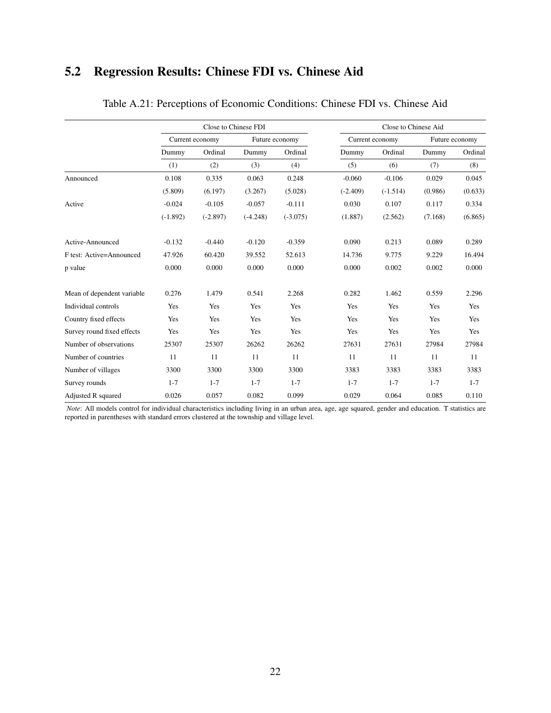## 5.2 Regression Results: Chinese FDI vs. Chinese Aid

|                            |            |                 | Close to Chinese FDI |                | Close to Chinese Aid |                 |         |                |  |  |  |
|----------------------------|------------|-----------------|----------------------|----------------|----------------------|-----------------|---------|----------------|--|--|--|
|                            |            | Current economy |                      | Future economy |                      | Current economy |         | Future economy |  |  |  |
|                            | Dummy      | Ordinal         | Dummy                | Ordinal        | Dummy                | Ordinal         | Dummy   | Ordinal        |  |  |  |
|                            | (1)        | (2)             | (3)                  | (4)            | (5)                  | (6)             | (7)     | (8)            |  |  |  |
| Announced                  | 0.108      | 0.335           | 0.063                | 0.248          | $-0.060$             | $-0.106$        | 0.029   | 0.045          |  |  |  |
|                            | (5.809)    | (6.197)         | (3.267)              | (5.028)        | $(-2.409)$           | $(-1.514)$      | (0.986) | (0.633)        |  |  |  |
| Active                     | $-0.024$   | $-0.105$        | $-0.057$             | $-0.111$       | 0.030                | 0.107           | 0.117   | 0.334          |  |  |  |
|                            | $(-1.892)$ | $(-2.897)$      | $(-4.248)$           | $(-3.075)$     | (1.887)              | (2.562)         | (7.168) | (6.865)        |  |  |  |
| Active-Announced           | $-0.132$   | $-0.440$        | $-0.120$             | $-0.359$       | 0.090                | 0.213           | 0.089   | 0.289          |  |  |  |
| F test: Active=Announced   | 47.926     | 60.420          | 39.552               | 52.613         | 14.736               | 9.775           | 9.229   | 16.494         |  |  |  |
| p value                    | 0.000      | 0.000           | 0.000                | 0.000          | 0.000                | 0.002           | 0.002   | 0.000          |  |  |  |
| Mean of dependent variable | 0.276      | 1.479           | 0.541                | 2.268          | 0.282                | 1.462           | 0.559   | 2.296          |  |  |  |
| Individual controls        | Yes        | Yes             | Yes                  | Yes            | Yes                  | Yes             | Yes     | Yes            |  |  |  |
| Country fixed effects      | Yes        | Yes             | Yes                  | Yes            | Yes                  | Yes             | Yes     | Yes            |  |  |  |
| Survey round fixed effects | Yes        | Yes             | Yes                  | Yes            | Yes                  | Yes             | Yes     | Yes            |  |  |  |
| Number of observations     | 25307      | 25307           | 26262                | 26262          | 27631                | 27631           | 27984   | 27984          |  |  |  |
| Number of countries        | 11         | 11              | 11                   | 11             | 11                   | 11              | 11      | 11             |  |  |  |
| Number of villages         | 3300       | 3300            | 3300                 | 3300           | 3383                 | 3383            | 3383    | 3383           |  |  |  |
| Survey rounds              | $1 - 7$    | $1 - 7$         | $1 - 7$              | $1 - 7$        | $1 - 7$              | $1 - 7$         | $1 - 7$ | $1 - 7$        |  |  |  |
| Adjusted R squared         | 0.026      | 0.057           | 0.082                | 0.099          | 0.029                | 0.064           | 0.085   | 0.110          |  |  |  |

#### Table A.21: Perceptions of Economic Conditions: Chinese FDI vs. Chinese Aid

*Note*: All models control for individual characteristics including living in an urban area, age, age squared, gender and education. T statistics are reported in parentheses with standard errors clustered at the township and village level.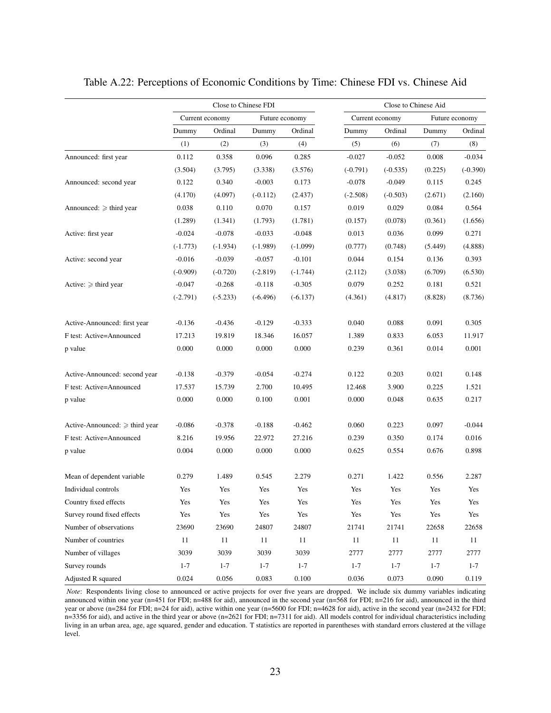|                                   |            |                 | Close to Chinese FDI |                |            | Close to Chinese Aid |         |                |  |  |
|-----------------------------------|------------|-----------------|----------------------|----------------|------------|----------------------|---------|----------------|--|--|
|                                   |            | Current economy |                      | Future economy |            | Current economy      |         | Future economy |  |  |
|                                   | Dummy      | Ordinal         | Dummy                | Ordinal        | Dummy      | Ordinal              | Dummy   | Ordinal        |  |  |
|                                   | (1)        | (2)             | (3)                  | (4)            | (5)        | (6)                  | (7)     | (8)            |  |  |
| Announced: first year             | 0.112      | 0.358           | 0.096                | 0.285          | $-0.027$   | $-0.052$             | 0.008   | $-0.034$       |  |  |
|                                   | (3.504)    | (3.795)         | (3.338)              | (3.576)        | $(-0.791)$ | $(-0.535)$           | (0.225) | $(-0.390)$     |  |  |
| Announced: second year            | 0.122      | 0.340           | $-0.003$             | 0.173          | $-0.078$   | $-0.049$             | 0.115   | 0.245          |  |  |
|                                   | (4.170)    | (4.097)         | $(-0.112)$           | (2.437)        | $(-2.508)$ | $(-0.503)$           | (2.671) | (2.160)        |  |  |
| Announced: $\geqslant$ third year | 0.038      | 0.110           | 0.070                | 0.157          | 0.019      | 0.029                | 0.084   | 0.564          |  |  |
|                                   | (1.289)    | (1.341)         | (1.793)              | (1.781)        | (0.157)    | (0.078)              | (0.361) | (1.656)        |  |  |
| Active: first year                | $-0.024$   | $-0.078$        | $-0.033$             | $-0.048$       | 0.013      | 0.036                | 0.099   | 0.271          |  |  |
|                                   | $(-1.773)$ | $(-1.934)$      | $(-1.989)$           | $(-1.099)$     | (0.777)    | (0.748)              | (5.449) | (4.888)        |  |  |
| Active: second year               | $-0.016$   | $-0.039$        | $-0.057$             | $-0.101$       | 0.044      | 0.154                | 0.136   | 0.393          |  |  |
|                                   | $(-0.909)$ | $(-0.720)$      | $(-2.819)$           | $(-1.744)$     | (2.112)    | (3.038)              | (6.709) | (6.530)        |  |  |
| Active: $\geqslant$ third year    | $-0.047$   | $-0.268$        | $-0.118$             | $-0.305$       | 0.079      | 0.252                | 0.181   | 0.521          |  |  |
|                                   | $(-2.791)$ | $(-5.233)$      | $(-6.496)$           | $(-6.137)$     | (4.361)    | (4.817)              | (8.828) | (8.736)        |  |  |
| Active-Announced: first year      | $-0.136$   | $-0.436$        | $-0.129$             | $-0.333$       | 0.040      | 0.088                | 0.091   | 0.305          |  |  |
| F test: Active=Announced          | 17.213     | 19.819          | 18.346               | 16.057         | 1.389      | 0.833                | 6.053   | 11.917         |  |  |
| p value                           | 0.000      | 0.000           | 0.000                | 0.000          | 0.239      | 0.361                | 0.014   | 0.001          |  |  |
| Active-Announced: second year     | $-0.138$   | $-0.379$        | $-0.054$             | $-0.274$       | 0.122      | 0.203                | 0.021   | 0.148          |  |  |
| F test: Active=Announced          | 17.537     | 15.739          | 2.700                | 10.495         | 12.468     | 3.900                | 0.225   | 1.521          |  |  |
| p value                           | 0.000      | 0.000           | 0.100                | 0.001          | 0.000      | 0.048                | 0.635   | 0.217          |  |  |
| Active-Announced: ≥ third year    | $-0.086$   | $-0.378$        | $-0.188$             | $-0.462$       | 0.060      | 0.223                | 0.097   | $-0.044$       |  |  |
| F test: Active=Announced          | 8.216      | 19.956          | 22.972               | 27.216         | 0.239      | 0.350                | 0.174   | 0.016          |  |  |
| p value                           | 0.004      | 0.000           | 0.000                | 0.000          | 0.625      | 0.554                | 0.676   | 0.898          |  |  |
| Mean of dependent variable        | 0.279      | 1.489           | 0.545                | 2.279          | 0.271      | 1.422                | 0.556   | 2.287          |  |  |
| Individual controls               | Yes        | Yes             | Yes                  | Yes            | Yes        | Yes                  | Yes     | Yes            |  |  |
| Country fixed effects             | Yes        | Yes             | Yes                  | Yes            | Yes        | Yes                  | Yes     | Yes            |  |  |
| Survey round fixed effects        | Yes        | Yes             | Yes                  | Yes            | Yes        | Yes                  | Yes     | Yes            |  |  |
| Number of observations            | 23690      | 23690           | 24807                | 24807          | 21741      | 21741                | 22658   | 22658          |  |  |
| Number of countries               | 11         | 11              | $11\,$               | 11             | 11         | 11                   | 11      | 11             |  |  |
| Number of villages                | 3039       | 3039            | 3039                 | 3039           | 2777       | 2777                 | 2777    | 2777           |  |  |
| Survey rounds                     | $1 - 7$    | $1 - 7$         | $1 - 7$              | $1 - 7$        | $1 - 7$    | $1 - 7$              | $1 - 7$ | $1 - 7$        |  |  |
| Adjusted R squared                | 0.024      | 0.056           | 0.083                | 0.100          | 0.036      | 0.073                | 0.090   | 0.119          |  |  |

Table A.22: Perceptions of Economic Conditions by Time: Chinese FDI vs. Chinese Aid

*Note*: Respondents living close to announced or active projects for over five years are dropped. We include six dummy variables indicating announced within one year (n=451 for FDI; n=488 for aid), announced in the second year (n=568 for FDI; n=216 for aid), announced in the third year or above (n=284 for FDI; n=24 for aid), active within one year (n=5600 for FDI; n=4628 for aid), active in the second year (n=2432 for FDI; n=3356 for aid), and active in the third year or above (n=2621 for FDI; n=7311 for aid). All models control for individual characteristics including living in an urban area, age, age squared, gender and education. T statistics are reported in parentheses with standard errors clustered at the village level.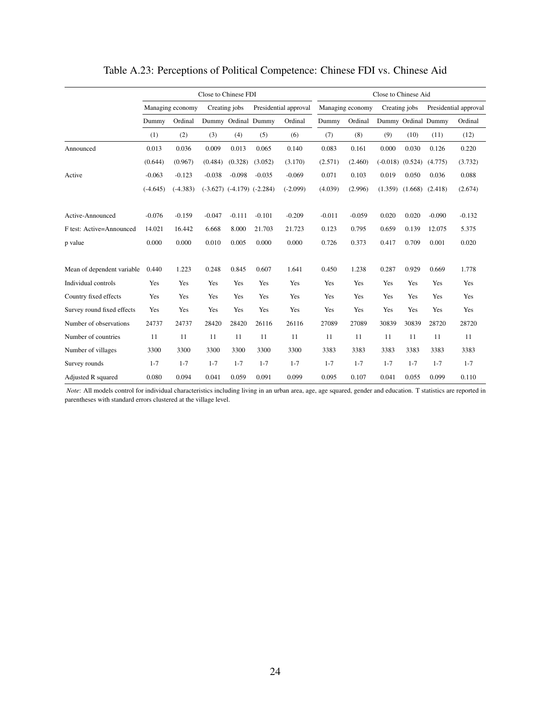|                            |            |                  | Close to Chinese FDI |          |                                  |                       | Close to Chinese Aid |                  |         |                      |                     |                       |  |
|----------------------------|------------|------------------|----------------------|----------|----------------------------------|-----------------------|----------------------|------------------|---------|----------------------|---------------------|-----------------------|--|
|                            |            | Managing economy | Creating jobs        |          |                                  | Presidential approval |                      | Managing economy |         | Creating jobs        |                     | Presidential approval |  |
|                            | Dummy      | Ordinal          |                      |          | Dummy Ordinal Dummy              | Ordinal               | Dummy                | Ordinal          |         |                      | Dummy Ordinal Dummy | Ordinal               |  |
|                            | (1)        | (2)              | (3)                  | (4)      | (5)                              | (6)                   | (7)                  | (8)              | (9)     | (10)                 | (11)                | (12)                  |  |
| Announced                  | 0.013      | 0.036            | 0.009                | 0.013    | 0.065                            | 0.140                 | 0.083                | 0.161            | 0.000   | 0.030                | 0.126               | 0.220                 |  |
|                            | (0.644)    | (0.967)          | (0.484)              | (0.328)  | (3.052)                          | (3.170)               | (2.571)              | (2.460)          |         | $(-0.018)$ $(0.524)$ | (4.775)             | (3.732)               |  |
| Active                     | $-0.063$   | $-0.123$         | $-0.038$             | $-0.098$ | $-0.035$                         | $-0.069$              | 0.071                | 0.103            | 0.019   | 0.050                | 0.036               | 0.088                 |  |
|                            | $(-4.645)$ | $(-4.383)$       |                      |          | $(-3.627)$ $(-4.179)$ $(-2.284)$ | $(-2.099)$            | (4.039)              | (2.996)          | (1.359) | (1.668)              | (2.418)             | (2.674)               |  |
| Active-Announced           | $-0.076$   | $-0.159$         | $-0.047$             | $-0.111$ | $-0.101$                         | $-0.209$              | $-0.011$             | $-0.059$         | 0.020   | 0.020                | $-0.090$            | $-0.132$              |  |
| F test: Active=Announced   | 14.021     | 16.442           | 6.668                | 8.000    | 21.703                           | 21.723                | 0.123                | 0.795            | 0.659   | 0.139                | 12.075              | 5.375                 |  |
| p value                    | 0.000      | 0.000            | 0.010                | 0.005    | 0.000                            | 0.000                 | 0.726                | 0.373            | 0.417   | 0.709                | 0.001               | 0.020                 |  |
| Mean of dependent variable | 0.440      | 1.223            | 0.248                | 0.845    | 0.607                            | 1.641                 | 0.450                | 1.238            | 0.287   | 0.929                | 0.669               | 1.778                 |  |
| Individual controls        | Yes        | Yes              | Yes                  | Yes      | Yes                              | Yes                   | Yes                  | Yes              | Yes     | Yes                  | Yes                 | Yes                   |  |
| Country fixed effects      | Yes        | Yes              | Yes                  | Yes      | Yes                              | Yes                   | Yes                  | Yes              | Yes     | Yes                  | Yes                 | Yes                   |  |
| Survey round fixed effects | Yes        | Yes              | Yes                  | Yes      | Yes                              | Yes                   | Yes                  | Yes              | Yes     | Yes                  | Yes                 | Yes                   |  |
| Number of observations     | 24737      | 24737            | 28420                | 28420    | 26116                            | 26116                 | 27089                | 27089            | 30839   | 30839                | 28720               | 28720                 |  |
| Number of countries        | 11         | 11               | 11                   | 11       | 11                               | 11                    | 11                   | 11               | 11      | 11                   | 11                  | 11                    |  |
| Number of villages         | 3300       | 3300             | 3300                 | 3300     | 3300                             | 3300                  | 3383                 | 3383             | 3383    | 3383                 | 3383                | 3383                  |  |
| Survey rounds              | $1 - 7$    | $1 - 7$          | $1 - 7$              | $1 - 7$  | $1 - 7$                          | $1 - 7$               | $1 - 7$              | $1 - 7$          | $1 - 7$ | $1 - 7$              | $1 - 7$             | $1 - 7$               |  |
| Adjusted R squared         | 0.080      | 0.094            | 0.041                | 0.059    | 0.091                            | 0.099                 | 0.095                | 0.107            | 0.041   | 0.055                | 0.099               | 0.110                 |  |

Table A.23: Perceptions of Political Competence: Chinese FDI vs. Chinese Aid

*Note*: All models control for individual characteristics including living in an urban area, age, age squared, gender and education. T statistics are reported in parentheses with standard errors clustered at the village level.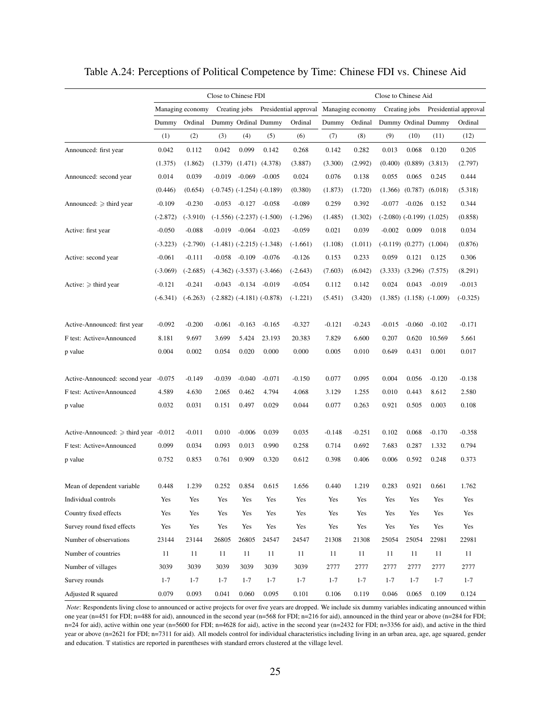|                                     |            |                  | Close to Chinese FDI |                                  |                                  |                                        | Close to Chinese Aid |          |                     |                                 |                                |                       |
|-------------------------------------|------------|------------------|----------------------|----------------------------------|----------------------------------|----------------------------------------|----------------------|----------|---------------------|---------------------------------|--------------------------------|-----------------------|
|                                     |            | Managing economy |                      | Creating jobs                    |                                  | Presidential approval Managing economy |                      |          |                     | Creating jobs                   |                                | Presidential approval |
|                                     | Dummy      | Ordinal          |                      |                                  | Dummy Ordinal Dummy              | Ordinal                                | Dummy                | Ordinal  | Dummy Ordinal Dummy |                                 |                                | Ordinal               |
|                                     | (1)        | (2)              | (3)                  | (4)                              | (5)                              | (6)                                    | (7)                  | (8)      | (9)                 | (10)                            | (11)                           | (12)                  |
| Announced: first year               | 0.042      | 0.112            | 0.042                | 0.099                            | 0.142                            | 0.268                                  | 0.142                | 0.282    | 0.013               | 0.068                           | 0.120                          | 0.205                 |
|                                     | (1.375)    | (1.862)          |                      | $(1.379)$ $(1.471)$ $(4.378)$    |                                  | (3.887)                                | (3.300)              | (2.992)  | (0.400)             | (0.889)                         | (3.813)                        | (2.797)               |
| Announced: second year              | 0.014      | 0.039            | $-0.019$             | $-0.069$                         | $-0.005$                         | 0.024                                  | 0.076                | 0.138    | 0.055               | 0.065                           | 0.245                          | 0.444                 |
|                                     | (0.446)    | (0.654)          |                      | $(-0.745)$ $(-1.254)$ $(-0.189)$ |                                  | (0.380)                                | (1.873)              | (1.720)  | (1.366)             |                                 | $(0.787)$ $(6.018)$            | (5.318)               |
| Announced: $\geq$ third year        | $-0.109$   | $-0.230$         |                      | $-0.053$ $-0.127$ $-0.058$       |                                  | $-0.089$                               | 0.259                | 0.392    | $-0.077$            | $-0.026$                        | 0.152                          | 0.344                 |
|                                     | $(-2.872)$ | $(-3.910)$       |                      |                                  | $(-1.556)$ $(-2.237)$ $(-1.500)$ | $(-1.296)$                             | (1.485)              | (1.302)  |                     | $(-2.080)$ $(-0.199)$ $(1.025)$ |                                | (0.858)               |
| Active: first year                  | $-0.050$   | $-0.088$         | $-0.019$             | $-0.064$ $-0.023$                |                                  | $-0.059$                               | 0.021                | 0.039    | $-0.002$            | 0.009                           | 0.018                          | 0.034                 |
|                                     | $(-3.223)$ | $(-2.790)$       |                      |                                  | $(-1.481)$ $(-2.215)$ $(-1.348)$ | $(-1.661)$                             | (1.108)              | (1.011)  |                     | $(-0.119)$ $(0.277)$ $(1.004)$  |                                | (0.876)               |
| Active: second year                 | $-0.061$   | $-0.111$         | $-0.058$             | $-0.109 - 0.076$                 |                                  | $-0.126$                               | 0.153                | 0.233    | 0.059               | 0.121                           | 0.125                          | 0.306                 |
|                                     | $(-3.069)$ | $(-2.685)$       |                      |                                  | $(-4.362)$ $(-3.537)$ $(-3.466)$ | $(-2.643)$                             | (7.603)              | (6.042)  | (3.333)             | $(3.296)$ $(7.575)$             |                                | (8.291)               |
| Active: $\geq$ third year           | $-0.121$   | $-0.241$         |                      | $-0.043$ $-0.134$ $-0.019$       |                                  | $-0.054$                               | 0.112                | 0.142    | 0.024               | 0.043                           | $-0.019$                       | $-0.013$              |
|                                     | $(-6.341)$ | $(-6.263)$       |                      |                                  | $(-2.882)$ $(-4.181)$ $(-0.878)$ | $(-1.221)$                             | (5.451)              | (3.420)  |                     |                                 | $(1.385)$ $(1.158)$ $(-1.009)$ | $(-0.325)$            |
|                                     |            |                  |                      |                                  |                                  |                                        |                      |          |                     |                                 |                                |                       |
| Active-Announced: first year        | $-0.092$   | $-0.200$         | $-0.061$             | $-0.163$                         | $-0.165$                         | $-0.327$                               | $-0.121$             | $-0.243$ | $-0.015$            | $-0.060$                        | $-0.102$                       | $-0.171$              |
| F test: Active=Announced            | 8.181      | 9.697            | 3.699                | 5.424                            | 23.193                           | 20.383                                 | 7.829                | 6.600    | 0.207               | 0.620                           | 10.569                         | 5.661                 |
| p value                             | 0.004      | 0.002            | 0.054                | 0.020                            | 0.000                            | 0.000                                  | 0.005                | 0.010    | 0.649               | 0.431                           | 0.001                          | 0.017                 |
|                                     |            |                  |                      |                                  |                                  |                                        |                      |          |                     |                                 |                                |                       |
| Active-Announced: second year       | $-0.075$   | $-0.149$         | $-0.039$             | $-0.040$                         | $-0.071$                         | $-0.150$                               | 0.077                | 0.095    | 0.004               | 0.056                           | $-0.120$                       | $-0.138$              |
| F test: Active=Announced            | 4.589      | 4.630            | 2.065                | 0.462                            | 4.794                            | 4.068                                  | 3.129                | 1.255    | 0.010               | 0.443                           | 8.612                          | 2.580                 |
| p value                             | 0.032      | 0.031            | 0.151                | 0.497                            | 0.029                            | 0.044                                  | 0.077                | 0.263    | 0.921               | 0.505                           | 0.003                          | 0.108                 |
|                                     |            |                  |                      |                                  |                                  |                                        |                      |          |                     |                                 |                                |                       |
| Active-Announced: $\geq$ third year | $-0.012$   | $-0.011$         | 0.010                | $-0.006$                         | 0.039                            | 0.035                                  | $-0.148$             | $-0.251$ | 0.102               | 0.068                           | $-0.170$                       | $-0.358$              |
| F test: Active=Announced            | 0.099      | 0.034            | 0.093                | 0.013                            | 0.990                            | 0.258                                  | 0.714                | 0.692    | 7.683               | 0.287                           | 1.332                          | 0.794                 |
| p value                             | 0.752      | 0.853            | 0.761                | 0.909                            | 0.320                            | 0.612                                  | 0.398                | 0.406    | 0.006               | 0.592                           | 0.248                          | 0.373                 |
|                                     |            |                  |                      |                                  |                                  |                                        |                      |          |                     |                                 |                                |                       |
| Mean of dependent variable.         | 0.448      | 1.239            | 0.252                | 0.854                            | 0.615                            | 1.656                                  | 0.440                | 1.219    | 0.283               | 0.921                           | 0.661                          | 1.762                 |
| Individual controls                 | Yes        | Yes              | Yes                  | Yes                              | Yes                              | Yes                                    | Yes                  | Yes      | Yes                 | Yes                             | Yes                            | Yes                   |
| Country fixed effects               | Yes        | Yes              | Yes                  | Yes                              | Yes                              | Yes                                    | Yes                  | Yes      | Yes                 | Yes                             | Yes                            | Yes                   |
| Survey round fixed effects          | Yes        | Yes              | Yes                  | Yes                              | Yes                              | Yes                                    | Yes                  | Yes      | Yes                 | Yes                             | Yes                            | Yes                   |
| Number of observations              | 23144      | 23144            | 26805                | 26805                            | 24547                            | 24547                                  | 21308                | 21308    | 25054               | 25054                           | 22981                          | 22981                 |
| Number of countries                 | 11         | 11               | 11                   | 11                               | 11                               | 11                                     | 11                   | 11       | 11                  | 11                              | 11                             | 11                    |
| Number of villages                  | 3039       | 3039             | 3039                 | 3039                             | 3039                             | 3039                                   | 2777                 | 2777     | 2777                | 2777                            | 2777                           | 2777                  |
| Survey rounds                       | $1 - 7$    | $1 - 7$          | $1 - 7$              | $1 - 7$                          | $1 - 7$                          | $1 - 7$                                | $1 - 7$              | $1 - 7$  | $1 - 7$             | $1 - 7$                         | $1 - 7$                        | $1 - 7$               |
| Adjusted R squared                  | 0.079      | 0.093            | 0.041                | 0.060                            | 0.095                            | 0.101                                  | 0.106                | 0.119    | 0.046               | 0.065                           | 0.109                          | 0.124                 |

Table A.24: Perceptions of Political Competence by Time: Chinese FDI vs. Chinese Aid

*Note*: Respondents living close to announced or active projects for over five years are dropped. We include six dummy variables indicating announced within one year (n=451 for FDI; n=488 for aid), announced in the second year (n=568 for FDI; n=216 for aid), announced in the third year or above (n=284 for FDI; n=24 for aid), active within one year (n=5600 for FDI; n=4628 for aid), active in the second year (n=2432 for FDI; n=3356 for aid), and active in the third year or above (n=2621 for FDI; n=7311 for aid). All models control for individual characteristics including living in an urban area, age, age squared, gender and education. T statistics are reported in parentheses with standard errors clustered at the village level.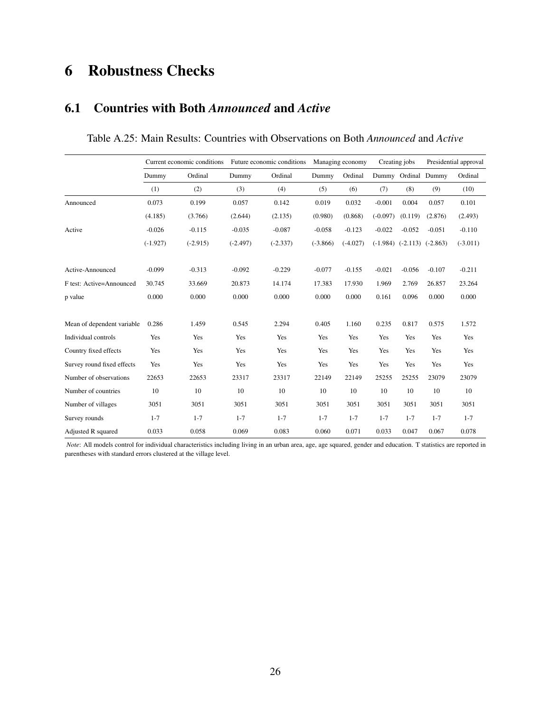# 6 Robustness Checks

### 6.1 Countries with Both *Announced* and *Active*

|                            |            | Current economic conditions |            | Future economic conditions |            | Managing economy |            | Creating jobs                    |          | Presidential approval |
|----------------------------|------------|-----------------------------|------------|----------------------------|------------|------------------|------------|----------------------------------|----------|-----------------------|
|                            | Dummy      | Ordinal                     | Dummy      | Ordinal                    | Dummy      | Ordinal          |            | Dummy Ordinal Dummy              |          | Ordinal               |
|                            | (1)        | (2)                         | (3)        | (4)                        | (5)        | (6)              | (7)        | (8)                              | (9)      | (10)                  |
| Announced                  | 0.073      | 0.199                       | 0.057      | 0.142                      | 0.019      | 0.032            | $-0.001$   | 0.004                            | 0.057    | 0.101                 |
|                            | (4.185)    | (3.766)                     | (2.644)    | (2.135)                    | (0.980)    | (0.868)          | $(-0.097)$ | (0.119)                          | (2.876)  | (2.493)               |
| Active                     | $-0.026$   | $-0.115$                    | $-0.035$   | $-0.087$                   | $-0.058$   | $-0.123$         | $-0.022$   | $-0.052$                         | $-0.051$ | $-0.110$              |
|                            | $(-1.927)$ | $(-2.915)$                  | $(-2.497)$ | $(-2.337)$                 | $(-3.866)$ | $(-4.027)$       |            | $(-1.984)$ $(-2.113)$ $(-2.863)$ |          | $(-3.011)$            |
| Active-Announced           | $-0.099$   | $-0.313$                    | $-0.092$   | $-0.229$                   | $-0.077$   | $-0.155$         | $-0.021$   | $-0.056$                         | $-0.107$ | $-0.211$              |
| F test: Active=Announced   | 30.745     | 33.669                      | 20.873     | 14.174                     | 17.383     | 17.930           | 1.969      | 2.769                            | 26.857   | 23.264                |
| p value                    | 0.000      | 0.000                       | 0.000      | 0.000                      | 0.000      | 0.000            | 0.161      | 0.096                            | 0.000    | 0.000                 |
| Mean of dependent variable | 0.286      | 1.459                       | 0.545      | 2.294                      | 0.405      | 1.160            | 0.235      | 0.817                            | 0.575    | 1.572                 |
| Individual controls        | Yes        | Yes                         | Yes        | Yes                        | Yes        | Yes              | Yes        | Yes                              | Yes      | Yes                   |
| Country fixed effects      | Yes        | Yes                         | Yes        | Yes                        | Yes        | Yes              | Yes        | Yes                              | Yes      | Yes                   |
| Survey round fixed effects | Yes        | Yes                         | Yes        | Yes                        | Yes        | Yes              | Yes        | Yes                              | Yes      | Yes                   |
| Number of observations     | 22653      | 22653                       | 23317      | 23317                      | 22149      | 22149            | 25255      | 25255                            | 23079    | 23079                 |
| Number of countries        | 10         | 10                          | 10         | 10                         | 10         | 10               | 10         | 10                               | 10       | 10                    |
| Number of villages         | 3051       | 3051                        | 3051       | 3051                       | 3051       | 3051             | 3051       | 3051                             | 3051     | 3051                  |
| Survey rounds              | $1 - 7$    | $1 - 7$                     | $1 - 7$    | $1 - 7$                    | $1 - 7$    | $1 - 7$          | $1 - 7$    | $1 - 7$                          | $1 - 7$  | $1 - 7$               |
| Adjusted R squared         | 0.033      | 0.058                       | 0.069      | 0.083                      | 0.060      | 0.071            | 0.033      | 0.047                            | 0.067    | 0.078                 |

Table A.25: Main Results: Countries with Observations on Both *Announced* and *Active*

*Note*: All models control for individual characteristics including living in an urban area, age, age squared, gender and education. T statistics are reported in parentheses with standard errors clustered at the village level.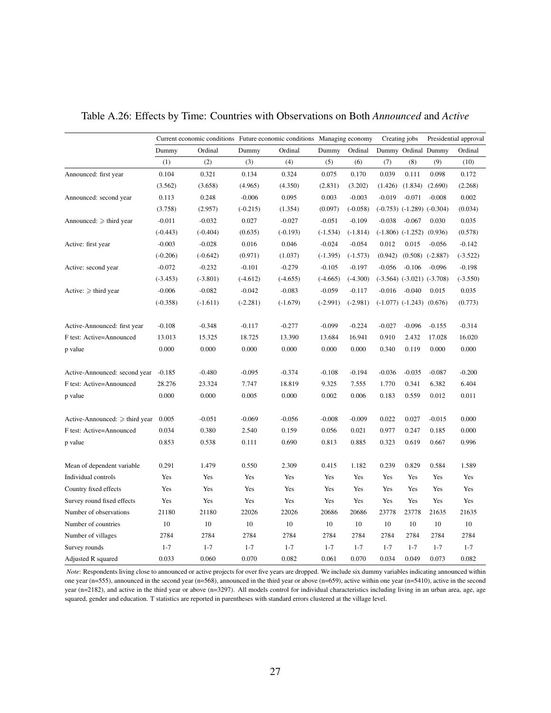|                                     | Current economic conditions Future economic conditions Managing economy |            |            |            |            |            |          | Creating jobs                    |                      | Presidential approval |
|-------------------------------------|-------------------------------------------------------------------------|------------|------------|------------|------------|------------|----------|----------------------------------|----------------------|-----------------------|
|                                     | Dummy                                                                   | Ordinal    | Dummy      | Ordinal    | Dummy      | Ordinal    |          | Dummy Ordinal Dummy              |                      | Ordinal               |
|                                     | (1)                                                                     | (2)        | (3)        | (4)        | (5)        | (6)        | (7)      | (8)                              | (9)                  | (10)                  |
| Announced: first year               | 0.104                                                                   | 0.321      | 0.134      | 0.324      | 0.075      | 0.170      | 0.039    | 0.111                            | 0.098                | 0.172                 |
|                                     | (3.562)                                                                 | (3.658)    | (4.965)    | (4.350)    | (2.831)    | (3.202)    | (1.426)  | (1.834)                          | (2.690)              | (2.268)               |
| Announced: second year              | 0.113                                                                   | 0.248      | $-0.006$   | 0.095      | 0.003      | $-0.003$   | $-0.019$ | $-0.071$                         | $-0.008$             | 0.002                 |
|                                     | (3.758)                                                                 | (2.957)    | $(-0.215)$ | (1.354)    | (0.097)    | $(-0.058)$ |          | $(-0.753)$ $(-1.289)$ $(-0.304)$ |                      | (0.034)               |
| Announced: $\geq$ third year        | $-0.011$                                                                | $-0.032$   | 0.027      | $-0.027$   | $-0.051$   | $-0.109$   | $-0.038$ | $-0.067$                         | 0.030                | 0.035                 |
|                                     | $(-0.443)$                                                              | $(-0.404)$ | (0.635)    | $(-0.193)$ | $(-1.534)$ | $(-1.814)$ |          | $(-1.806)$ $(-1.252)$ $(0.936)$  |                      | (0.578)               |
| Active: first year                  | $-0.003$                                                                | $-0.028$   | 0.016      | 0.046      | $-0.024$   | $-0.054$   | 0.012    | 0.015                            | $-0.056$             | $-0.142$              |
|                                     | $(-0.206)$                                                              | $(-0.642)$ | (0.971)    | (1.037)    | $(-1.395)$ | $(-1.573)$ | (0.942)  |                                  | $(0.508)$ $(-2.887)$ | $(-3.522)$            |
| Active: second year                 | $-0.072$                                                                | $-0.232$   | $-0.101$   | $-0.279$   | $-0.105$   | $-0.197$   | $-0.056$ | $-0.106$                         | $-0.096$             | $-0.198$              |
|                                     | $(-3.453)$                                                              | $(-3.801)$ | $(-4.612)$ | $(-4.655)$ | $(-4.665)$ | $(-4.300)$ |          | $(-3.564)$ $(-3.021)$ $(-3.708)$ |                      | $(-3.550)$            |
| Active: $\geq$ third year           | $-0.006$                                                                | $-0.082$   | $-0.042$   | $-0.083$   | $-0.059$   | $-0.117$   | $-0.016$ | $-0.040$                         | 0.015                | 0.035                 |
|                                     | $(-0.358)$                                                              | $(-1.611)$ | $(-2.281)$ | $(-1.679)$ | $(-2.991)$ | $(-2.981)$ |          | $(-1.077)$ $(-1.243)$ $(0.676)$  |                      | (0.773)               |
|                                     |                                                                         |            |            |            |            |            |          |                                  |                      |                       |
| Active-Announced: first year        | $-0.108$                                                                | $-0.348$   | $-0.117$   | $-0.277$   | $-0.099$   | $-0.224$   | $-0.027$ | $-0.096$                         | $-0.155$             | $-0.314$              |
| F test: Active=Announced            | 13.013                                                                  | 15.325     | 18.725     | 13.390     | 13.684     | 16.941     | 0.910    | 2.432                            | 17.028               | 16.020                |
| p value                             | 0.000                                                                   | 0.000      | 0.000      | 0.000      | 0.000      | 0.000      | 0.340    | 0.119                            | 0.000                | 0.000                 |
| Active-Announced: second year       | $-0.185$                                                                | $-0.480$   | $-0.095$   | $-0.374$   | $-0.108$   | $-0.194$   | $-0.036$ | $-0.035$                         | $-0.087$             | $-0.200$              |
| F test: Active=Announced            | 28.276                                                                  | 23.324     | 7.747      | 18.819     | 9.325      | 7.555      | 1.770    | 0.341                            | 6.382                | 6.404                 |
| p value                             | 0.000                                                                   | 0.000      | 0.005      | 0.000      | 0.002      | 0.006      | 0.183    | 0.559                            | 0.012                | 0.011                 |
| Active-Announced: $\geq$ third year | 0.005                                                                   | $-0.051$   | $-0.069$   | $-0.056$   | $-0.008$   | $-0.009$   | 0.022    | 0.027                            | $-0.015$             | 0.000                 |
| F test: Active=Announced            | 0.034                                                                   | 0.380      | 2.540      | 0.159      | 0.056      | 0.021      | 0.977    | 0.247                            | 0.185                | 0.000                 |
| p value                             | 0.853                                                                   | 0.538      | 0.111      | 0.690      | 0.813      | 0.885      | 0.323    | 0.619                            | 0.667                | 0.996                 |
| Mean of dependent variable          | 0.291                                                                   | 1.479      | 0.550      | 2.309      | 0.415      | 1.182      | 0.239    | 0.829                            | 0.584                | 1.589                 |
| Individual controls                 | Yes                                                                     | Yes        | Yes        | Yes        | Yes        | Yes        | Yes      | Yes                              | Yes                  | Yes                   |
| Country fixed effects               | Yes                                                                     | Yes        | Yes        | Yes        | Yes        | Yes        | Yes      | Yes                              | Yes                  | Yes                   |
| Survey round fixed effects          | Yes                                                                     | Yes        | Yes        | Yes        | Yes        | Yes        | Yes      | Yes                              | Yes                  | Yes                   |
| Number of observations              | 21180                                                                   | 21180      | 22026      | 22026      | 20686      | 20686      | 23778    | 23778                            | 21635                | 21635                 |
| Number of countries                 | 10                                                                      | 10         | 10         | 10         | 10         | 10         | 10       | 10                               | 10                   | 10                    |
| Number of villages                  | 2784                                                                    | 2784       | 2784       | 2784       | 2784       | 2784       | 2784     | 2784                             | 2784                 | 2784                  |
| Survey rounds                       | $1 - 7$                                                                 | $1 - 7$    | $1 - 7$    | $1 - 7$    | $1 - 7$    | $1 - 7$    | $1 - 7$  | $1 - 7$                          | $1 - 7$              | $1 - 7$               |
| Adjusted R squared                  | 0.033                                                                   | 0.060      | 0.070      | 0.082      | 0.061      | 0.070      | 0.034    | 0.049                            | 0.073                | 0.082                 |

Table A.26: Effects by Time: Countries with Observations on Both *Announced* and *Active*

*Note*: Respondents living close to announced or active projects for over five years are dropped. We include six dummy variables indicating announced within one year (n=555), announced in the second year (n=568), announced in the third year or above (n=659), active within one year (n=5410), active in the second year (n=2182), and active in the third year or above (n=3297). All models control for individual characteristics including living in an urban area, age, age squared, gender and education. T statistics are reported in parentheses with standard errors clustered at the village level.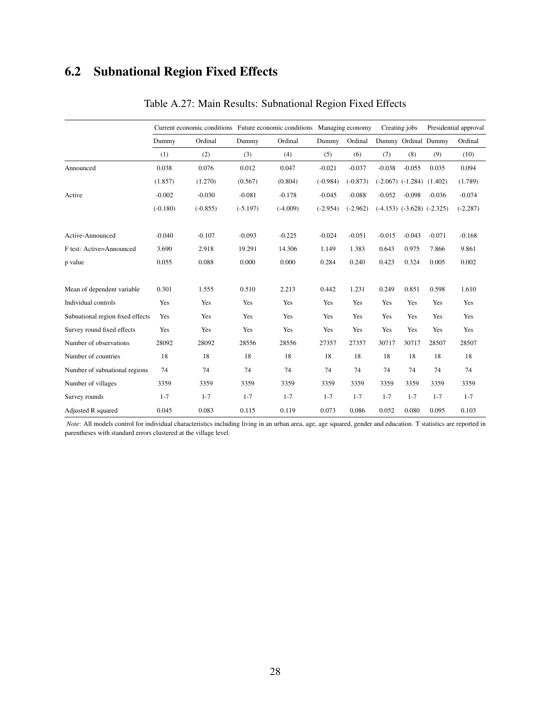# 6.2 Subnational Region Fixed Effects

|                                  |            | Current economic conditions Future economic conditions Managing economy |            |            |            |            | Creating jobs |                                  | Presidential approval |            |
|----------------------------------|------------|-------------------------------------------------------------------------|------------|------------|------------|------------|---------------|----------------------------------|-----------------------|------------|
|                                  | Dummy      | Ordinal                                                                 | Dummy      | Ordinal    | Dummy      | Ordinal    |               |                                  | Dummy Ordinal Dummy   | Ordinal    |
|                                  | (1)        | (2)                                                                     | (3)        | (4)        | (5)        | (6)        | (7)           | (8)                              | (9)                   | (10)       |
| Announced                        | 0.038      | 0.076                                                                   | 0.012      | 0.047      | $-0.021$   | $-0.037$   | $-0.038$      | $-0.055$                         | 0.035                 | 0.094      |
|                                  | (1.857)    | (1.270)                                                                 | (0.567)    | (0.804)    | $(-0.984)$ | $(-0.873)$ |               | $(-2.067)$ $(-1.284)$ $(1.402)$  |                       | (1.789)    |
| Active                           | $-0.002$   | $-0.030$                                                                | $-0.081$   | $-0.178$   | $-0.045$   | $-0.088$   | $-0.052$      | $-0.098$                         | $-0.036$              | $-0.074$   |
|                                  | $(-0.180)$ | $(-0.855)$                                                              | $(-5.197)$ | $(-4.009)$ | $(-2.954)$ | $(-2.962)$ |               | $(-4.153)$ $(-3.628)$ $(-2.325)$ |                       | $(-2.287)$ |
| Active-Announced                 | $-0.040$   | $-0.107$                                                                | $-0.093$   | $-0.225$   | $-0.024$   | $-0.051$   | $-0.015$      | $-0.043$                         | $-0.071$              | $-0.168$   |
| F test: Active=Announced         | 3.690      | 2.918                                                                   | 19.291     | 14.306     | 1.149      | 1.383      | 0.643         | 0.975                            | 7.866                 | 9.861      |
| p value                          | 0.055      | 0.088                                                                   | 0.000      | 0.000      | 0.284      | 0.240      | 0.423         | 0.324                            | 0.005                 | 0.002      |
| Mean of dependent variable       | 0.301      | 1.555                                                                   | 0.510      | 2.213      | 0.442      | 1.231      | 0.249         | 0.851                            | 0.598                 | 1.610      |
| Individual controls              | Yes        | Yes                                                                     | Yes        | Yes        | Yes        | Yes        | Yes           | Yes                              | Yes                   | Yes        |
| Subnational region fixed effects | Yes        | Yes                                                                     | Yes        | Yes        | Yes        | Yes        | Yes           | Yes                              | Yes                   | Yes        |
| Survey round fixed effects       | Yes        | Yes                                                                     | Yes        | Yes        | Yes        | Yes        | Yes           | Yes                              | Yes                   | Yes        |
| Number of observations           | 28092      | 28092                                                                   | 28556      | 28556      | 27357      | 27357      | 30717         | 30717                            | 28507                 | 28507      |
| Number of countries              | 18         | 18                                                                      | 18         | 18         | 18         | 18         | 18            | 18                               | 18                    | 18         |
| Number of subnational regions    | 74         | 74                                                                      | 74         | 74         | 74         | 74         | 74            | 74                               | 74                    | 74         |
| Number of villages               | 3359       | 3359                                                                    | 3359       | 3359       | 3359       | 3359       | 3359          | 3359                             | 3359                  | 3359       |
| Survey rounds                    | $1 - 7$    | $1 - 7$                                                                 | $1 - 7$    | $1 - 7$    | $1 - 7$    | $1 - 7$    | $1 - 7$       | $1 - 7$                          | $1 - 7$               | $1 - 7$    |
| Adjusted R squared               | 0.045      | 0.083                                                                   | 0.115      | 0.119      | 0.073      | 0.086      | 0.052         | 0.080                            | 0.095                 | 0.103      |

### Table A.27: Main Results: Subnational Region Fixed Effects

*Note*: All models control for individual characteristics including living in an urban area, age, age squared, gender and education. T statistics are reported in parentheses with standard errors clustered at the village level.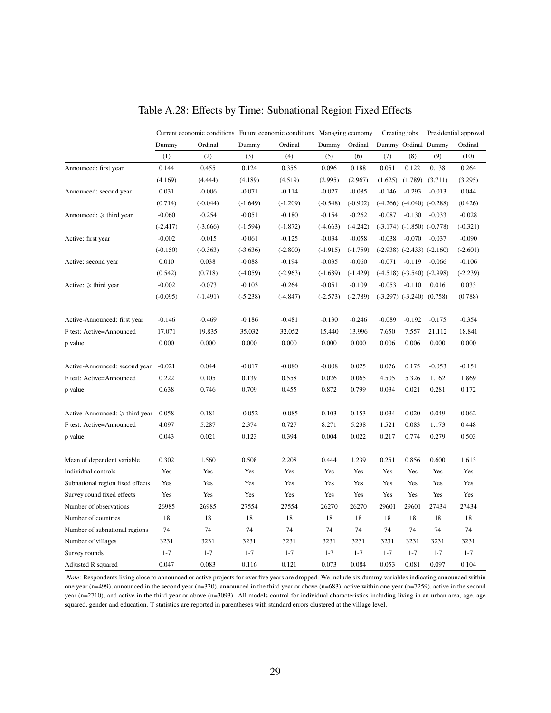|                                     | Current economic conditions Future economic conditions Managing economy |            |            |            |            |            |          | Creating jobs                    |          | Presidential approval |
|-------------------------------------|-------------------------------------------------------------------------|------------|------------|------------|------------|------------|----------|----------------------------------|----------|-----------------------|
|                                     | Dummy                                                                   | Ordinal    | Dummy      | Ordinal    | Dummy      | Ordinal    |          | Dummy Ordinal Dummy              |          | Ordinal               |
|                                     | (1)                                                                     | (2)        | (3)        | (4)        | (5)        | (6)        | (7)      | (8)                              | (9)      | (10)                  |
| Announced: first year               | 0.144                                                                   | 0.455      | 0.124      | 0.356      | 0.096      | 0.188      | 0.051    | 0.122                            | 0.138    | 0.264                 |
|                                     | (4.169)                                                                 | (4.444)    | (4.189)    | (4.519)    | (2.995)    | (2.967)    | (1.625)  | (1.789)                          | (3.711)  | (3.295)               |
| Announced: second year              | 0.031                                                                   | $-0.006$   | $-0.071$   | $-0.114$   | $-0.027$   | $-0.085$   | $-0.146$ | $-0.293$                         | $-0.013$ | 0.044                 |
|                                     | (0.714)                                                                 | $(-0.044)$ | $(-1.649)$ | $(-1.209)$ | $(-0.548)$ | $(-0.902)$ |          | $(-4.266)$ $(-4.040)$ $(-0.288)$ |          | (0.426)               |
| Announced: $\geq$ third year        | $-0.060$                                                                | $-0.254$   | $-0.051$   | $-0.180$   | $-0.154$   | $-0.262$   | $-0.087$ | $-0.130$                         | $-0.033$ | $-0.028$              |
|                                     | $(-2.417)$                                                              | $(-3.666)$ | $(-1.594)$ | $(-1.872)$ | $(-4.663)$ | $(-4.242)$ |          | $(-3.174)$ $(-1.850)$ $(-0.778)$ |          | $(-0.321)$            |
| Active: first year                  | $-0.002$                                                                | $-0.015$   | $-0.061$   | $-0.125$   | $-0.034$   | $-0.058$   | $-0.038$ | $-0.070$                         | $-0.037$ | $-0.090$              |
|                                     | $(-0.150)$                                                              | $(-0.363)$ | $(-3.636)$ | $(-2.800)$ | $(-1.915)$ | $(-1.759)$ |          | $(-2.938)$ $(-2.433)$ $(-2.160)$ |          | $(-2.601)$            |
| Active: second year                 | 0.010                                                                   | 0.038      | $-0.088$   | $-0.194$   | $-0.035$   | $-0.060$   | $-0.071$ | $-0.119$                         | $-0.066$ | $-0.106$              |
|                                     | (0.542)                                                                 | (0.718)    | $(-4.059)$ | $(-2.963)$ | $(-1.689)$ | $(-1.429)$ |          | $(-4.518)$ $(-3.540)$ $(-2.998)$ |          | $(-2.239)$            |
| Active: $\geq$ third year           | $-0.002$                                                                | $-0.073$   | $-0.103$   | $-0.264$   | $-0.051$   | $-0.109$   | $-0.053$ | $-0.110$                         | 0.016    | 0.033                 |
|                                     | $(-0.095)$                                                              | $(-1.491)$ | $(-5.238)$ | $(-4.847)$ | $(-2.573)$ | $(-2.789)$ |          | $(-3.297)$ $(-3.240)$ $(0.758)$  |          | (0.788)               |
| Active-Announced: first year        | $-0.146$                                                                | $-0.469$   | $-0.186$   | $-0.481$   | $-0.130$   | $-0.246$   | $-0.089$ | $-0.192$                         | $-0.175$ | $-0.354$              |
| F test: Active=Announced            | 17.071                                                                  | 19.835     | 35.032     | 32.052     | 15.440     | 13.996     | 7.650    | 7.557                            | 21.112   | 18.841                |
| p value                             | 0.000                                                                   | 0.000      | 0.000      | 0.000      | 0.000      | 0.000      | 0.006    | 0.006                            | 0.000    | 0.000                 |
| Active-Announced: second year       | $-0.021$                                                                | 0.044      | $-0.017$   | $-0.080$   | $-0.008$   | 0.025      | 0.076    | 0.175                            | $-0.053$ | $-0.151$              |
| F test: Active=Announced            | 0.222                                                                   | 0.105      | 0.139      | 0.558      | 0.026      | 0.065      | 4.505    | 5.326                            | 1.162    | 1.869                 |
| p value                             | 0.638                                                                   | 0.746      | 0.709      | 0.455      | 0.872      | 0.799      | 0.034    | 0.021                            | 0.281    | 0.172                 |
| Active-Announced: $\geq$ third year | 0.058                                                                   | 0.181      | $-0.052$   | $-0.085$   | 0.103      | 0.153      | 0.034    | 0.020                            | 0.049    | 0.062                 |
| F test: Active=Announced            | 4.097                                                                   | 5.287      | 2.374      | 0.727      | 8.271      | 5.238      | 1.521    | 0.083                            | 1.173    | 0.448                 |
| p value                             | 0.043                                                                   | 0.021      | 0.123      | 0.394      | 0.004      | 0.022      | 0.217    | 0.774                            | 0.279    | 0.503                 |
| Mean of dependent variable          | 0.302                                                                   | 1.560      | 0.508      | 2.208      | 0.444      | 1.239      | 0.251    | 0.856                            | 0.600    | 1.613                 |
| Individual controls                 | Yes                                                                     | Yes        | Yes        | Yes        | Yes        | Yes        | Yes      | Yes                              | Yes      | Yes                   |
| Subnational region fixed effects    | Yes                                                                     | Yes        | Yes        | Yes        | Yes        | Yes        | Yes      | Yes                              | Yes      | Yes                   |
| Survey round fixed effects          | Yes                                                                     | Yes        | Yes        | Yes        | Yes        | Yes        | Yes      | Yes                              | Yes      | Yes                   |
| Number of observations              | 26985                                                                   | 26985      | 27554      | 27554      | 26270      | 26270      | 29601    | 29601                            | 27434    | 27434                 |
| Number of countries                 | 18                                                                      | 18         | 18         | 18         | 18         | 18         | 18       | 18                               | 18       | 18                    |
| Number of subnational regions       | 74                                                                      | 74         | 74         | 74         | 74         | 74         | 74       | 74                               | 74       | 74                    |
| Number of villages                  | 3231                                                                    | 3231       | 3231       | 3231       | 3231       | 3231       | 3231     | 3231                             | 3231     | 3231                  |
| Survey rounds                       | $1 - 7$                                                                 | $1 - 7$    | $1 - 7$    | $1 - 7$    | $1 - 7$    | $1 - 7$    | $1 - 7$  | $1 - 7$                          | $1 - 7$  | $1 - 7$               |
| Adjusted R squared                  | 0.047                                                                   | 0.083      | 0.116      | 0.121      | 0.073      | 0.084      | 0.053    | 0.081                            | 0.097    | 0.104                 |

Table A.28: Effects by Time: Subnational Region Fixed Effects

*Note*: Respondents living close to announced or active projects for over five years are dropped. We include six dummy variables indicating announced within one year (n=499), announced in the second year (n=320), announced in the third year or above (n=683), active within one year (n=7259), active in the second year (n=2710), and active in the third year or above (n=3093). All models control for individual characteristics including living in an urban area, age, age squared, gender and education. T statistics are reported in parentheses with standard errors clustered at the village level.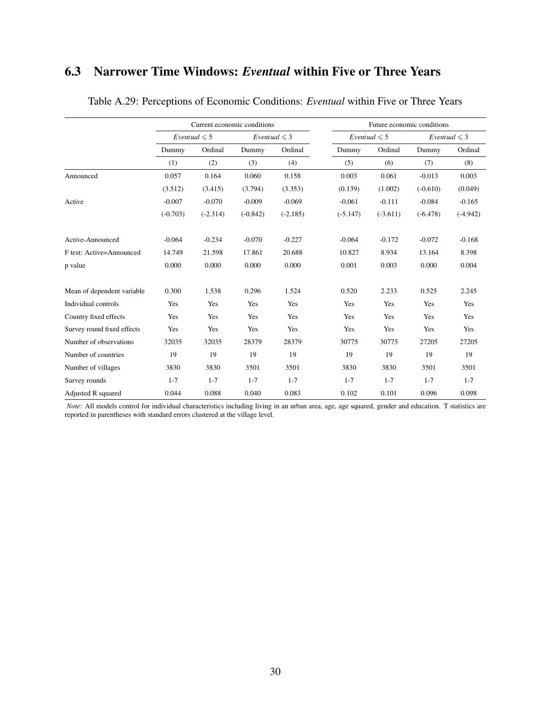### 6.3 Narrower Time Windows: *Eventual* within Five or Three Years

|                            |            | Current economic conditions |            |                   |            |                                                                                                                                                                                                                                                                                                                           |          |            |
|----------------------------|------------|-----------------------------|------------|-------------------|------------|---------------------------------------------------------------------------------------------------------------------------------------------------------------------------------------------------------------------------------------------------------------------------------------------------------------------------|----------|------------|
|                            |            | Eventual $\leq 5$           |            | Eventual $\leq 3$ |            | Eventual $\leq 5$                                                                                                                                                                                                                                                                                                         |          |            |
|                            | Dummy      | Ordinal                     | Dummy      | Ordinal           | Dummy      | Ordinal                                                                                                                                                                                                                                                                                                                   | Dummy    | Ordinal    |
|                            | (1)        | (2)                         | (3)        | (4)               | (5)        | (6)                                                                                                                                                                                                                                                                                                                       | (7)      | (8)        |
| Announced                  | 0.057      | 0.164                       | 0.060      | 0.158             | 0.003      | 0.061                                                                                                                                                                                                                                                                                                                     | $-0.013$ | 0.003      |
|                            | (3.512)    | (3.415)                     | (3.794)    | (3.353)           | (0.139)    | Future economic conditions<br>Eventual $\leq 3$<br>(1.002)<br>$(-0.610)$<br>$-0.111$<br>$-0.084$<br>$(-3.611)$<br>$(-6.478)$<br>$-0.172$<br>$-0.072$<br>8.934<br>13.164<br>0.003<br>0.000<br>2.233<br>0.525<br>Yes<br>Yes<br>Yes<br>Yes<br>Yes<br>Yes<br>30775<br>27205<br>19<br>19<br>3830<br>3501<br>$1 - 7$<br>$1 - 7$ | (0.049)  |            |
| Active                     | $-0.007$   | $-0.070$                    | $-0.009$   | $-0.069$          | $-0.061$   |                                                                                                                                                                                                                                                                                                                           |          | $-0.165$   |
|                            | $(-0.703)$ | $(-2.314)$                  | $(-0.842)$ | $(-2.185)$        | $(-5.147)$ |                                                                                                                                                                                                                                                                                                                           |          | $(-4.942)$ |
| Active-Announced           | $-0.064$   | $-0.234$                    | $-0.070$   | $-0.227$          | $-0.064$   |                                                                                                                                                                                                                                                                                                                           |          | $-0.168$   |
| F test: Active=Announced   | 14.749     | 21.598                      | 17.861     | 20.688            | 10.827     |                                                                                                                                                                                                                                                                                                                           |          | 8.398      |
| p value                    | 0.000      | 0.000                       | 0.000      | 0.000             | 0.001      |                                                                                                                                                                                                                                                                                                                           |          | 0.004      |
| Mean of dependent variable | 0.300      | 1.538                       | 0.296      | 1.524             | 0.520      |                                                                                                                                                                                                                                                                                                                           |          | 2.245      |
| Individual controls        | Yes        | Yes                         | Yes        | Yes               | Yes        |                                                                                                                                                                                                                                                                                                                           |          | Yes        |
| Country fixed effects      | Yes        | Yes                         | Yes        | Yes               | Yes        |                                                                                                                                                                                                                                                                                                                           |          | Yes        |
| Survey round fixed effects | Yes        | Yes                         | Yes        | Yes               | Yes        |                                                                                                                                                                                                                                                                                                                           |          | Yes        |
| Number of observations     | 32035      | 32035                       | 28379      | 28379             | 30775      |                                                                                                                                                                                                                                                                                                                           |          | 27205      |
| Number of countries        | 19         | 19                          | 19         | 19                | 19         |                                                                                                                                                                                                                                                                                                                           |          | 19         |
| Number of villages         | 3830       | 3830                        | 3501       | 3501              | 3830       |                                                                                                                                                                                                                                                                                                                           |          | 3501       |
| Survey rounds              | $1 - 7$    | $1 - 7$                     | $1 - 7$    | $1 - 7$           | $1 - 7$    |                                                                                                                                                                                                                                                                                                                           |          | $1 - 7$    |
| Adjusted R squared         | 0.044      | 0.088                       | 0.040      | 0.083             | 0.102      | 0.101                                                                                                                                                                                                                                                                                                                     | 0.096    | 0.098      |

Table A.29: Perceptions of Economic Conditions: *Eventual* within Five or Three Years

*Note*: All models control for individual characteristics including living in an urban area, age, age squared, gender and education. T statistics are reported in parentheses with standard errors clustered at the village level.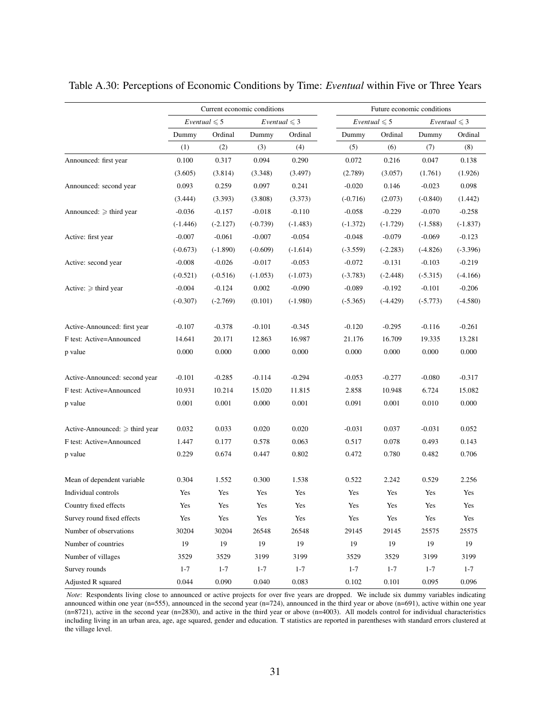|                                   |                                                                                                                                                                                                                                                                                                                                                                                                                                                                                                                                                                                                                                                                                                                                                                                                                                                                                                                                                                                                                                                                                                                                                                                                                                                                                                                                                                                                                                                                                                                                                                                                                                                                                                |            |            |         | Future economic conditions |            |            |                          |  |  |
|-----------------------------------|------------------------------------------------------------------------------------------------------------------------------------------------------------------------------------------------------------------------------------------------------------------------------------------------------------------------------------------------------------------------------------------------------------------------------------------------------------------------------------------------------------------------------------------------------------------------------------------------------------------------------------------------------------------------------------------------------------------------------------------------------------------------------------------------------------------------------------------------------------------------------------------------------------------------------------------------------------------------------------------------------------------------------------------------------------------------------------------------------------------------------------------------------------------------------------------------------------------------------------------------------------------------------------------------------------------------------------------------------------------------------------------------------------------------------------------------------------------------------------------------------------------------------------------------------------------------------------------------------------------------------------------------------------------------------------------------|------------|------------|---------|----------------------------|------------|------------|--------------------------|--|--|
|                                   |                                                                                                                                                                                                                                                                                                                                                                                                                                                                                                                                                                                                                                                                                                                                                                                                                                                                                                                                                                                                                                                                                                                                                                                                                                                                                                                                                                                                                                                                                                                                                                                                                                                                                                |            |            |         |                            |            |            | <i>Eventual</i> $\leq 3$ |  |  |
|                                   | Dummy                                                                                                                                                                                                                                                                                                                                                                                                                                                                                                                                                                                                                                                                                                                                                                                                                                                                                                                                                                                                                                                                                                                                                                                                                                                                                                                                                                                                                                                                                                                                                                                                                                                                                          | Ordinal    | Dummy      | Ordinal | Dummy                      | Ordinal    | Dummy      | Ordinal                  |  |  |
|                                   | (1)                                                                                                                                                                                                                                                                                                                                                                                                                                                                                                                                                                                                                                                                                                                                                                                                                                                                                                                                                                                                                                                                                                                                                                                                                                                                                                                                                                                                                                                                                                                                                                                                                                                                                            | (2)        | (3)        | (4)     | (5)                        | (6)        | (7)        | (8)                      |  |  |
| Announced: first year             | Current economic conditions<br>Eventual $\leq 5$<br>Eventual $\leq 5$<br><i>Eventual</i> $\leq 3$<br>0.100<br>0.317<br>0.094<br>0.290<br>0.072<br>(3.605)<br>(3.814)<br>(3.497)<br>(2.789)<br>(3.348)<br>0.093<br>0.259<br>0.097<br>0.241<br>$-0.020$<br>(3.393)<br>(3.444)<br>(3.808)<br>(3.373)<br>$(-0.716)$<br>$-0.110$<br>$-0.036$<br>$-0.157$<br>$-0.018$<br>$-0.058$<br>$(-2.127)$<br>$(-0.739)$<br>$(-1.483)$<br>$(-1.372)$<br>$(-1.446)$<br>$-0.061$<br>$-0.007$<br>$-0.007$<br>$-0.054$<br>$-0.048$<br>$(-0.673)$<br>$(-1.890)$<br>$(-0.609)$<br>$(-1.614)$<br>$(-3.559)$<br>$-0.008$<br>$-0.026$<br>$-0.017$<br>$-0.053$<br>$-0.072$<br>$(-0.521)$<br>$(-0.516)$<br>$(-1.073)$<br>$(-3.783)$<br>$(-1.053)$<br>0.002<br>$-0.090$<br>$-0.004$<br>$-0.124$<br>$-0.089$<br>$(-0.307)$<br>$(-2.769)$<br>(0.101)<br>$(-1.980)$<br>$(-5.365)$<br>$-0.378$<br>$-0.101$<br>$-0.107$<br>$-0.345$<br>$-0.120$<br>20.171<br>12.863<br>16.987<br>14.641<br>21.176<br>0.000<br>0.000<br>0.000<br>0.000<br>0.000<br>$-0.285$<br>$-0.101$<br>$-0.114$<br>$-0.294$<br>$-0.053$<br>10.931<br>10.214<br>15.020<br>11.815<br>2.858<br>0.001<br>0.001<br>0.000<br>0.001<br>0.091<br>0.033<br>0.032<br>0.020<br>0.020<br>$-0.031$<br>1.447<br>0.177<br>0.578<br>0.063<br>0.517<br>0.229<br>0.674<br>0.447<br>0.802<br>0.472<br>0.304<br>1.552<br>0.300<br>1.538<br>0.522<br>Yes<br>Yes<br>Yes<br>Yes<br>Yes<br>Yes<br>Yes<br>Yes<br>Yes<br>Yes<br>Yes<br>Yes<br>Yes<br>Yes<br>Yes<br>Yes<br>Yes<br>Yes<br>30204<br>30204<br>26548<br>26548<br>29145<br>19<br>19<br>19<br>19<br>19<br>19<br>3529<br>3529<br>3199<br>3199<br>3529<br>3529<br>$1 - 7$<br>$1 - 7$<br>$1 - 7$<br>$1 - 7$<br>$1 - 7$<br>$1 - 7$ | 0.216      | 0.047      | 0.138   |                            |            |            |                          |  |  |
|                                   |                                                                                                                                                                                                                                                                                                                                                                                                                                                                                                                                                                                                                                                                                                                                                                                                                                                                                                                                                                                                                                                                                                                                                                                                                                                                                                                                                                                                                                                                                                                                                                                                                                                                                                |            |            |         |                            | (3.057)    | (1.761)    | (1.926)                  |  |  |
| Announced: second year            |                                                                                                                                                                                                                                                                                                                                                                                                                                                                                                                                                                                                                                                                                                                                                                                                                                                                                                                                                                                                                                                                                                                                                                                                                                                                                                                                                                                                                                                                                                                                                                                                                                                                                                |            |            |         |                            | 0.146      | $-0.023$   | 0.098                    |  |  |
|                                   |                                                                                                                                                                                                                                                                                                                                                                                                                                                                                                                                                                                                                                                                                                                                                                                                                                                                                                                                                                                                                                                                                                                                                                                                                                                                                                                                                                                                                                                                                                                                                                                                                                                                                                |            |            |         |                            | (2.073)    | $(-0.840)$ | (1.442)                  |  |  |
| Announced: $\geqslant$ third year |                                                                                                                                                                                                                                                                                                                                                                                                                                                                                                                                                                                                                                                                                                                                                                                                                                                                                                                                                                                                                                                                                                                                                                                                                                                                                                                                                                                                                                                                                                                                                                                                                                                                                                |            |            |         |                            | $-0.229$   | $-0.070$   | $-0.258$                 |  |  |
|                                   |                                                                                                                                                                                                                                                                                                                                                                                                                                                                                                                                                                                                                                                                                                                                                                                                                                                                                                                                                                                                                                                                                                                                                                                                                                                                                                                                                                                                                                                                                                                                                                                                                                                                                                |            |            |         |                            | $(-1.729)$ | $(-1.588)$ | $(-1.837)$               |  |  |
| Active: first year                | $-0.079$                                                                                                                                                                                                                                                                                                                                                                                                                                                                                                                                                                                                                                                                                                                                                                                                                                                                                                                                                                                                                                                                                                                                                                                                                                                                                                                                                                                                                                                                                                                                                                                                                                                                                       | $-0.069$   | $-0.123$   |         |                            |            |            |                          |  |  |
|                                   | $(-2.283)$<br>$-0.131$<br>$(-2.448)$<br>$-0.192$<br>$(-4.429)$<br>$-0.295$<br>16.709                                                                                                                                                                                                                                                                                                                                                                                                                                                                                                                                                                                                                                                                                                                                                                                                                                                                                                                                                                                                                                                                                                                                                                                                                                                                                                                                                                                                                                                                                                                                                                                                           | $(-4.826)$ | $(-3.396)$ |         |                            |            |            |                          |  |  |
| Active: second year               |                                                                                                                                                                                                                                                                                                                                                                                                                                                                                                                                                                                                                                                                                                                                                                                                                                                                                                                                                                                                                                                                                                                                                                                                                                                                                                                                                                                                                                                                                                                                                                                                                                                                                                |            |            |         |                            |            | $-0.103$   | $-0.219$                 |  |  |
|                                   |                                                                                                                                                                                                                                                                                                                                                                                                                                                                                                                                                                                                                                                                                                                                                                                                                                                                                                                                                                                                                                                                                                                                                                                                                                                                                                                                                                                                                                                                                                                                                                                                                                                                                                |            |            |         |                            |            | $(-5.315)$ | $(-4.166)$               |  |  |
| Active: $\geq$ third year         |                                                                                                                                                                                                                                                                                                                                                                                                                                                                                                                                                                                                                                                                                                                                                                                                                                                                                                                                                                                                                                                                                                                                                                                                                                                                                                                                                                                                                                                                                                                                                                                                                                                                                                |            |            |         |                            |            | $-0.101$   | $-0.206$                 |  |  |
|                                   |                                                                                                                                                                                                                                                                                                                                                                                                                                                                                                                                                                                                                                                                                                                                                                                                                                                                                                                                                                                                                                                                                                                                                                                                                                                                                                                                                                                                                                                                                                                                                                                                                                                                                                |            |            |         |                            |            | $(-5.773)$ | $(-4.580)$               |  |  |
| Active-Announced: first year      |                                                                                                                                                                                                                                                                                                                                                                                                                                                                                                                                                                                                                                                                                                                                                                                                                                                                                                                                                                                                                                                                                                                                                                                                                                                                                                                                                                                                                                                                                                                                                                                                                                                                                                |            |            |         |                            |            | $-0.116$   | $-0.261$                 |  |  |
| F test: Active=Announced          |                                                                                                                                                                                                                                                                                                                                                                                                                                                                                                                                                                                                                                                                                                                                                                                                                                                                                                                                                                                                                                                                                                                                                                                                                                                                                                                                                                                                                                                                                                                                                                                                                                                                                                |            |            |         |                            |            | 19.335     | 13.281                   |  |  |
| p value                           |                                                                                                                                                                                                                                                                                                                                                                                                                                                                                                                                                                                                                                                                                                                                                                                                                                                                                                                                                                                                                                                                                                                                                                                                                                                                                                                                                                                                                                                                                                                                                                                                                                                                                                |            |            |         |                            | 0.000      | 0.000      | 0.000                    |  |  |
| Active-Announced: second year     |                                                                                                                                                                                                                                                                                                                                                                                                                                                                                                                                                                                                                                                                                                                                                                                                                                                                                                                                                                                                                                                                                                                                                                                                                                                                                                                                                                                                                                                                                                                                                                                                                                                                                                |            |            |         |                            | $-0.277$   | $-0.080$   | $-0.317$                 |  |  |
| F test: Active=Announced          |                                                                                                                                                                                                                                                                                                                                                                                                                                                                                                                                                                                                                                                                                                                                                                                                                                                                                                                                                                                                                                                                                                                                                                                                                                                                                                                                                                                                                                                                                                                                                                                                                                                                                                |            |            |         |                            | 10.948     | 6.724      | 15.082                   |  |  |
| p value                           |                                                                                                                                                                                                                                                                                                                                                                                                                                                                                                                                                                                                                                                                                                                                                                                                                                                                                                                                                                                                                                                                                                                                                                                                                                                                                                                                                                                                                                                                                                                                                                                                                                                                                                |            |            |         |                            | 0.001      | 0.010      | 0.000                    |  |  |
| Active-Announced: ≥ third year    |                                                                                                                                                                                                                                                                                                                                                                                                                                                                                                                                                                                                                                                                                                                                                                                                                                                                                                                                                                                                                                                                                                                                                                                                                                                                                                                                                                                                                                                                                                                                                                                                                                                                                                |            |            |         |                            | 0.037      | $-0.031$   | 0.052                    |  |  |
| F test: Active=Announced          |                                                                                                                                                                                                                                                                                                                                                                                                                                                                                                                                                                                                                                                                                                                                                                                                                                                                                                                                                                                                                                                                                                                                                                                                                                                                                                                                                                                                                                                                                                                                                                                                                                                                                                |            |            |         |                            | 0.078      | 0.493      | 0.143                    |  |  |
| p value                           |                                                                                                                                                                                                                                                                                                                                                                                                                                                                                                                                                                                                                                                                                                                                                                                                                                                                                                                                                                                                                                                                                                                                                                                                                                                                                                                                                                                                                                                                                                                                                                                                                                                                                                |            |            |         |                            | 0.780      | 0.482      | 0.706                    |  |  |
| Mean of dependent variable        |                                                                                                                                                                                                                                                                                                                                                                                                                                                                                                                                                                                                                                                                                                                                                                                                                                                                                                                                                                                                                                                                                                                                                                                                                                                                                                                                                                                                                                                                                                                                                                                                                                                                                                |            |            |         |                            | 2.242      | 0.529      | 2.256                    |  |  |
| Individual controls               |                                                                                                                                                                                                                                                                                                                                                                                                                                                                                                                                                                                                                                                                                                                                                                                                                                                                                                                                                                                                                                                                                                                                                                                                                                                                                                                                                                                                                                                                                                                                                                                                                                                                                                |            |            |         |                            |            | Yes        | Yes                      |  |  |
| Country fixed effects             |                                                                                                                                                                                                                                                                                                                                                                                                                                                                                                                                                                                                                                                                                                                                                                                                                                                                                                                                                                                                                                                                                                                                                                                                                                                                                                                                                                                                                                                                                                                                                                                                                                                                                                |            |            |         |                            |            | Yes        | Yes                      |  |  |
| Survey round fixed effects        |                                                                                                                                                                                                                                                                                                                                                                                                                                                                                                                                                                                                                                                                                                                                                                                                                                                                                                                                                                                                                                                                                                                                                                                                                                                                                                                                                                                                                                                                                                                                                                                                                                                                                                |            |            |         |                            |            | Yes        | Yes                      |  |  |
| Number of observations            |                                                                                                                                                                                                                                                                                                                                                                                                                                                                                                                                                                                                                                                                                                                                                                                                                                                                                                                                                                                                                                                                                                                                                                                                                                                                                                                                                                                                                                                                                                                                                                                                                                                                                                |            |            |         |                            | 29145      | 25575      | 25575                    |  |  |
| Number of countries               |                                                                                                                                                                                                                                                                                                                                                                                                                                                                                                                                                                                                                                                                                                                                                                                                                                                                                                                                                                                                                                                                                                                                                                                                                                                                                                                                                                                                                                                                                                                                                                                                                                                                                                |            |            |         |                            |            | 19         | 19                       |  |  |
| Number of villages                |                                                                                                                                                                                                                                                                                                                                                                                                                                                                                                                                                                                                                                                                                                                                                                                                                                                                                                                                                                                                                                                                                                                                                                                                                                                                                                                                                                                                                                                                                                                                                                                                                                                                                                |            |            |         |                            |            | 3199       | 3199                     |  |  |
| Survey rounds                     |                                                                                                                                                                                                                                                                                                                                                                                                                                                                                                                                                                                                                                                                                                                                                                                                                                                                                                                                                                                                                                                                                                                                                                                                                                                                                                                                                                                                                                                                                                                                                                                                                                                                                                |            |            |         |                            |            | $1 - 7$    | $1 - 7$                  |  |  |
| Adjusted R squared                | 0.044                                                                                                                                                                                                                                                                                                                                                                                                                                                                                                                                                                                                                                                                                                                                                                                                                                                                                                                                                                                                                                                                                                                                                                                                                                                                                                                                                                                                                                                                                                                                                                                                                                                                                          | 0.090      | 0.040      | 0.083   | 0.102                      | 0.101      | 0.095      | 0.096                    |  |  |

Table A.30: Perceptions of Economic Conditions by Time: *Eventual* within Five or Three Years

*Note*: Respondents living close to announced or active projects for over five years are dropped. We include six dummy variables indicating announced within one year (n=555), announced in the second year (n=724), announced in the third year or above (n=691), active within one year (n=8721), active in the second year (n=2830), and active in the third year or above (n=4003). All models control for individual characteristics including living in an urban area, age, age squared, gender and education. T statistics are reported in parentheses with standard errors clustered at the village level.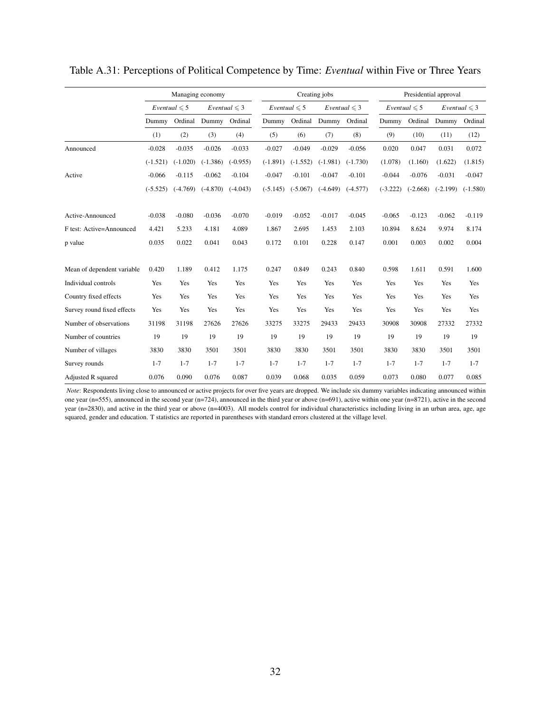|                            | Managing economy |                   |            |                   |            | Creating jobs     |            |                   |            | Presidential approval |            |                   |
|----------------------------|------------------|-------------------|------------|-------------------|------------|-------------------|------------|-------------------|------------|-----------------------|------------|-------------------|
|                            |                  | $Eventual \leq 5$ |            | Eventual $\leq 3$ |            | $Eventual \leq 5$ |            | Eventual $\leq 3$ |            | Eventual $\leq 5$     |            | Eventual $\leq 3$ |
|                            | Dummy            | Ordinal           | Dummy      | Ordinal           | Dummy      | Ordinal           | Dummy      | Ordinal           | Dummy      | Ordinal               | Dummy      | Ordinal           |
|                            | (1)              | (2)               | (3)        | (4)               | (5)        | (6)               | (7)        | (8)               | (9)        | (10)                  | (11)       | (12)              |
| Announced                  | $-0.028$         | $-0.035$          | $-0.026$   | $-0.033$          | $-0.027$   | $-0.049$          | $-0.029$   | $-0.056$          | 0.020      | 0.047                 | 0.031      | 0.072             |
|                            | $(-1.521)$       | $(-1.020)$        | $(-1.386)$ | $(-0.955)$        | $(-1.891)$ | $(-1.552)$        | $(-1.981)$ | $(-1.730)$        | (1.078)    | (1.160)               | (1.622)    | (1.815)           |
| Active                     | $-0.066$         | $-0.115$          | $-0.062$   | $-0.104$          | $-0.047$   | $-0.101$          | $-0.047$   | $-0.101$          | $-0.044$   | $-0.076$              | $-0.031$   | $-0.047$          |
|                            | $(-5.525)$       | $(-4.769)$        | $(-4.870)$ | $(-4.043)$        | $(-5.145)$ | $(-5.067)$        | $(-4.649)$ | $(-4.577)$        | $(-3.222)$ | $(-2.668)$            | $(-2.199)$ | $(-1.580)$        |
| Active-Announced           | $-0.038$         | $-0.080$          | $-0.036$   | $-0.070$          | $-0.019$   | $-0.052$          | $-0.017$   | $-0.045$          | $-0.065$   | $-0.123$              | $-0.062$   | $-0.119$          |
| F test: Active=Announced   | 4.421            | 5.233             | 4.181      | 4.089             | 1.867      | 2.695             | 1.453      | 2.103             | 10.894     | 8.624                 | 9.974      | 8.174             |
| p value                    | 0.035            | 0.022             | 0.041      | 0.043             | 0.172      | 0.101             | 0.228      | 0.147             | 0.001      | 0.003                 | 0.002      | 0.004             |
| Mean of dependent variable | 0.420            | 1.189             | 0.412      | 1.175             | 0.247      | 0.849             | 0.243      | 0.840             | 0.598      | 1.611                 | 0.591      | 1.600             |
| Individual controls        | Yes              | Yes               | Yes        | Yes               | Yes        | Yes               | Yes        | Yes               | Yes        | Yes                   | Yes        | Yes               |
| Country fixed effects      | Yes              | Yes               | Yes        | Yes               | Yes        | Yes               | Yes        | Yes               | Yes        | Yes                   | Yes        | Yes               |
| Survey round fixed effects | Yes              | Yes               | Yes        | Yes               | Yes        | Yes               | Yes        | Yes               | Yes        | Yes                   | Yes        | Yes               |
| Number of observations     | 31198            | 31198             | 27626      | 27626             | 33275      | 33275             | 29433      | 29433             | 30908      | 30908                 | 27332      | 27332             |
| Number of countries        | 19               | 19                | 19         | 19                | 19         | 19                | 19         | 19                | 19         | 19                    | 19         | 19                |
| Number of villages         | 3830             | 3830              | 3501       | 3501              | 3830       | 3830              | 3501       | 3501              | 3830       | 3830                  | 3501       | 3501              |
| Survey rounds              | $1 - 7$          | $1 - 7$           | $1 - 7$    | $1 - 7$           | $1 - 7$    | $1 - 7$           | $1 - 7$    | $1 - 7$           | $1 - 7$    | $1 - 7$               | $1 - 7$    | $1 - 7$           |
| Adjusted R squared         | 0.076            | 0.090             | 0.076      | 0.087             | 0.039      | 0.068             | 0.035      | 0.059             | 0.073      | 0.080                 | 0.077      | 0.085             |

Table A.31: Perceptions of Political Competence by Time: *Eventual* within Five or Three Years

*Note*: Respondents living close to announced or active projects for over five years are dropped. We include six dummy variables indicating announced within one year (n=555), announced in the second year (n=724), announced in the third year or above (n=691), active within one year (n=8721), active in the second year (n=2830), and active in the third year or above (n=4003). All models control for individual characteristics including living in an urban area, age, age squared, gender and education. T statistics are reported in parentheses with standard errors clustered at the village level.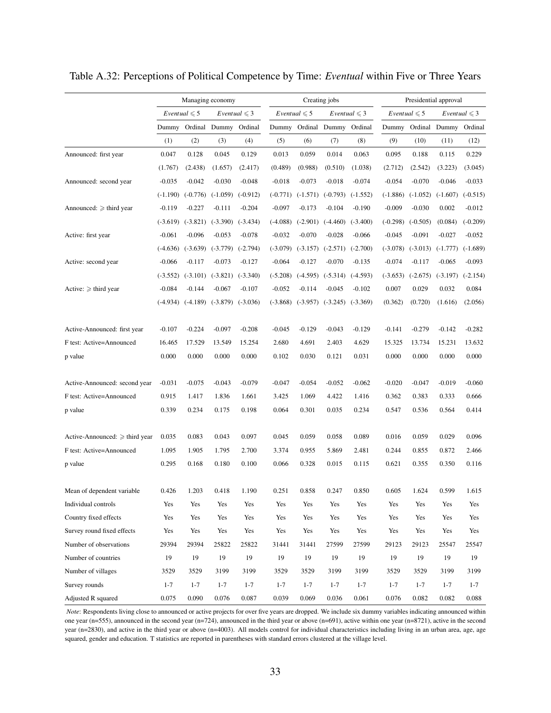|                                     | Managing economy |                          |                                             |                          |            |                          | Creating jobs                               |                          |            |                                  | Presidential approval       |                          |
|-------------------------------------|------------------|--------------------------|---------------------------------------------|--------------------------|------------|--------------------------|---------------------------------------------|--------------------------|------------|----------------------------------|-----------------------------|--------------------------|
|                                     |                  | <i>Eventual</i> $\leq 5$ |                                             | <i>Eventual</i> $\leq 3$ |            | <i>Eventual</i> $\leq 5$ |                                             | <i>Eventual</i> $\leq 3$ |            | <i>Eventual</i> $\leq 5$         |                             | <i>Eventual</i> $\leq 3$ |
|                                     | Dummy            |                          | Ordinal Dummy Ordinal                       |                          |            |                          | Dummy Ordinal Dummy Ordinal                 |                          |            |                                  | Dummy Ordinal Dummy Ordinal |                          |
|                                     | (1)              | (2)                      | (3)                                         | (4)                      | (5)        | (6)                      | (7)                                         | (8)                      | (9)        | (10)                             | (11)                        | (12)                     |
| Announced: first year               | 0.047            | 0.128                    | 0.045                                       | 0.129                    | 0.013      | 0.059                    | 0.014                                       | 0.063                    | 0.095      | 0.188                            | 0.115                       | 0.229                    |
|                                     | (1.767)          | (2.438)                  | (1.657)                                     | (2.417)                  | (0.489)    | (0.988)                  | (0.510)                                     | (1.038)                  | (2.712)    | (2.542)                          | (3.223)                     | (3.045)                  |
| Announced: second year              | $-0.035$         | $-0.042$                 | $-0.030$                                    | $-0.048$                 | $-0.018$   | $-0.073$                 | $-0.018$                                    | $-0.074$                 | $-0.054$   | $-0.070$                         | $-0.046$                    | $-0.033$                 |
|                                     |                  |                          | $(-1.190)$ $(-0.776)$ $(-1.059)$            | $(-0.912)$               |            |                          | $(-0.771)$ $(-1.571)$ $(-0.793)$            | $(-1.552)$               |            | $(-1.886)$ $(-1.052)$            | $(-1.607)$                  | $(-0.515)$               |
| Announced: $\geq$ third year        | $-0.119$         | $-0.227$                 | $-0.111$                                    | $-0.204$                 | $-0.097$   | $-0.173$                 | $-0.104$                                    | $-0.190$                 | $-0.009$   | $-0.030$                         | 0.002                       | $-0.012$                 |
|                                     | $(-3.619)$       |                          | $(-3.821)$ $(-3.390)$                       | $(-3.434)$               | $(-4.088)$ | $(-2.901)$               | $(-4.460)$                                  | $(-3.400)$               | $(-0.298)$ | $(-0.505)$                       | (0.084)                     | $(-0.209)$               |
| Active: first year                  | $-0.061$         | $-0.096$                 | $-0.053$                                    | $-0.078$                 | $-0.032$   | $-0.070$                 | $-0.028$                                    | $-0.066$                 | $-0.045$   | $-0.091$                         | $-0.027$                    | $-0.052$                 |
|                                     |                  |                          | $(-4.636)$ $(-3.639)$ $(-3.779)$            | $(-2.794)$               |            |                          | $(-3.079)$ $(-3.157)$ $(-2.571)$ $(-2.700)$ |                          |            | $(-3.078)$ $(-3.013)$ $(-1.777)$ |                             | $(-1.689)$               |
| Active: second year                 | $-0.066$         | $-0.117$                 | $-0.073$                                    | $-0.127$                 | $-0.064$   | $-0.127$                 | $-0.070$                                    | $-0.135$                 | $-0.074$   | $-0.117$                         | $-0.065$                    | $-0.093$                 |
|                                     | $(-3.552)$       |                          | $(-3.101)$ $(-3.821)$                       | $(-3.340)$               | $(-5.208)$ |                          | $(-4.595)$ $(-5.314)$ $(-4.593)$            |                          | $(-3.653)$ | $(-2.675)$                       | $(-3.197)$                  | $(-2.154)$               |
| Active: $\geq$ third year           | $-0.084$         | $-0.144$                 | $-0.067$                                    | $-0.107$                 | $-0.052$   | $-0.114$                 | $-0.045$                                    | $-0.102$                 | 0.007      | 0.029                            | 0.032                       | 0.084                    |
|                                     |                  |                          | $(-4.934)$ $(-4.189)$ $(-3.879)$ $(-3.036)$ |                          | $(-3.868)$ |                          | $(-3.957)$ $(-3.245)$ $(-3.369)$            |                          | (0.362)    | (0.720)                          | (1.616)                     | (2.056)                  |
| Active-Announced: first year        | $-0.107$         | $-0.224$                 | $-0.097$                                    | $-0.208$                 | $-0.045$   | $-0.129$                 | $-0.043$                                    | $-0.129$                 | $-0.141$   | $-0.279$                         | $-0.142$                    | $-0.282$                 |
| F test: Active=Announced            | 16.465           | 17.529                   | 13.549                                      | 15.254                   | 2.680      | 4.691                    | 2.403                                       | 4.629                    | 15.325     | 13.734                           | 15.231                      | 13.632                   |
| p value                             | 0.000            | 0.000                    | 0.000                                       | 0.000                    | 0.102      | 0.030                    | 0.121                                       | 0.031                    | 0.000      | 0.000                            | 0.000                       | 0.000                    |
| Active-Announced: second year       | $-0.031$         | $-0.075$                 | $-0.043$                                    | $-0.079$                 | $-0.047$   | $-0.054$                 | $-0.052$                                    | $-0.062$                 | $-0.020$   | $-0.047$                         | $-0.019$                    | $-0.060$                 |
| F test: Active=Announced            | 0.915            | 1.417                    | 1.836                                       | 1.661                    | 3.425      | 1.069                    | 4.422                                       | 1.416                    | 0.362      | 0.383                            | 0.333                       | 0.666                    |
| p value                             | 0.339            | 0.234                    | 0.175                                       | 0.198                    | 0.064      | 0.301                    | 0.035                                       | 0.234                    | 0.547      | 0.536                            | 0.564                       | 0.414                    |
| Active-Announced: $\geq$ third year | 0.035            | 0.083                    | 0.043                                       | 0.097                    | 0.045      | 0.059                    | 0.058                                       | 0.089                    | 0.016      | 0.059                            | 0.029                       | 0.096                    |
| F test: Active=Announced            | 1.095            | 1.905                    | 1.795                                       | 2.700                    | 3.374      | 0.955                    | 5.869                                       | 2.481                    | 0.244      | 0.855                            | 0.872                       | 2.466                    |
| p value                             | 0.295            | 0.168                    | 0.180                                       | 0.100                    | 0.066      | 0.328                    | 0.015                                       | 0.115                    | 0.621      | 0.355                            | 0.350                       | 0.116                    |
| Mean of dependent variable          | 0.426            | 1.203                    | 0.418                                       | 1.190                    | 0.251      | 0.858                    | 0.247                                       | 0.850                    | 0.605      | 1.624                            | 0.599                       | 1.615                    |
| Individual controls                 | Yes              | Yes                      | Yes                                         | Yes                      | Yes        | Yes                      | Yes                                         | Yes                      | Yes        | Yes                              | Yes                         | Yes                      |
| Country fixed effects               | Yes              | Yes                      | Yes                                         | Yes                      | Yes        | Yes                      | Yes                                         | Yes                      | Yes        | Yes                              | Yes                         | Yes                      |
| Survey round fixed effects          | Yes              | Yes                      | Yes                                         | Yes                      | Yes        | Yes                      | Yes                                         | Yes                      | Yes        | Yes                              | Yes                         | Yes                      |
| Number of observations              | 29394            | 29394                    | 25822                                       | 25822                    | 31441      | 31441                    | 27599                                       | 27599                    | 29123      | 29123                            | 25547                       | 25547                    |
| Number of countries                 | 19               | 19                       | 19                                          | 19                       | 19         | 19                       | 19                                          | 19                       | 19         | 19                               | 19                          | 19                       |
| Number of villages                  | 3529             | 3529                     | 3199                                        | 3199                     | 3529       | 3529                     | 3199                                        | 3199                     | 3529       | 3529                             | 3199                        | 3199                     |
| Survey rounds                       | $1 - 7$          | $1 - 7$                  | $1 - 7$                                     | $1 - 7$                  | $1 - 7$    | $1 - 7$                  | $1 - 7$                                     | $1 - 7$                  | $1 - 7$    | $1 - 7$                          | $1 - 7$                     | $1 - 7$                  |
| Adjusted R squared                  | 0.075            | 0.090                    | 0.076                                       | 0.087                    | 0.039      | 0.069                    | 0.036                                       | 0.061                    | 0.076      | 0.082                            | 0.082                       | 0.088                    |

Table A.32: Perceptions of Political Competence by Time: *Eventual* within Five or Three Years

*Note*: Respondents living close to announced or active projects for over five years are dropped. We include six dummy variables indicating announced within one year (n=555), announced in the second year (n=724), announced in the third year or above (n=691), active within one year (n=8721), active in the second year (n=2830), and active in the third year or above (n=4003). All models control for individual characteristics including living in an urban area, age, age squared, gender and education. T statistics are reported in parentheses with standard errors clustered at the village level.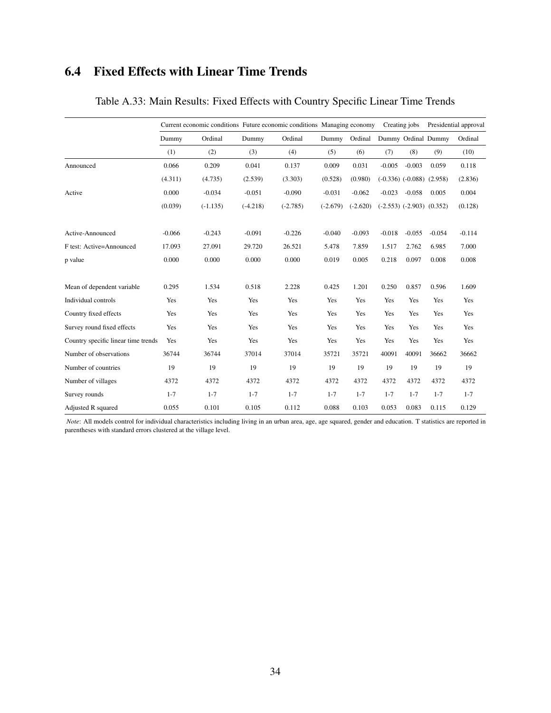### 6.4 Fixed Effects with Linear Time Trends

|                                     |          |            |            | Current economic conditions Future economic conditions Managing economy |            |            | Creating jobs |                                 | Presidential approval |          |
|-------------------------------------|----------|------------|------------|-------------------------------------------------------------------------|------------|------------|---------------|---------------------------------|-----------------------|----------|
|                                     | Dummy    | Ordinal    | Dummy      | Ordinal                                                                 | Dummy      | Ordinal    |               |                                 | Dummy Ordinal Dummy   | Ordinal  |
|                                     | (1)      | (2)        | (3)        | (4)                                                                     | (5)        | (6)        | (7)           | (8)                             | (9)                   | (10)     |
| Announced                           | 0.066    | 0.209      | 0.041      | 0.137                                                                   | 0.009      | 0.031      | $-0.005$      | $-0.003$                        | 0.059                 | 0.118    |
|                                     | (4.311)  | (4.735)    | (2.539)    | (3.303)                                                                 | (0.528)    | (0.980)    |               | $(-0.336)$ $(-0.088)$ $(2.958)$ |                       | (2.836)  |
| Active                              | 0.000    | $-0.034$   | $-0.051$   | $-0.090$                                                                | $-0.031$   | $-0.062$   | $-0.023$      | $-0.058$                        | 0.005                 | 0.004    |
|                                     | (0.039)  | $(-1.135)$ | $(-4.218)$ | $(-2.785)$                                                              | $(-2.679)$ | $(-2.620)$ |               | $(-2.553)$ $(-2.903)$ $(0.352)$ |                       | (0.128)  |
| Active-Announced                    | $-0.066$ | $-0.243$   | $-0.091$   | $-0.226$                                                                | $-0.040$   | $-0.093$   | $-0.018$      | $-0.055$                        | $-0.054$              | $-0.114$ |
| F test: Active=Announced            | 17.093   | 27.091     | 29.720     | 26.521                                                                  | 5.478      | 7.859      | 1.517         | 2.762                           | 6.985                 | 7.000    |
| p value                             | 0.000    | 0.000      | 0.000      | 0.000                                                                   | 0.019      | 0.005      | 0.218         | 0.097                           | 0.008                 | 0.008    |
| Mean of dependent variable          | 0.295    | 1.534      | 0.518      | 2.228                                                                   | 0.425      | 1.201      | 0.250         | 0.857                           | 0.596                 | 1.609    |
| Individual controls                 | Yes      | Yes        | Yes        | Yes                                                                     | Yes        | Yes        | Yes           | Yes                             | Yes                   | Yes      |
| Country fixed effects               | Yes      | Yes        | Yes        | Yes                                                                     | Yes        | Yes        | Yes           | Yes                             | Yes                   | Yes      |
| Survey round fixed effects          | Yes      | Yes        | Yes        | Yes                                                                     | Yes        | Yes        | Yes           | Yes                             | Yes                   | Yes      |
| Country specific linear time trends | Yes      | Yes        | Yes        | Yes                                                                     | Yes        | Yes        | Yes           | Yes                             | Yes                   | Yes      |
| Number of observations              | 36744    | 36744      | 37014      | 37014                                                                   | 35721      | 35721      | 40091         | 40091                           | 36662                 | 36662    |
| Number of countries                 | 19       | 19         | 19         | 19                                                                      | 19         | 19         | 19            | 19                              | 19                    | 19       |
| Number of villages                  | 4372     | 4372       | 4372       | 4372                                                                    | 4372       | 4372       | 4372          | 4372                            | 4372                  | 4372     |
| Survey rounds                       | $1 - 7$  | $1 - 7$    | $1 - 7$    | $1 - 7$                                                                 | $1 - 7$    | $1 - 7$    | $1 - 7$       | $1 - 7$                         | $1 - 7$               | $1 - 7$  |
| Adjusted R squared                  | 0.055    | 0.101      | 0.105      | 0.112                                                                   | 0.088      | 0.103      | 0.053         | 0.083                           | 0.115                 | 0.129    |

### Table A.33: Main Results: Fixed Effects with Country Specific Linear Time Trends

*Note*: All models control for individual characteristics including living in an urban area, age, age squared, gender and education. T statistics are reported in parentheses with standard errors clustered at the village level.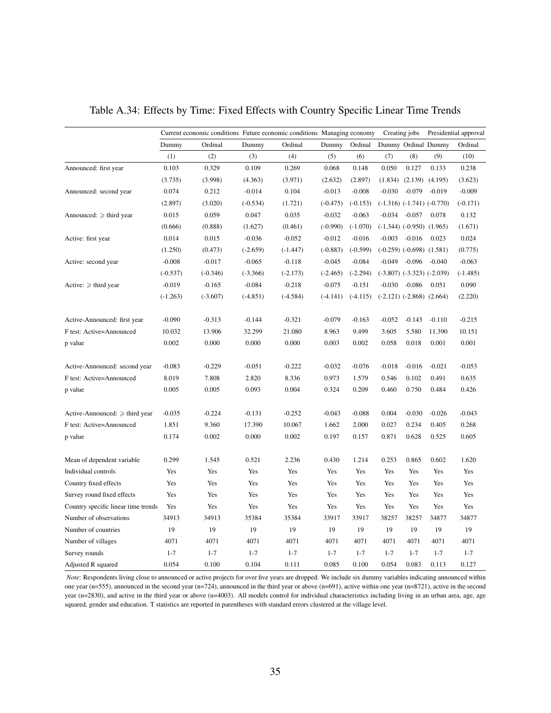|                                     | Current economic conditions Future economic conditions Managing economy |            |            |            |            |            | Creating jobs |                                 |                                  | Presidential approval |
|-------------------------------------|-------------------------------------------------------------------------|------------|------------|------------|------------|------------|---------------|---------------------------------|----------------------------------|-----------------------|
|                                     | Dummy                                                                   | Ordinal    | Dummy      | Ordinal    | Dummy      | Ordinal    |               |                                 | Dummy Ordinal Dummy              | Ordinal               |
|                                     | (1)                                                                     | (2)        | (3)        | (4)        | (5)        | (6)        | (7)           | (8)                             | (9)                              | (10)                  |
| Announced: first year               | 0.103                                                                   | 0.329      | 0.109      | 0.269      | 0.068      | 0.148      | 0.050         | 0.127                           | 0.133                            | 0.238                 |
|                                     | (3.735)                                                                 | (3.998)    | (4.363)    | (3.971)    | (2.632)    | (2.897)    | (1.834)       | (2.139)                         | (4.195)                          | (3.623)               |
| Announced: second year              | 0.074                                                                   | 0.212      | $-0.014$   | 0.104      | $-0.013$   | $-0.008$   | $-0.030$      | $-0.079$                        | $-0.019$                         | $-0.009$              |
|                                     | (2.897)                                                                 | (3.020)    | $(-0.534)$ | (1.721)    | $(-0.475)$ | $(-0.153)$ |               |                                 | $(-1.316)$ $(-1.741)$ $(-0.770)$ | $(-0.171)$            |
| Announced: $\geq$ third year        | 0.015                                                                   | 0.059      | 0.047      | 0.035      | $-0.032$   | $-0.063$   | $-0.034$      | $-0.057$                        | 0.078                            | 0.132                 |
|                                     | (0.666)                                                                 | (0.888)    | (1.627)    | (0.461)    | $(-0.990)$ | $(-1.070)$ |               | $(-1.344)$ $(-0.950)$ $(1.965)$ |                                  | (1.671)               |
| Active: first year                  | 0.014                                                                   | 0.015      | $-0.036$   | $-0.052$   | $-0.012$   | $-0.016$   | $-0.003$      | $-0.016$                        | 0.023                            | 0.024                 |
|                                     | (1.250)                                                                 | (0.473)    | $(-2.659)$ | $(-1.447)$ | $(-0.883)$ | $(-0.599)$ |               | $(-0.259)$ $(-0.698)$ $(1.581)$ |                                  | (0.775)               |
| Active: second year                 | $-0.008$                                                                | $-0.017$   | $-0.065$   | $-0.118$   | $-0.045$   | $-0.084$   | $-0.049$      | $-0.096$                        | $-0.040$                         | $-0.063$              |
|                                     | $(-0.537)$                                                              | $(-0.346)$ | $(-3.366)$ | $(-2.173)$ | $(-2.465)$ | $(-2.294)$ |               |                                 | $(-3.807)$ $(-3.323)$ $(-2.039)$ | $(-1.485)$            |
| Active: $\geq$ third year           | $-0.019$                                                                | $-0.165$   | $-0.084$   | $-0.218$   | $-0.075$   | $-0.151$   | $-0.030$      | $-0.086$                        | 0.051                            | 0.090                 |
|                                     | $(-1.263)$                                                              | $(-3.607)$ | $(-4.851)$ | $(-4.584)$ | $(-4.141)$ | $(-4.115)$ |               | $(-2.121)$ $(-2.868)$ $(2.664)$ |                                  | (2.220)               |
| Active-Announced: first year        | $-0.090$                                                                | $-0.313$   | $-0.144$   | $-0.321$   | $-0.079$   | $-0.163$   | $-0.052$      | $-0.143$                        | $-0.110$                         | $-0.215$              |
| F test: Active=Announced            | 10.032                                                                  | 13.906     | 32.299     | 21.080     | 8.963      | 9.499      | 3.605         | 5.580                           | 11.390                           | 10.151                |
| p value                             | 0.002                                                                   | 0.000      | 0.000      | 0.000      | 0.003      | 0.002      | 0.058         | 0.018                           | 0.001                            | 0.001                 |
| Active-Announced: second year       | $-0.083$                                                                | $-0.229$   | $-0.051$   | $-0.222$   | $-0.032$   | $-0.076$   | $-0.018$      | $-0.016$                        | $-0.021$                         | $-0.053$              |
| F test: Active=Announced            | 8.019                                                                   | 7.808      | 2.820      | 8.336      | 0.973      | 1.579      | 0.546         | 0.102                           | 0.491                            | 0.635                 |
| p value                             | 0.005                                                                   | 0.005      | 0.093      | 0.004      | 0.324      | 0.209      | 0.460         | 0.750                           | 0.484                            | 0.426                 |
| Active-Announced: $\geq$ third year | $-0.035$                                                                | $-0.224$   | $-0.131$   | $-0.252$   | $-0.043$   | $-0.088$   | 0.004         | $-0.030$                        | $-0.026$                         | $-0.043$              |
| F test: Active=Announced            | 1.851                                                                   | 9.360      | 17.390     | 10.067     | 1.662      | 2.000      | 0.027         | 0.234                           | 0.405                            | 0.268                 |
| p value                             | 0.174                                                                   | 0.002      | 0.000      | 0.002      | 0.197      | 0.157      | 0.871         | 0.628                           | 0.525                            | 0.605                 |
| Mean of dependent variable          | 0.299                                                                   | 1.545      | 0.521      | 2.236      | 0.430      | 1.214      | 0.253         | 0.865                           | 0.602                            | 1.620                 |
| Individual controls                 | Yes                                                                     | Yes        | Yes        | Yes        | Yes        | Yes        | Yes           | Yes                             | Yes                              | Yes                   |
| Country fixed effects               | Yes                                                                     | Yes        | Yes        | Yes        | Yes        | Yes        | Yes           | Yes                             | Yes                              | Yes                   |
| Survey round fixed effects          | Yes                                                                     | Yes        | Yes        | Yes        | Yes        | Yes        | Yes           | Yes                             | Yes                              | Yes                   |
| Country specific linear time trends | Yes                                                                     | Yes        | Yes        | Yes        | Yes        | Yes        | Yes           | Yes                             | Yes                              | Yes                   |
| Number of observations              | 34913                                                                   | 34913      | 35384      | 35384      | 33917      | 33917      | 38257         | 38257                           | 34877                            | 34877                 |
| Number of countries                 | 19                                                                      | 19         | 19         | 19         | 19         | 19         | 19            | 19                              | 19                               | 19                    |
| Number of villages                  | 4071                                                                    | 4071       | 4071       | 4071       | 4071       | 4071       | 4071          | 4071                            | 4071                             | 4071                  |
| Survey rounds                       | $1 - 7$                                                                 | $1 - 7$    | $1 - 7$    | $1 - 7$    | $1 - 7$    | $1 - 7$    | $1 - 7$       | $1 - 7$                         | $1 - 7$                          | $1 - 7$               |
| Adjusted R squared                  | 0.054                                                                   | 0.100      | 0.104      | 0.111      | 0.085      | 0.100      | 0.054         | 0.083                           | 0.113                            | 0.127                 |

Table A.34: Effects by Time: Fixed Effects with Country Specific Linear Time Trends

*Note*: Respondents living close to announced or active projects for over five years are dropped. We include six dummy variables indicating announced within one year (n=555), announced in the second year (n=724), announced in the third year or above (n=691), active within one year (n=8721), active in the second year (n=2830), and active in the third year or above (n=4003). All models control for individual characteristics including living in an urban area, age, age squared, gender and education. T statistics are reported in parentheses with standard errors clustered at the village level.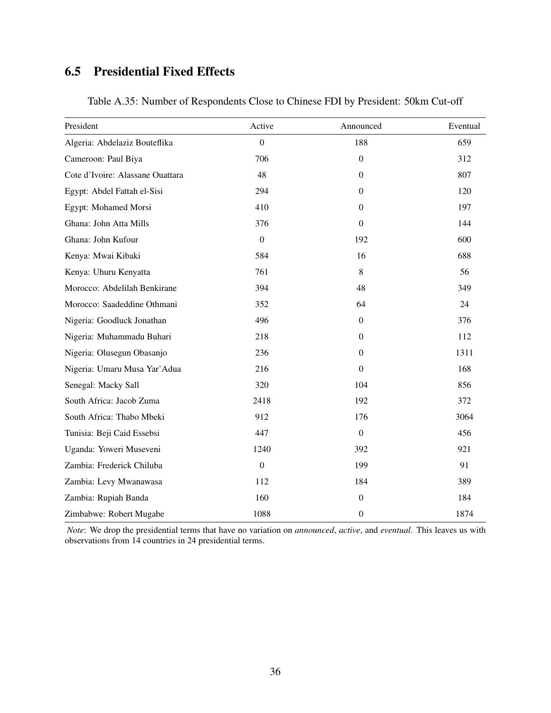## 6.5 Presidential Fixed Effects

| President                        | Active           | Announced        | Eventual |
|----------------------------------|------------------|------------------|----------|
| Algeria: Abdelaziz Bouteflika    | $\overline{0}$   | 188              | 659      |
| Cameroon: Paul Biya              | 706              | $\overline{0}$   | 312      |
| Cote d'Ivoire: Alassane Ouattara | 48               | $\mathbf{0}$     | 807      |
| Egypt: Abdel Fattah el-Sisi      | 294              | $\mathbf{0}$     | 120      |
| Egypt: Mohamed Morsi             | 410              | $\boldsymbol{0}$ | 197      |
| Ghana: John Atta Mills           | 376              | $\mathbf{0}$     | 144      |
| Ghana: John Kufour               | $\boldsymbol{0}$ | 192              | 600      |
| Kenya: Mwai Kibaki               | 584              | 16               | 688      |
| Kenya: Uhuru Kenyatta            | 761              | 8                | 56       |
| Morocco: Abdelilah Benkirane     | 394              | 48               | 349      |
| Morocco: Saadeddine Othmani      | 352              | 64               | 24       |
| Nigeria: Goodluck Jonathan       | 496              | $\Omega$         | 376      |
| Nigeria: Muhammadu Buhari        | 218              | $\Omega$         | 112      |
| Nigeria: Olusegun Obasanjo       | 236              | $\Omega$         | 1311     |
| Nigeria: Umaru Musa Yar' Adua    | 216              | $\boldsymbol{0}$ | 168      |
| Senegal: Macky Sall              | 320              | 104              | 856      |
| South Africa: Jacob Zuma         | 2418             | 192              | 372      |
| South Africa: Thabo Mbeki        | 912              | 176              | 3064     |
| Tunisia: Beji Caid Essebsi       | 447              | $\mathbf{0}$     | 456      |
| Uganda: Yoweri Museveni          | 1240             | 392              | 921      |
| Zambia: Frederick Chiluba        | $\boldsymbol{0}$ | 199              | 91       |
| Zambia: Levy Mwanawasa           | 112              | 184              | 389      |
| Zambia: Rupiah Banda             | 160              | $\boldsymbol{0}$ | 184      |
| Zimbabwe: Robert Mugabe          | 1088             | $\boldsymbol{0}$ | 1874     |

Table A.35: Number of Respondents Close to Chinese FDI by President: 50km Cut-off

*Note*: We drop the presidential terms that have no variation on *announced*, *active*, and *eventual*. This leaves us with observations from 14 countries in 24 presidential terms.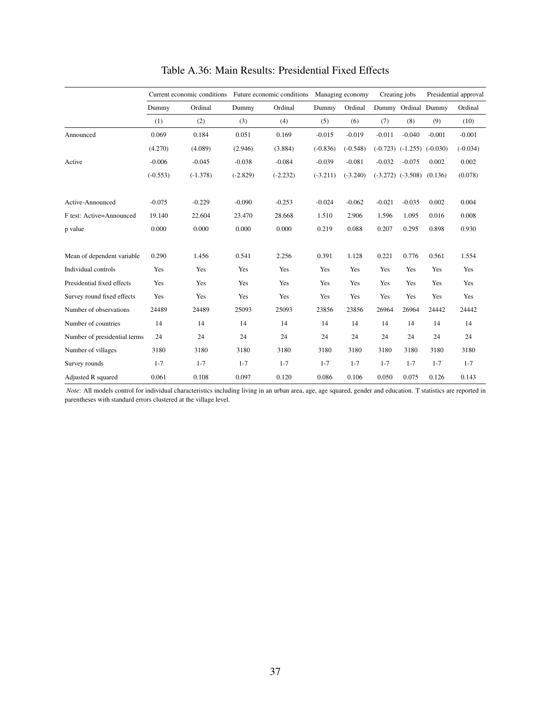|                              | Current economic conditions |            |            | Future economic conditions Managing economy |            |            |          | Creating jobs                    |          | Presidential approval |  |
|------------------------------|-----------------------------|------------|------------|---------------------------------------------|------------|------------|----------|----------------------------------|----------|-----------------------|--|
|                              | Dummy                       | Ordinal    | Dummy      | Ordinal                                     | Dummy      | Ordinal    |          | Dummy Ordinal Dummy              |          | Ordinal               |  |
|                              | (1)                         | (2)        | (3)        | (4)                                         | (5)        | (6)        | (7)      | (8)                              | (9)      | (10)                  |  |
| Announced                    | 0.069                       | 0.184      | 0.051      | 0.169                                       | $-0.015$   | $-0.019$   | $-0.011$ | $-0.040$                         | $-0.001$ | $-0.001$              |  |
|                              | (4.270)                     | (4.089)    | (2.946)    | (3.884)                                     | $(-0.836)$ | $(-0.548)$ |          | $(-0.723)$ $(-1.255)$ $(-0.030)$ |          | $(-0.034)$            |  |
| Active                       | $-0.006$                    | $-0.045$   | $-0.038$   | $-0.084$                                    | $-0.039$   | $-0.081$   | $-0.032$ | $-0.075$                         | 0.002    | 0.002                 |  |
|                              | $(-0.553)$                  | $(-1.378)$ | $(-2.829)$ | $(-2.232)$                                  | $(-3.211)$ | $(-3.240)$ |          | $(-3.272)$ $(-3.508)$            | (0.136)  | (0.078)               |  |
| Active-Announced             | $-0.075$                    | $-0.229$   | $-0.090$   | $-0.253$                                    | $-0.024$   | $-0.062$   | $-0.021$ | $-0.035$                         | 0.002    | 0.004                 |  |
| F test: Active=Announced     | 19.140                      | 22.604     | 23.470     | 28.668                                      | 1.510      | 2.906      | 1.596    | 1.095                            | 0.016    | 0.008                 |  |
| p value                      | 0.000                       | 0.000      | 0.000      | 0.000                                       | 0.219      | 0.088      | 0.207    | 0.295                            | 0.898    | 0.930                 |  |
| Mean of dependent variable   | 0.290                       | 1.456      | 0.541      | 2.256                                       | 0.391      | 1.128      | 0.221    | 0.776                            | 0.561    | 1.554                 |  |
| Individual controls          | Yes                         | Yes        | Yes        | Yes                                         | Yes        | Yes        | Yes      | Yes                              | Yes      | Yes                   |  |
| Presidential fixed effects   | Yes                         | Yes        | Yes        | Yes                                         | Yes        | Yes        | Yes      | Yes                              | Yes      | Yes                   |  |
| Survey round fixed effects   | Yes                         | Yes        | Yes        | Yes                                         | Yes        | Yes        | Yes      | Yes                              | Yes      | Yes                   |  |
| Number of observations       | 24489                       | 24489      | 25093      | 25093                                       | 23856      | 23856      | 26964    | 26964                            | 24442    | 24442                 |  |
| Number of countries          | 14                          | 14         | 14         | 14                                          | 14         | 14         | 14       | 14                               | 14       | 14                    |  |
| Number of presidential terms | 24                          | 24         | 24         | 24                                          | 24         | 24         | 24       | 24                               | 24       | 24                    |  |
| Number of villages           | 3180                        | 3180       | 3180       | 3180                                        | 3180       | 3180       | 3180     | 3180                             | 3180     | 3180                  |  |
| Survey rounds                | $1 - 7$                     | $1 - 7$    | $1 - 7$    | $1 - 7$                                     | $1 - 7$    | $1 - 7$    | $1 - 7$  | $1 - 7$                          | $1 - 7$  | $1 - 7$               |  |
| Adjusted R squared           | 0.061                       | 0.108      | 0.097      | 0.120                                       | 0.086      | 0.106      | 0.050    | 0.075                            | 0.126    | 0.143                 |  |

Table A.36: Main Results: Presidential Fixed Effects

*Note*: All models control for individual characteristics including living in an urban area, age, age squared, gender and education. T statistics are reported in parentheses with standard errors clustered at the village level.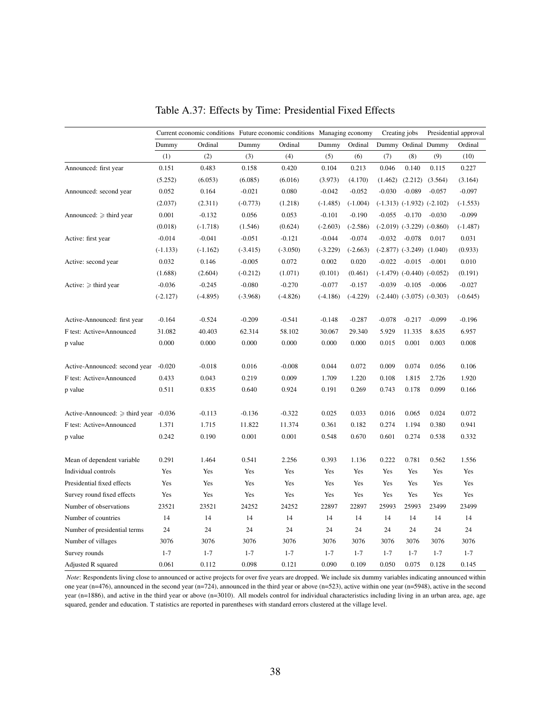|                                     | Current economic conditions Future economic conditions Managing economy |            |            |            |            |            |          | Creating jobs                    | Presidential approval |            |
|-------------------------------------|-------------------------------------------------------------------------|------------|------------|------------|------------|------------|----------|----------------------------------|-----------------------|------------|
|                                     | Dummy                                                                   | Ordinal    | Dummy      | Ordinal    | Dummy      | Ordinal    |          | Dummy Ordinal Dummy              |                       | Ordinal    |
|                                     | (1)                                                                     | (2)        | (3)        | (4)        | (5)        | (6)        | (7)      | (8)                              | (9)                   | (10)       |
| Announced: first year               | 0.151                                                                   | 0.483      | 0.158      | 0.420      | 0.104      | 0.213      | 0.046    | 0.140                            | 0.115                 | 0.227      |
|                                     | (5.252)                                                                 | (6.053)    | (6.085)    | (6.016)    | (3.973)    | (4.170)    | (1.462)  | (2.212)                          | (3.564)               | (3.164)    |
| Announced: second year              | 0.052                                                                   | 0.164      | $-0.021$   | 0.080      | $-0.042$   | $-0.052$   | $-0.030$ | $-0.089$                         | $-0.057$              | $-0.097$   |
|                                     | (2.037)                                                                 | (2.311)    | $(-0.773)$ | (1.218)    | $(-1.485)$ | $(-1.004)$ |          | $(-1.313)$ $(-1.932)$ $(-2.102)$ |                       | $(-1.553)$ |
| Announced: $\geq$ third year        | 0.001                                                                   | $-0.132$   | 0.056      | 0.053      | $-0.101$   | $-0.190$   | $-0.055$ | $-0.170$                         | $-0.030$              | $-0.099$   |
|                                     | (0.018)                                                                 | $(-1.718)$ | (1.546)    | (0.624)    | $(-2.603)$ | $(-2.586)$ |          | $(-2.019)$ $(-3.229)$ $(-0.860)$ |                       | $(-1.487)$ |
| Active: first year                  | $-0.014$                                                                | $-0.041$   | $-0.051$   | $-0.121$   | $-0.044$   | $-0.074$   | $-0.032$ | $-0.078$                         | 0.017                 | 0.031      |
|                                     | $(-1.133)$                                                              | $(-1.162)$ | $(-3.415)$ | $(-3.050)$ | $(-3.229)$ | $(-2.663)$ |          | $(-2.877)$ $(-3.249)$ $(1.040)$  |                       | (0.933)    |
| Active: second year                 | 0.032                                                                   | 0.146      | $-0.005$   | 0.072      | 0.002      | 0.020      | $-0.022$ | $-0.015$                         | $-0.001$              | 0.010      |
|                                     | (1.688)                                                                 | (2.604)    | $(-0.212)$ | (1.071)    | (0.101)    | (0.461)    |          | $(-1.479)$ $(-0.440)$ $(-0.052)$ |                       | (0.191)    |
| Active: $\geq$ third year           | $-0.036$                                                                | $-0.245$   | $-0.080$   | $-0.270$   | $-0.077$   | $-0.157$   | $-0.039$ | $-0.105$                         | $-0.006$              | $-0.027$   |
|                                     | $(-2.127)$                                                              | $(-4.895)$ | $(-3.968)$ | $(-4.826)$ | $(-4.186)$ | $(-4.229)$ |          | $(-2.440)$ $(-3.075)$ $(-0.303)$ |                       | $(-0.645)$ |
| Active-Announced: first year        | $-0.164$                                                                | $-0.524$   | $-0.209$   | $-0.541$   | $-0.148$   | $-0.287$   | $-0.078$ | $-0.217$                         | $-0.099$              | $-0.196$   |
| F test: Active=Announced            | 31.082                                                                  | 40.403     | 62.314     | 58.102     | 30.067     | 29.340     | 5.929    | 11.335                           | 8.635                 | 6.957      |
| p value                             | 0.000                                                                   | 0.000      | 0.000      | 0.000      | 0.000      | 0.000      | 0.015    | 0.001                            | 0.003                 | 0.008      |
|                                     |                                                                         |            |            |            |            |            |          |                                  |                       |            |
| Active-Announced: second year       | $-0.020$                                                                | $-0.018$   | 0.016      | $-0.008$   | 0.044      | 0.072      | 0.009    | 0.074                            | 0.056                 | 0.106      |
| F test: Active=Announced            | 0.433                                                                   | 0.043      | 0.219      | 0.009      | 1.709      | 1.220      | 0.108    | 1.815                            | 2.726                 | 1.920      |
| p value                             | 0.511                                                                   | 0.835      | 0.640      | 0.924      | 0.191      | 0.269      | 0.743    | 0.178                            | 0.099                 | 0.166      |
| Active-Announced: $\geq$ third year | $-0.036$                                                                | $-0.113$   | $-0.136$   | $-0.322$   | 0.025      | 0.033      | 0.016    | 0.065                            | 0.024                 | 0.072      |
| F test: Active=Announced            | 1.371                                                                   | 1.715      | 11.822     | 11.374     | 0.361      | 0.182      | 0.274    | 1.194                            | 0.380                 | 0.941      |
| p value                             | 0.242                                                                   | 0.190      | 0.001      | 0.001      | 0.548      | 0.670      | 0.601    | 0.274                            | 0.538                 | 0.332      |
|                                     |                                                                         |            |            |            |            |            |          |                                  |                       |            |
| Mean of dependent variable          | 0.291                                                                   | 1.464      | 0.541      | 2.256      | 0.393      | 1.136      | 0.222    | 0.781                            | 0.562                 | 1.556      |
| Individual controls                 | Yes                                                                     | Yes        | Yes        | Yes        | Yes        | Yes        | Yes      | Yes                              | Yes                   | Yes        |
| Presidential fixed effects          | Yes                                                                     | Yes        | Yes        | Yes        | Yes        | Yes        | Yes      | Yes                              | Yes                   | Yes        |
| Survey round fixed effects          | Yes                                                                     | Yes        | Yes        | Yes        | Yes        | Yes        | Yes      | Yes                              | Yes                   | Yes        |
| Number of observations              | 23521                                                                   | 23521      | 24252      | 24252      | 22897      | 22897      | 25993    | 25993                            | 23499                 | 23499      |
| Number of countries                 | 14                                                                      | 14         | 14         | 14         | 14         | 14         | 14       | 14                               | 14                    | 14         |
| Number of presidential terms        | 24                                                                      | 24         | 24         | 24         | 24         | 24         | 24       | 24                               | 24                    | 24         |
| Number of villages                  | 3076                                                                    | 3076       | 3076       | 3076       | 3076       | 3076       | 3076     | 3076                             | 3076                  | 3076       |
| Survey rounds                       | $1 - 7$                                                                 | $1 - 7$    | $1 - 7$    | $1 - 7$    | $1 - 7$    | $1 - 7$    | $1 - 7$  | $1 - 7$                          | $1 - 7$               | $1 - 7$    |
| Adjusted R squared                  | 0.061                                                                   | 0.112      | 0.098      | 0.121      | 0.090      | 0.109      | 0.050    | 0.075                            | 0.128                 | 0.145      |

Table A.37: Effects by Time: Presidential Fixed Effects

*Note*: Respondents living close to announced or active projects for over five years are dropped. We include six dummy variables indicating announced within one year (n=476), announced in the second year (n=724), announced in the third year or above (n=523), active within one year (n=5948), active in the second year (n=1886), and active in the third year or above (n=3010). All models control for individual characteristics including living in an urban area, age, age squared, gender and education. T statistics are reported in parentheses with standard errors clustered at the village level.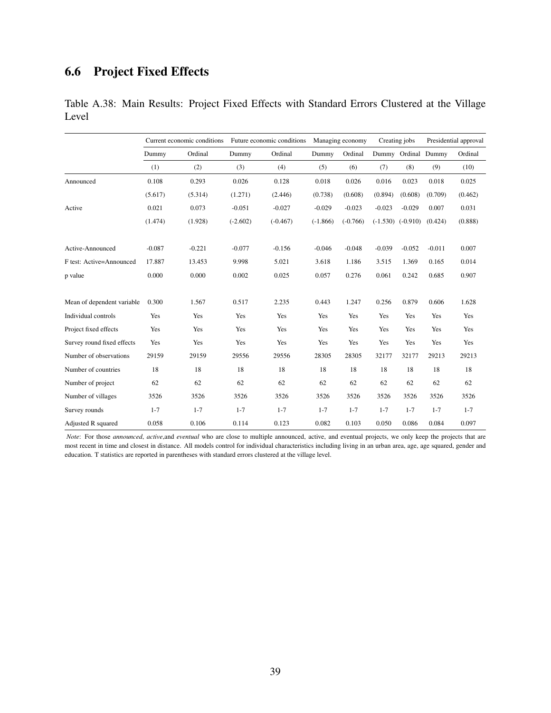## 6.6 Project Fixed Effects

|       | Table A.38: Main Results: Project Fixed Effects with Standard Errors Clustered at the Village |  |  |  |  |
|-------|-----------------------------------------------------------------------------------------------|--|--|--|--|
| Level |                                                                                               |  |  |  |  |

|                            |          | Current economic conditions |            | Future economic conditions |            | Managing economy |            | Creating jobs       |          | Presidential approval |  |
|----------------------------|----------|-----------------------------|------------|----------------------------|------------|------------------|------------|---------------------|----------|-----------------------|--|
|                            | Dummy    | Ordinal                     | Dummy      | Ordinal                    | Dummy      | Ordinal          |            | Dummy Ordinal Dummy |          | Ordinal               |  |
|                            | (1)      | (2)                         | (3)        | (4)                        | (5)        | (6)              | (7)        | (8)                 | (9)      | (10)                  |  |
| Announced                  | 0.108    | 0.293                       | 0.026      | 0.128                      | 0.018      | 0.026            | 0.016      | 0.023               | 0.018    | 0.025                 |  |
|                            | (5.617)  | (5.314)                     | (1.271)    | (2.446)                    | (0.738)    | (0.608)          | (0.894)    | (0.608)             | (0.709)  | (0.462)               |  |
| Active                     | 0.021    | 0.073                       | $-0.051$   | $-0.027$                   | $-0.029$   | $-0.023$         | $-0.023$   | $-0.029$            | 0.007    | 0.031                 |  |
|                            | (1.474)  | (1.928)                     | $(-2.602)$ | $(-0.467)$                 | $(-1.866)$ | $(-0.766)$       | $(-1.530)$ | $(-0.910)$          | (0.424)  | (0.888)               |  |
| Active-Announced           | $-0.087$ | $-0.221$                    | $-0.077$   | $-0.156$                   | $-0.046$   | $-0.048$         | $-0.039$   | $-0.052$            | $-0.011$ | 0.007                 |  |
| F test: Active=Announced   | 17.887   | 13.453                      | 9.998      | 5.021                      | 3.618      | 1.186            | 3.515      | 1.369               | 0.165    | 0.014                 |  |
| p value                    | 0.000    | 0.000                       | 0.002      | 0.025                      | 0.057      | 0.276            | 0.061      | 0.242               | 0.685    | 0.907                 |  |
| Mean of dependent variable | 0.300    | 1.567                       | 0.517      | 2.235                      | 0.443      | 1.247            | 0.256      | 0.879               | 0.606    | 1.628                 |  |
| Individual controls        | Yes      | Yes                         | Yes        | Yes                        | Yes        | Yes              | Yes        | Yes                 | Yes      | Yes                   |  |
| Project fixed effects      | Yes      | Yes                         | Yes        | Yes                        | Yes        | Yes              | Yes        | Yes                 | Yes      | Yes                   |  |
| Survey round fixed effects | Yes      | Yes                         | Yes        | Yes                        | Yes        | Yes              | Yes        | Yes                 | Yes      | Yes                   |  |
| Number of observations     | 29159    | 29159                       | 29556      | 29556                      | 28305      | 28305            | 32177      | 32177               | 29213    | 29213                 |  |
| Number of countries        | 18       | 18                          | 18         | 18                         | 18         | 18               | 18         | 18                  | 18       | 18                    |  |
| Number of project          | 62       | 62                          | 62         | 62                         | 62         | 62               | 62         | 62                  | 62       | 62                    |  |
| Number of villages         | 3526     | 3526                        | 3526       | 3526                       | 3526       | 3526             | 3526       | 3526                | 3526     | 3526                  |  |
| Survey rounds              | $1 - 7$  | $1 - 7$                     | $1 - 7$    | $1 - 7$                    | $1 - 7$    | $1 - 7$          | $1 - 7$    | $1 - 7$             | $1 - 7$  | $1 - 7$               |  |
| Adjusted R squared         | 0.058    | 0.106                       | 0.114      | 0.123                      | 0.082      | 0.103            | 0.050      | 0.086               | 0.084    | 0.097                 |  |

*Note*: For those *announced*, *active*,and *eventual* who are close to multiple announced, active, and eventual projects, we only keep the projects that are most recent in time and closest in distance. All models control for individual characteristics including living in an urban area, age, age squared, gender and education. T statistics are reported in parentheses with standard errors clustered at the village level.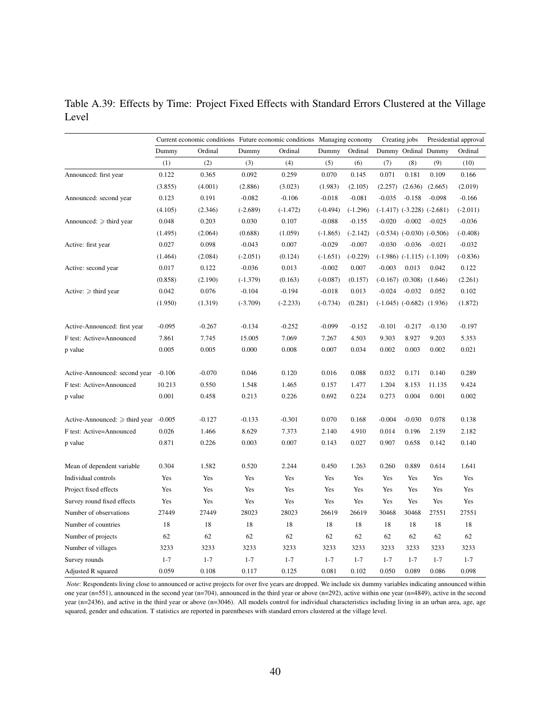Table A.39: Effects by Time: Project Fixed Effects with Standard Errors Clustered at the Village Level

|                                     | Current economic conditions Future economic conditions Managing economy |          |            |            |            |            |          | Creating jobs                   | Presidential approval            |            |
|-------------------------------------|-------------------------------------------------------------------------|----------|------------|------------|------------|------------|----------|---------------------------------|----------------------------------|------------|
|                                     | Dummy                                                                   | Ordinal  | Dummy      | Ordinal    | Dummy      | Ordinal    |          |                                 | Dummy Ordinal Dummy              | Ordinal    |
|                                     | (1)                                                                     | (2)      | (3)        | (4)        | (5)        | (6)        | (7)      | (8)                             | (9)                              | (10)       |
| Announced: first year               | 0.122                                                                   | 0.365    | 0.092      | 0.259      | 0.070      | 0.145      | 0.071    | 0.181                           | 0.109                            | 0.166      |
|                                     | (3.855)                                                                 | (4.001)  | (2.886)    | (3.023)    | (1.983)    | (2.105)    | (2.257)  | (2.636)                         | (2.665)                          | (2.019)    |
| Announced: second year              | 0.123                                                                   | 0.191    | $-0.082$   | $-0.106$   | $-0.018$   | $-0.081$   | $-0.035$ | $-0.158$                        | $-0.098$                         | $-0.166$   |
|                                     | (4.105)                                                                 | (2.346)  | $(-2.689)$ | $(-1.472)$ | $(-0.494)$ | $(-1.296)$ |          |                                 | $(-1.417)$ $(-3.228)$ $(-2.681)$ | $(-2.011)$ |
| Announced: $\geq$ third year        | 0.048                                                                   | 0.203    | 0.030      | 0.107      | $-0.088$   | $-0.155$   | $-0.020$ | $-0.002$                        | $-0.025$                         | $-0.036$   |
|                                     | (1.495)                                                                 | (2.064)  | (0.688)    | (1.059)    | $(-1.865)$ | $(-2.142)$ |          |                                 | $(-0.534)$ $(-0.030)$ $(-0.506)$ | $(-0.408)$ |
| Active: first year                  | 0.027                                                                   | 0.098    | $-0.043$   | 0.007      | $-0.029$   | $-0.007$   | $-0.030$ | $-0.036$                        | $-0.021$                         | $-0.032$   |
|                                     | (1.464)                                                                 | (2.084)  | $(-2.051)$ | (0.124)    | $(-1.651)$ | $(-0.229)$ |          |                                 | $(-1.986)$ $(-1.115)$ $(-1.109)$ | $(-0.836)$ |
| Active: second year                 | 0.017                                                                   | 0.122    | $-0.036$   | 0.013      | $-0.002$   | 0.007      | $-0.003$ | 0.013                           | 0.042                            | 0.122      |
|                                     | (0.858)                                                                 | (2.190)  | $(-1.379)$ | (0.163)    | $(-0.087)$ | (0.157)    |          | $(-0.167)$ $(0.308)$            | (1.646)                          | (2.261)    |
| Active: $\geq$ third year           | 0.042                                                                   | 0.076    | $-0.104$   | $-0.194$   | $-0.018$   | 0.013      | $-0.024$ | $-0.032$                        | 0.052                            | 0.102      |
|                                     | (1.950)                                                                 | (1.319)  | $(-3.709)$ | $(-2.233)$ | $(-0.734)$ | (0.281)    |          | $(-1.045)$ $(-0.682)$ $(1.936)$ |                                  | (1.872)    |
| Active-Announced: first year        | $-0.095$                                                                | $-0.267$ | $-0.134$   | $-0.252$   | $-0.099$   | $-0.152$   | $-0.101$ | $-0.217$                        | $-0.130$                         | $-0.197$   |
| F test: Active=Announced            | 7.861                                                                   | 7.745    | 15.005     | 7.069      | 7.267      | 4.503      | 9.303    | 8.927                           | 9.203                            | 5.353      |
| p value                             | 0.005                                                                   | 0.005    | 0.000      | 0.008      | 0.007      | 0.034      | 0.002    | 0.003                           | 0.002                            | 0.021      |
| Active-Announced: second year       | $-0.106$                                                                | $-0.070$ | 0.046      | 0.120      | 0.016      | 0.088      | 0.032    | 0.171                           | 0.140                            | 0.289      |
| F test: Active=Announced            | 10.213                                                                  | 0.550    | 1.548      | 1.465      | 0.157      | 1.477      | 1.204    | 8.153                           | 11.135                           | 9.424      |
| p value                             | 0.001                                                                   | 0.458    | 0.213      | 0.226      | 0.692      | 0.224      | 0.273    | 0.004                           | 0.001                            | 0.002      |
|                                     |                                                                         |          |            |            |            |            |          |                                 |                                  |            |
| Active-Announced: $\geq$ third year | $-0.005$                                                                | $-0.127$ | $-0.133$   | $-0.301$   | 0.070      | 0.168      | $-0.004$ | $-0.030$                        | 0.078                            | 0.138      |
| F test: Active=Announced            | 0.026                                                                   | 1.466    | 8.629      | 7.373      | 2.140      | 4.910      | 0.014    | 0.196                           | 2.159                            | 2.182      |
| p value                             | 0.871                                                                   | 0.226    | 0.003      | 0.007      | 0.143      | 0.027      | 0.907    | 0.658                           | 0.142                            | 0.140      |
| Mean of dependent variable          | 0.304                                                                   | 1.582    | 0.520      | 2.244      | 0.450      | 1.263      | 0.260    | 0.889                           | 0.614                            | 1.641      |
| Individual controls                 | Yes                                                                     | Yes      | Yes        | Yes        | Yes        | Yes        | Yes      | Yes                             | Yes                              | Yes        |
| Project fixed effects               | Yes                                                                     | Yes      | Yes        | Yes        | Yes        | Yes        | Yes      | Yes                             | Yes                              | Yes        |
| Survey round fixed effects          | Yes                                                                     | Yes      | Yes        | Yes        | Yes        | Yes        | Yes      | Yes                             | Yes                              | Yes        |
| Number of observations              | 27449                                                                   | 27449    | 28023      | 28023      | 26619      | 26619      | 30468    | 30468                           | 27551                            | 27551      |
| Number of countries                 | 18                                                                      | 18       | 18         | 18         | 18         | 18         | 18       | 18                              | 18                               | 18         |
| Number of projects                  | 62                                                                      | 62       | 62         | 62         | 62         | 62         | 62       | 62                              | 62                               | 62         |
| Number of villages                  | 3233                                                                    | 3233     | 3233       | 3233       | 3233       | 3233       | 3233     | 3233                            | 3233                             | 3233       |
| Survey rounds                       | $1 - 7$                                                                 | $1 - 7$  | $1 - 7$    | $1 - 7$    | $1 - 7$    | $1 - 7$    | $1 - 7$  | $1 - 7$                         | $1 - 7$                          | $1 - 7$    |
| Adjusted R squared                  | 0.059                                                                   | 0.108    | 0.117      | 0.125      | 0.081      | 0.102      | 0.050    | 0.089                           | 0.086                            | 0.098      |

*Note*: Respondents living close to announced or active projects for over five years are dropped. We include six dummy variables indicating announced within one year (n=551), announced in the second year (n=704), announced in the third year or above (n=292), active within one year (n=4849), active in the second year (n=2436), and active in the third year or above (n=3046). All models control for individual characteristics including living in an urban area, age, age squared, gender and education. T statistics are reported in parentheses with standard errors clustered at the village level.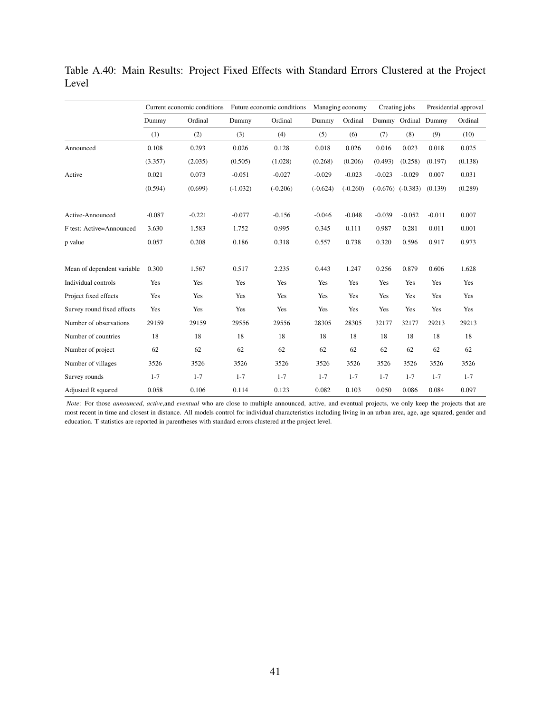|                            |          | Current economic conditions |            | Future economic conditions |            | Managing economy |            | Creating jobs       |          | Presidential approval |  |
|----------------------------|----------|-----------------------------|------------|----------------------------|------------|------------------|------------|---------------------|----------|-----------------------|--|
|                            | Dummy    | Ordinal                     | Dummy      | Ordinal                    | Dummy      | Ordinal          |            | Dummy Ordinal Dummy |          | Ordinal               |  |
|                            | (1)      | (2)                         | (3)        | (4)                        | (5)        | (6)              | (7)        | (8)                 | (9)      | (10)                  |  |
| Announced                  | 0.108    | 0.293                       | 0.026      | 0.128                      | 0.018      | 0.026            | 0.016      | 0.023               | 0.018    | 0.025                 |  |
|                            | (3.357)  | (2.035)                     | (0.505)    | (1.028)                    | (0.268)    | (0.206)          | (0.493)    | (0.258)             | (0.197)  | (0.138)               |  |
| Active                     | 0.021    | 0.073                       | $-0.051$   | $-0.027$                   | $-0.029$   | $-0.023$         | $-0.023$   | $-0.029$            | 0.007    | 0.031                 |  |
|                            | (0.594)  | (0.699)                     | $(-1.032)$ | $(-0.206)$                 | $(-0.624)$ | $(-0.260)$       | $(-0.676)$ | $(-0.383)$          | (0.139)  | (0.289)               |  |
| Active-Announced           | $-0.087$ | $-0.221$                    | $-0.077$   | $-0.156$                   | $-0.046$   | $-0.048$         | $-0.039$   | $-0.052$            | $-0.011$ | 0.007                 |  |
| F test: Active=Announced   | 3.630    | 1.583                       | 1.752      | 0.995                      | 0.345      | 0.111            | 0.987      | 0.281               | 0.011    | 0.001                 |  |
| p value                    | 0.057    | 0.208                       | 0.186      | 0.318                      | 0.557      | 0.738            | 0.320      | 0.596               | 0.917    | 0.973                 |  |
| Mean of dependent variable | 0.300    | 1.567                       | 0.517      | 2.235                      | 0.443      | 1.247            | 0.256      | 0.879               | 0.606    | 1.628                 |  |
| Individual controls        | Yes      | Yes                         | Yes        | Yes                        | Yes        | Yes              | Yes        | Yes                 | Yes      | Yes                   |  |
| Project fixed effects      | Yes      | Yes                         | Yes        | Yes                        | Yes        | Yes              | Yes        | Yes                 | Yes      | Yes                   |  |
| Survey round fixed effects | Yes      | Yes                         | Yes        | Yes                        | Yes        | Yes              | Yes        | Yes                 | Yes      | Yes                   |  |
| Number of observations     | 29159    | 29159                       | 29556      | 29556                      | 28305      | 28305            | 32177      | 32177               | 29213    | 29213                 |  |
| Number of countries        | 18       | 18                          | 18         | 18                         | 18         | 18               | 18         | 18                  | 18       | 18                    |  |
| Number of project          | 62       | 62                          | 62         | 62                         | 62         | 62               | 62         | 62                  | 62       | 62                    |  |
| Number of villages         | 3526     | 3526                        | 3526       | 3526                       | 3526       | 3526             | 3526       | 3526                | 3526     | 3526                  |  |
| Survey rounds              | $1 - 7$  | $1 - 7$                     | $1 - 7$    | $1 - 7$                    | $1 - 7$    | $1 - 7$          | $1 - 7$    | $1 - 7$             | $1 - 7$  | $1 - 7$               |  |
| Adjusted R squared         | 0.058    | 0.106                       | 0.114      | 0.123                      | 0.082      | 0.103            | 0.050      | 0.086               | 0.084    | 0.097                 |  |

Table A.40: Main Results: Project Fixed Effects with Standard Errors Clustered at the Project Level

*Note*: For those *announced*, *active*,and *eventual* who are close to multiple announced, active, and eventual projects, we only keep the projects that are most recent in time and closest in distance. All models control for individual characteristics including living in an urban area, age, age squared, gender and education. T statistics are reported in parentheses with standard errors clustered at the project level.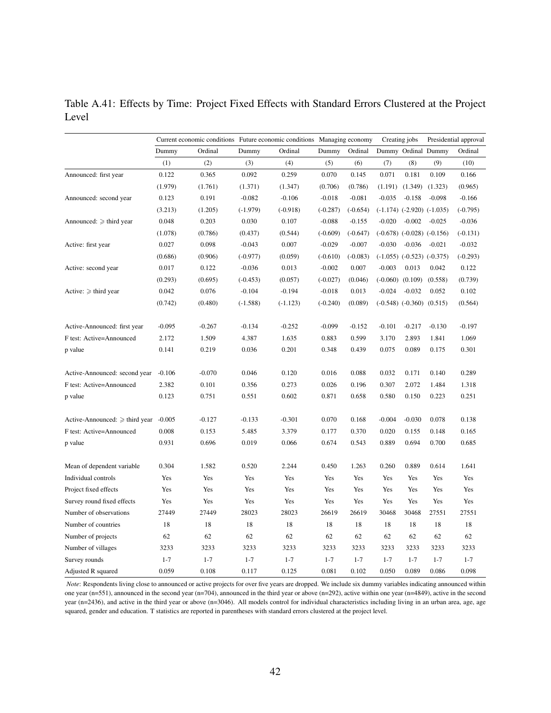Table A.41: Effects by Time: Project Fixed Effects with Standard Errors Clustered at the Project Level

|                                     | Current economic conditions Future economic conditions Managing economy |          |            |            |            |            |          | Creating jobs                    | Presidential approval |            |
|-------------------------------------|-------------------------------------------------------------------------|----------|------------|------------|------------|------------|----------|----------------------------------|-----------------------|------------|
|                                     | Dummy                                                                   | Ordinal  | Dummy      | Ordinal    | Dummy      | Ordinal    |          | Dummy Ordinal Dummy              |                       | Ordinal    |
|                                     | (1)                                                                     | (2)      | (3)        | (4)        | (5)        | (6)        | (7)      | (8)                              | (9)                   | (10)       |
| Announced: first year               | 0.122                                                                   | 0.365    | 0.092      | 0.259      | 0.070      | 0.145      | 0.071    | 0.181                            | 0.109                 | 0.166      |
|                                     | (1.979)                                                                 | (1.761)  | (1.371)    | (1.347)    | (0.706)    | (0.786)    |          | $(1.191)$ $(1.349)$              | (1.323)               | (0.965)    |
| Announced: second year              | 0.123                                                                   | 0.191    | $-0.082$   | $-0.106$   | $-0.018$   | $-0.081$   | $-0.035$ | $-0.158$                         | $-0.098$              | $-0.166$   |
|                                     | (3.213)                                                                 | (1.205)  | $(-1.979)$ | $(-0.918)$ | $(-0.287)$ | $(-0.654)$ |          | $(-1.174)$ $(-2.920)$ $(-1.035)$ |                       | $(-0.795)$ |
| Announced: $\geq$ third year        | 0.048                                                                   | 0.203    | 0.030      | 0.107      | $-0.088$   | $-0.155$   | $-0.020$ | $-0.002$                         | $-0.025$              | $-0.036$   |
|                                     | (1.078)                                                                 | (0.786)  | (0.437)    | (0.544)    | $(-0.609)$ | $(-0.647)$ |          | $(-0.678)$ $(-0.028)$ $(-0.156)$ |                       | $(-0.131)$ |
| Active: first year                  | 0.027                                                                   | 0.098    | $-0.043$   | 0.007      | $-0.029$   | $-0.007$   | $-0.030$ | $-0.036$                         | $-0.021$              | $-0.032$   |
|                                     | (0.686)                                                                 | (0.906)  | $(-0.977)$ | (0.059)    | $(-0.610)$ | $(-0.083)$ |          | $(-1.055)$ $(-0.523)$ $(-0.375)$ |                       | $(-0.293)$ |
| Active: second year                 | 0.017                                                                   | 0.122    | $-0.036$   | 0.013      | $-0.002$   | 0.007      | $-0.003$ | 0.013                            | 0.042                 | 0.122      |
|                                     | (0.293)                                                                 | (0.695)  | $(-0.453)$ | (0.057)    | $(-0.027)$ | (0.046)    |          | $(-0.060)$ $(0.109)$             | (0.558)               | (0.739)    |
| Active: $\geq$ third year           | 0.042                                                                   | 0.076    | $-0.104$   | $-0.194$   | $-0.018$   | 0.013      | $-0.024$ | $-0.032$                         | 0.052                 | 0.102      |
|                                     | (0.742)                                                                 | (0.480)  | $(-1.588)$ | $(-1.123)$ | $(-0.240)$ | (0.089)    |          | $(-0.548)$ $(-0.360)$ $(0.515)$  |                       | (0.564)    |
| Active-Announced: first year        | $-0.095$                                                                | $-0.267$ | $-0.134$   | $-0.252$   | $-0.099$   | $-0.152$   | $-0.101$ | $-0.217$                         | $-0.130$              | $-0.197$   |
| F test: Active=Announced            | 2.172                                                                   | 1.509    | 4.387      | 1.635      | 0.883      | 0.599      | 3.170    | 2.893                            | 1.841                 | 1.069      |
| p value                             | 0.141                                                                   | 0.219    | 0.036      | 0.201      | 0.348      | 0.439      | 0.075    | 0.089                            | 0.175                 | 0.301      |
| Active-Announced: second year       | $-0.106$                                                                | $-0.070$ | 0.046      | 0.120      | 0.016      | 0.088      | 0.032    | 0.171                            | 0.140                 | 0.289      |
| F test: Active=Announced            | 2.382                                                                   | 0.101    | 0.356      | 0.273      | 0.026      | 0.196      | 0.307    | 2.072                            | 1.484                 | 1.318      |
| p value                             | 0.123                                                                   | 0.751    | 0.551      | 0.602      | 0.871      | 0.658      | 0.580    | 0.150                            | 0.223                 | 0.251      |
| Active-Announced: $\geq$ third year | $-0.005$                                                                | $-0.127$ | $-0.133$   | $-0.301$   | 0.070      | 0.168      | $-0.004$ | $-0.030$                         | 0.078                 | 0.138      |
| F test: Active=Announced            | 0.008                                                                   | 0.153    | 5.485      | 3.379      | 0.177      | 0.370      | 0.020    | 0.155                            | 0.148                 | 0.165      |
| p value                             | 0.931                                                                   | 0.696    | 0.019      | 0.066      | 0.674      | 0.543      | 0.889    | 0.694                            | 0.700                 | 0.685      |
| Mean of dependent variable          | 0.304                                                                   | 1.582    | 0.520      | 2.244      | 0.450      | 1.263      | 0.260    | 0.889                            | 0.614                 | 1.641      |
| Individual controls                 | Yes                                                                     | Yes      | Yes        | Yes        | Yes        | Yes        | Yes      | Yes                              | Yes                   | Yes        |
| Project fixed effects               | Yes                                                                     | Yes      | Yes        | Yes        | Yes        | Yes        | Yes      | Yes                              | Yes                   | Yes        |
| Survey round fixed effects          | Yes                                                                     | Yes      | Yes        | Yes        | Yes        | Yes        | Yes      | Yes                              | Yes                   | Yes        |
| Number of observations              | 27449                                                                   | 27449    | 28023      | 28023      | 26619      | 26619      | 30468    | 30468                            | 27551                 | 27551      |
| Number of countries                 | 18                                                                      | 18       | 18         | 18         | 18         | 18         | 18       | 18                               | 18                    | 18         |
| Number of projects                  | 62                                                                      | 62       | 62         | 62         | 62         | 62         | 62       | 62                               | 62                    | 62         |
| Number of villages                  | 3233                                                                    | 3233     | 3233       | 3233       | 3233       | 3233       | 3233     | 3233                             | 3233                  | 3233       |
| Survey rounds                       | $1 - 7$                                                                 | $1 - 7$  | $1 - 7$    | $1 - 7$    | $1 - 7$    | $1 - 7$    | $1 - 7$  | $1 - 7$                          | $1 - 7$               | $1 - 7$    |
| Adjusted R squared                  | 0.059                                                                   | 0.108    | 0.117      | 0.125      | 0.081      | 0.102      | 0.050    | 0.089                            | 0.086                 | 0.098      |

*Note*: Respondents living close to announced or active projects for over five years are dropped. We include six dummy variables indicating announced within one year (n=551), announced in the second year (n=704), announced in the third year or above (n=292), active within one year (n=4849), active in the second year (n=2436), and active in the third year or above (n=3046). All models control for individual characteristics including living in an urban area, age, age squared, gender and education. T statistics are reported in parentheses with standard errors clustered at the project level.